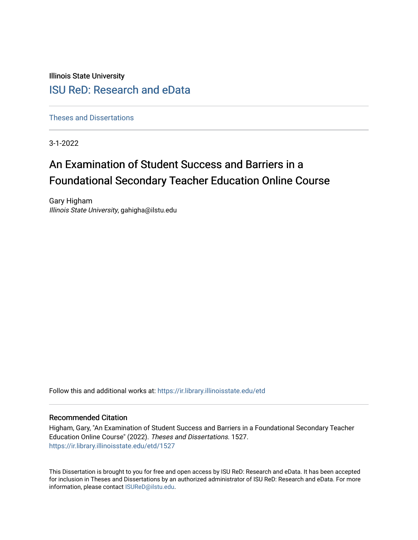Illinois State University

# [ISU ReD: Research and eData](https://ir.library.illinoisstate.edu/)

[Theses and Dissertations](https://ir.library.illinoisstate.edu/etd)

3-1-2022

# An Examination of Student Success and Barriers in a Foundational Secondary Teacher Education Online Course

Gary Higham Illinois State University, gahigha@ilstu.edu

Follow this and additional works at: [https://ir.library.illinoisstate.edu/etd](https://ir.library.illinoisstate.edu/etd?utm_source=ir.library.illinoisstate.edu%2Fetd%2F1527&utm_medium=PDF&utm_campaign=PDFCoverPages) 

### Recommended Citation

Higham, Gary, "An Examination of Student Success and Barriers in a Foundational Secondary Teacher Education Online Course" (2022). Theses and Dissertations. 1527. [https://ir.library.illinoisstate.edu/etd/1527](https://ir.library.illinoisstate.edu/etd/1527?utm_source=ir.library.illinoisstate.edu%2Fetd%2F1527&utm_medium=PDF&utm_campaign=PDFCoverPages) 

This Dissertation is brought to you for free and open access by ISU ReD: Research and eData. It has been accepted for inclusion in Theses and Dissertations by an authorized administrator of ISU ReD: Research and eData. For more information, please contact [ISUReD@ilstu.edu.](mailto:ISUReD@ilstu.edu)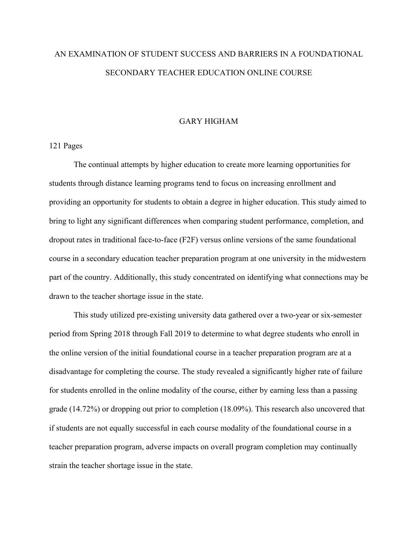# AN EXAMINATION OF STUDENT SUCCESS AND BARRIERS IN A FOUNDATIONAL SECONDARY TEACHER EDUCATION ONLINE COURSE

### GARY HIGHAM

### 121 Pages

The continual attempts by higher education to create more learning opportunities for students through distance learning programs tend to focus on increasing enrollment and providing an opportunity for students to obtain a degree in higher education. This study aimed to bring to light any significant differences when comparing student performance, completion, and dropout rates in traditional face-to-face (F2F) versus online versions of the same foundational course in a secondary education teacher preparation program at one university in the midwestern part of the country. Additionally, this study concentrated on identifying what connections may be drawn to the teacher shortage issue in the state.

This study utilized pre-existing university data gathered over a two-year or six-semester period from Spring 2018 through Fall 2019 to determine to what degree students who enroll in the online version of the initial foundational course in a teacher preparation program are at a disadvantage for completing the course. The study revealed a significantly higher rate of failure for students enrolled in the online modality of the course, either by earning less than a passing grade (14.72%) or dropping out prior to completion (18.09%). This research also uncovered that if students are not equally successful in each course modality of the foundational course in a teacher preparation program, adverse impacts on overall program completion may continually strain the teacher shortage issue in the state.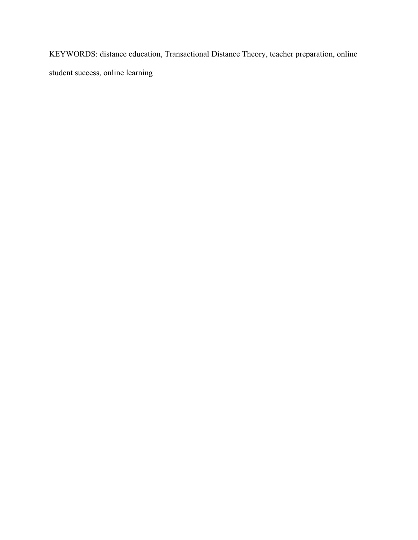KEYWORDS: distance education, Transactional Distance Theory, teacher preparation, online student success, online learning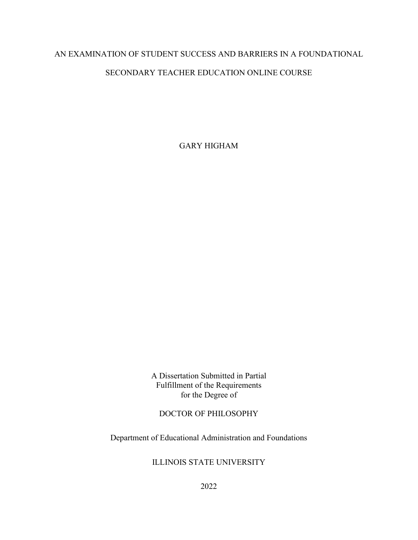## AN EXAMINATION OF STUDENT SUCCESS AND BARRIERS IN A FOUNDATIONAL

### SECONDARY TEACHER EDUCATION ONLINE COURSE

GARY HIGHAM

A Dissertation Submitted in Partial Fulfillment of the Requirements for the Degree of

### DOCTOR OF PHILOSOPHY

Department of Educational Administration and Foundations

### ILLINOIS STATE UNIVERSITY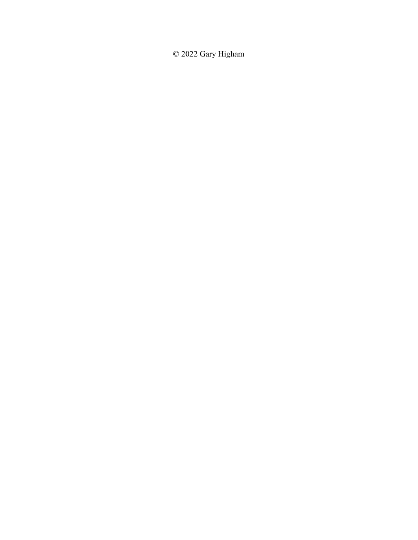© 2022 Gary Higham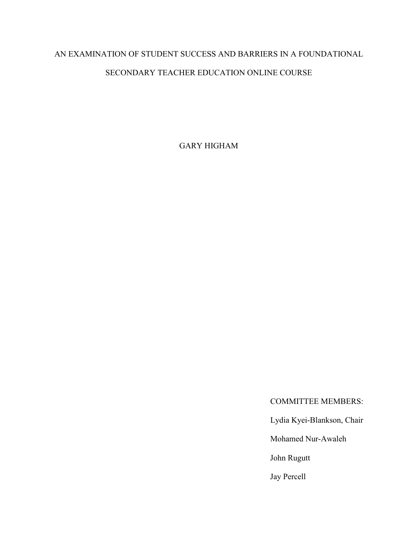# AN EXAMINATION OF STUDENT SUCCESS AND BARRIERS IN A FOUNDATIONAL

## SECONDARY TEACHER EDUCATION ONLINE COURSE

GARY HIGHAM

COMMITTEE MEMBERS:

Lydia Kyei-Blankson, Chair

Mohamed Nur-Awaleh

John Rugutt

Jay Percell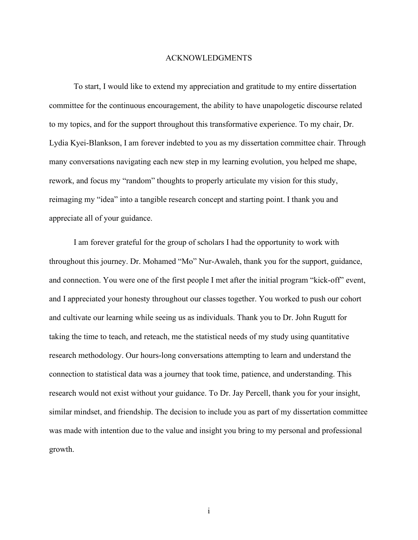### ACKNOWLEDGMENTS

<span id="page-6-0"></span>To start, I would like to extend my appreciation and gratitude to my entire dissertation committee for the continuous encouragement, the ability to have unapologetic discourse related to my topics, and for the support throughout this transformative experience. To my chair, Dr. Lydia Kyei-Blankson, I am forever indebted to you as my dissertation committee chair. Through many conversations navigating each new step in my learning evolution, you helped me shape, rework, and focus my "random" thoughts to properly articulate my vision for this study, reimaging my "idea" into a tangible research concept and starting point. I thank you and appreciate all of your guidance.

I am forever grateful for the group of scholars I had the opportunity to work with throughout this journey. Dr. Mohamed "Mo" Nur-Awaleh, thank you for the support, guidance, and connection. You were one of the first people I met after the initial program "kick-off" event, and I appreciated your honesty throughout our classes together. You worked to push our cohort and cultivate our learning while seeing us as individuals. Thank you to Dr. John Rugutt for taking the time to teach, and reteach, me the statistical needs of my study using quantitative research methodology. Our hours-long conversations attempting to learn and understand the connection to statistical data was a journey that took time, patience, and understanding. This research would not exist without your guidance. To Dr. Jay Percell, thank you for your insight, similar mindset, and friendship. The decision to include you as part of my dissertation committee was made with intention due to the value and insight you bring to my personal and professional growth.

i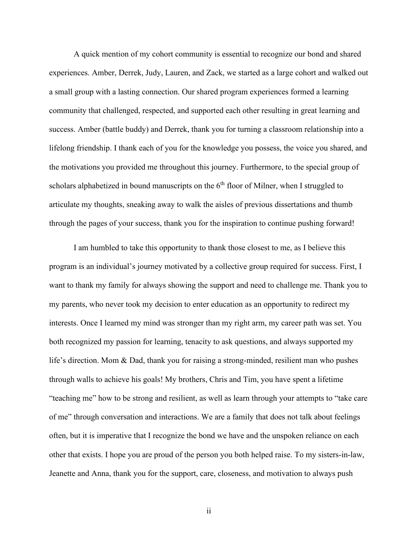A quick mention of my cohort community is essential to recognize our bond and shared experiences. Amber, Derrek, Judy, Lauren, and Zack, we started as a large cohort and walked out a small group with a lasting connection. Our shared program experiences formed a learning community that challenged, respected, and supported each other resulting in great learning and success. Amber (battle buddy) and Derrek, thank you for turning a classroom relationship into a lifelong friendship. I thank each of you for the knowledge you possess, the voice you shared, and the motivations you provided me throughout this journey. Furthermore, to the special group of scholars alphabetized in bound manuscripts on the 6<sup>th</sup> floor of Milner, when I struggled to articulate my thoughts, sneaking away to walk the aisles of previous dissertations and thumb through the pages of your success, thank you for the inspiration to continue pushing forward!

I am humbled to take this opportunity to thank those closest to me, as I believe this program is an individual's journey motivated by a collective group required for success. First, I want to thank my family for always showing the support and need to challenge me. Thank you to my parents, who never took my decision to enter education as an opportunity to redirect my interests. Once I learned my mind was stronger than my right arm, my career path was set. You both recognized my passion for learning, tenacity to ask questions, and always supported my life's direction. Mom & Dad, thank you for raising a strong-minded, resilient man who pushes through walls to achieve his goals! My brothers, Chris and Tim, you have spent a lifetime "teaching me" how to be strong and resilient, as well as learn through your attempts to "take care of me" through conversation and interactions. We are a family that does not talk about feelings often, but it is imperative that I recognize the bond we have and the unspoken reliance on each other that exists. I hope you are proud of the person you both helped raise. To my sisters-in-law, Jeanette and Anna, thank you for the support, care, closeness, and motivation to always push

ii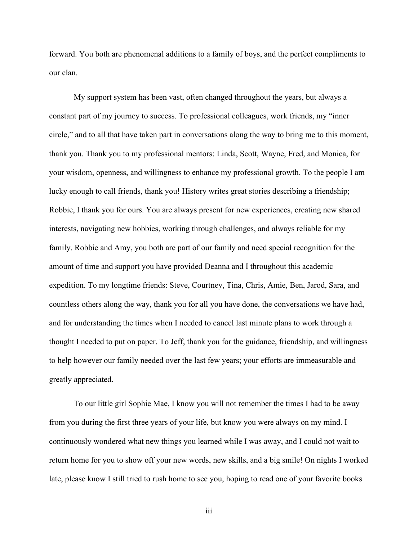forward. You both are phenomenal additions to a family of boys, and the perfect compliments to our clan.

My support system has been vast, often changed throughout the years, but always a constant part of my journey to success. To professional colleagues, work friends, my "inner circle," and to all that have taken part in conversations along the way to bring me to this moment, thank you. Thank you to my professional mentors: Linda, Scott, Wayne, Fred, and Monica, for your wisdom, openness, and willingness to enhance my professional growth. To the people I am lucky enough to call friends, thank you! History writes great stories describing a friendship; Robbie, I thank you for ours. You are always present for new experiences, creating new shared interests, navigating new hobbies, working through challenges, and always reliable for my family. Robbie and Amy, you both are part of our family and need special recognition for the amount of time and support you have provided Deanna and I throughout this academic expedition. To my longtime friends: Steve, Courtney, Tina, Chris, Amie, Ben, Jarod, Sara, and countless others along the way, thank you for all you have done, the conversations we have had, and for understanding the times when I needed to cancel last minute plans to work through a thought I needed to put on paper. To Jeff, thank you for the guidance, friendship, and willingness to help however our family needed over the last few years; your efforts are immeasurable and greatly appreciated.

To our little girl Sophie Mae, I know you will not remember the times I had to be away from you during the first three years of your life, but know you were always on my mind. I continuously wondered what new things you learned while I was away, and I could not wait to return home for you to show off your new words, new skills, and a big smile! On nights I worked late, please know I still tried to rush home to see you, hoping to read one of your favorite books

iii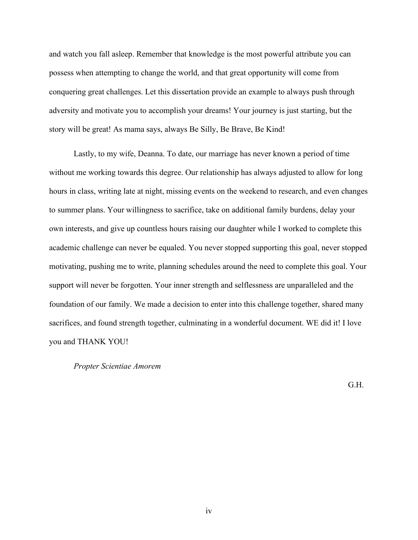and watch you fall asleep. Remember that knowledge is the most powerful attribute you can possess when attempting to change the world, and that great opportunity will come from conquering great challenges. Let this dissertation provide an example to always push through adversity and motivate you to accomplish your dreams! Your journey is just starting, but the story will be great! As mama says, always Be Silly, Be Brave, Be Kind!

Lastly, to my wife, Deanna. To date, our marriage has never known a period of time without me working towards this degree. Our relationship has always adjusted to allow for long hours in class, writing late at night, missing events on the weekend to research, and even changes to summer plans. Your willingness to sacrifice, take on additional family burdens, delay your own interests, and give up countless hours raising our daughter while I worked to complete this academic challenge can never be equaled. You never stopped supporting this goal, never stopped motivating, pushing me to write, planning schedules around the need to complete this goal. Your support will never be forgotten. Your inner strength and selflessness are unparalleled and the foundation of our family. We made a decision to enter into this challenge together, shared many sacrifices, and found strength together, culminating in a wonderful document. WE did it! I love you and THANK YOU!

### *Propter Scientiae Amorem*

G.H.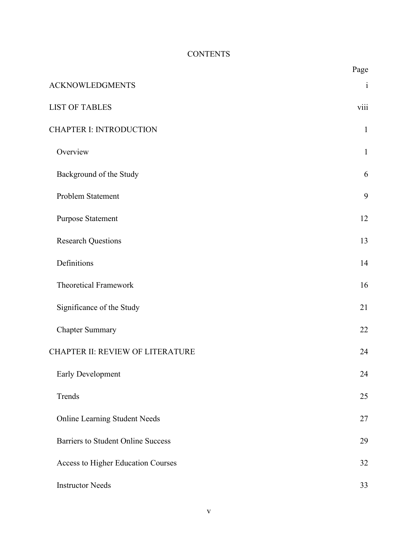# **CONTENTS**

|                                           | Page         |
|-------------------------------------------|--------------|
| <b>ACKNOWLEDGMENTS</b>                    | $\mathbf{i}$ |
| <b>LIST OF TABLES</b>                     | viii         |
| <b>CHAPTER I: INTRODUCTION</b>            | $\mathbf{1}$ |
| Overview                                  | $\mathbf{1}$ |
| Background of the Study                   | 6            |
| Problem Statement                         | 9            |
| <b>Purpose Statement</b>                  | 12           |
| <b>Research Questions</b>                 | 13           |
| Definitions                               | 14           |
| <b>Theoretical Framework</b>              | 16           |
| Significance of the Study                 | 21           |
| <b>Chapter Summary</b>                    | 22           |
| CHAPTER II: REVIEW OF LITERATURE          | 24           |
| Early Development                         | 24           |
| Trends                                    | 25           |
| <b>Online Learning Student Needs</b>      | 27           |
| <b>Barriers to Student Online Success</b> | 29           |
| Access to Higher Education Courses        | 32           |
| <b>Instructor Needs</b>                   | 33           |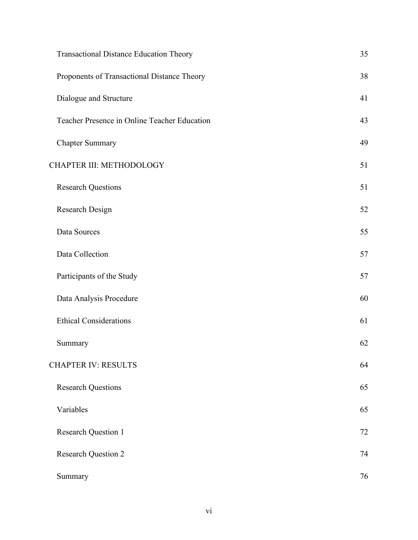| Transactional Distance Education Theory      | 35 |
|----------------------------------------------|----|
| Proponents of Transactional Distance Theory  | 38 |
| Dialogue and Structure                       | 41 |
| Teacher Presence in Online Teacher Education | 43 |
| <b>Chapter Summary</b>                       | 49 |
| CHAPTER III: METHODOLOGY                     | 51 |
| <b>Research Questions</b>                    | 51 |
| Research Design                              | 52 |
| Data Sources                                 | 55 |
| Data Collection                              | 57 |
| Participants of the Study                    | 57 |
| Data Analysis Procedure                      | 60 |
| <b>Ethical Considerations</b>                | 61 |
| Summary                                      | 62 |
| <b>CHAPTER IV: RESULTS</b>                   | 64 |
| <b>Research Questions</b>                    | 65 |
| Variables                                    | 65 |
| <b>Research Question 1</b>                   | 72 |
| <b>Research Question 2</b>                   | 74 |
| Summary                                      | 76 |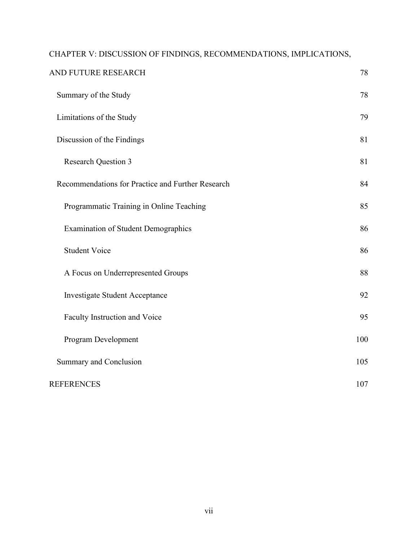| CHAPTER V: DISCUSSION OF FINDINGS, RECOMMENDATIONS, IMPLICATIONS, |     |
|-------------------------------------------------------------------|-----|
| AND FUTURE RESEARCH                                               | 78  |
| Summary of the Study                                              | 78  |
| Limitations of the Study                                          | 79  |
| Discussion of the Findings                                        | 81  |
| <b>Research Question 3</b>                                        | 81  |
| Recommendations for Practice and Further Research                 | 84  |
| Programmatic Training in Online Teaching                          | 85  |
| <b>Examination of Student Demographics</b>                        | 86  |
| <b>Student Voice</b>                                              | 86  |
| A Focus on Underrepresented Groups                                | 88  |
| <b>Investigate Student Acceptance</b>                             | 92  |
| Faculty Instruction and Voice                                     | 95  |
| Program Development                                               | 100 |
| Summary and Conclusion                                            | 105 |
| <b>REFERENCES</b>                                                 | 107 |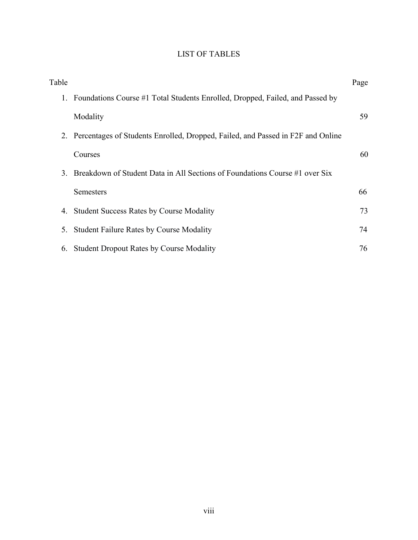# LIST OF TABLES

<span id="page-13-0"></span>

| Table |                                                                                    | Page |
|-------|------------------------------------------------------------------------------------|------|
| 1.    | Foundations Course #1 Total Students Enrolled, Dropped, Failed, and Passed by      |      |
|       | Modality                                                                           | 59   |
|       | 2. Percentages of Students Enrolled, Dropped, Failed, and Passed in F2F and Online |      |
|       | Courses                                                                            | 60   |
| 3.    | Breakdown of Student Data in All Sections of Foundations Course #1 over Six        |      |
|       | <b>Semesters</b>                                                                   | 66   |
| 4.    | <b>Student Success Rates by Course Modality</b>                                    | 73   |
| 5.    | <b>Student Failure Rates by Course Modality</b>                                    | 74   |
| 6.    | <b>Student Dropout Rates by Course Modality</b>                                    | 76   |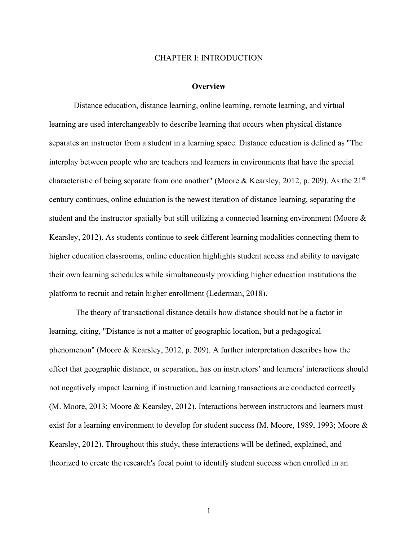#### CHAPTER I: INTRODUCTION

#### **Overview**

<span id="page-14-1"></span><span id="page-14-0"></span>Distance education, distance learning, online learning, remote learning, and virtual learning are used interchangeably to describe learning that occurs when physical distance separates an instructor from a student in a learning space. Distance education is defined as "The interplay between people who are teachers and learners in environments that have the special characteristic of being separate from one another" (Moore & Kearsley, 2012, p. 209). As the  $21<sup>st</sup>$ century continues, online education is the newest iteration of distance learning, separating the student and the instructor spatially but still utilizing a connected learning environment (Moore & Kearsley, 2012). As students continue to seek different learning modalities connecting them to higher education classrooms, online education highlights student access and ability to navigate their own learning schedules while simultaneously providing higher education institutions the platform to recruit and retain higher enrollment (Lederman, 2018).

The theory of transactional distance details how distance should not be a factor in learning, citing, "Distance is not a matter of geographic location, but a pedagogical phenomenon" (Moore & Kearsley, 2012, p. 209). A further interpretation describes how the effect that geographic distance, or separation, has on instructors' and learners' interactions should not negatively impact learning if instruction and learning transactions are conducted correctly (M. Moore, 2013; Moore & Kearsley, 2012). Interactions between instructors and learners must exist for a learning environment to develop for student success (M. Moore, 1989, 1993; Moore & Kearsley, 2012). Throughout this study, these interactions will be defined, explained, and theorized to create the research's focal point to identify student success when enrolled in an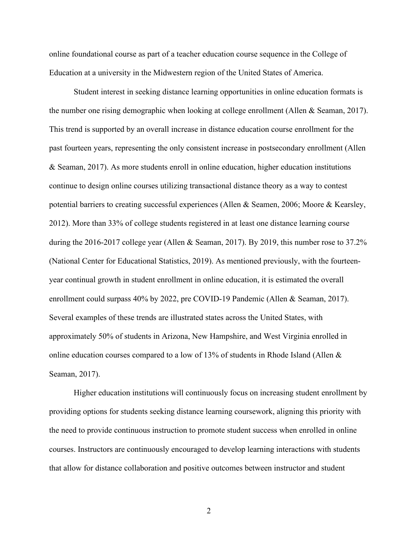online foundational course as part of a teacher education course sequence in the College of Education at a university in the Midwestern region of the United States of America.

Student interest in seeking distance learning opportunities in online education formats is the number one rising demographic when looking at college enrollment (Allen & Seaman, 2017). This trend is supported by an overall increase in distance education course enrollment for the past fourteen years, representing the only consistent increase in postsecondary enrollment (Allen & Seaman, 2017). As more students enroll in online education, higher education institutions continue to design online courses utilizing transactional distance theory as a way to contest potential barriers to creating successful experiences (Allen & Seamen, 2006; Moore & Kearsley, 2012). More than 33% of college students registered in at least one distance learning course during the 2016-2017 college year (Allen & Seaman, 2017). By 2019, this number rose to 37.2% (National Center for Educational Statistics, 2019). As mentioned previously, with the fourteenyear continual growth in student enrollment in online education, it is estimated the overall enrollment could surpass 40% by 2022, pre COVID-19 Pandemic (Allen & Seaman, 2017). Several examples of these trends are illustrated states across the United States, with approximately 50% of students in Arizona, New Hampshire, and West Virginia enrolled in online education courses compared to a low of 13% of students in Rhode Island (Allen & Seaman, 2017).

Higher education institutions will continuously focus on increasing student enrollment by providing options for students seeking distance learning coursework, aligning this priority with the need to provide continuous instruction to promote student success when enrolled in online courses. Instructors are continuously encouraged to develop learning interactions with students that allow for distance collaboration and positive outcomes between instructor and student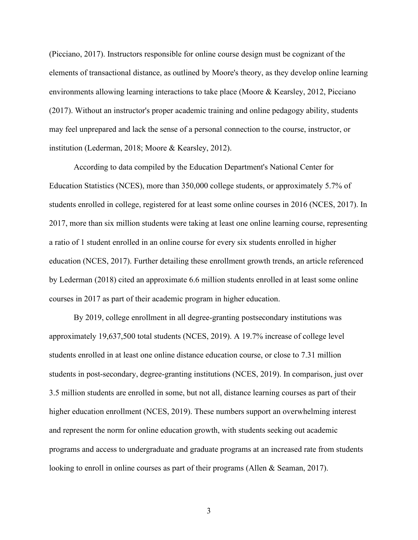(Picciano, 2017). Instructors responsible for online course design must be cognizant of the elements of transactional distance, as outlined by Moore's theory, as they develop online learning environments allowing learning interactions to take place (Moore & Kearsley, 2012, Picciano (2017). Without an instructor's proper academic training and online pedagogy ability, students may feel unprepared and lack the sense of a personal connection to the course, instructor, or institution (Lederman, 2018; Moore & Kearsley, 2012).

According to data compiled by the Education Department's National Center for Education Statistics (NCES), more than 350,000 college students, or approximately 5.7% of students enrolled in college, registered for at least some online courses in 2016 (NCES, 2017). In 2017, more than six million students were taking at least one online learning course, representing a ratio of 1 student enrolled in an online course for every six students enrolled in higher education (NCES, 2017). Further detailing these enrollment growth trends, an article referenced by Lederman (2018) cited an approximate 6.6 million students enrolled in at least some online courses in 2017 as part of their academic program in higher education.

By 2019, college enrollment in all degree-granting postsecondary institutions was approximately 19,637,500 total students (NCES, 2019). A 19.7% increase of college level students enrolled in at least one online distance education course, or close to 7.31 million students in post-secondary, degree-granting institutions (NCES, 2019). In comparison, just over 3.5 million students are enrolled in some, but not all, distance learning courses as part of their higher education enrollment (NCES, 2019). These numbers support an overwhelming interest and represent the norm for online education growth, with students seeking out academic programs and access to undergraduate and graduate programs at an increased rate from students looking to enroll in online courses as part of their programs (Allen & Seaman, 2017).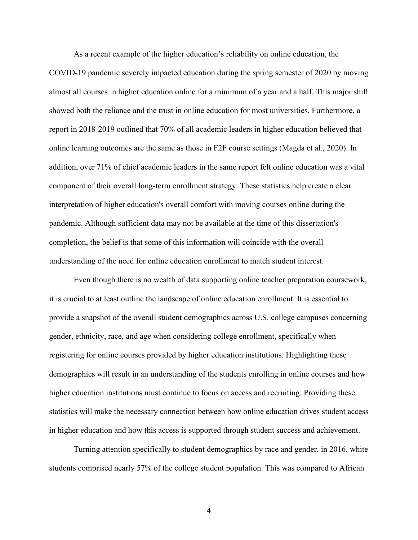As a recent example of the higher education's reliability on online education, the COVID-19 pandemic severely impacted education during the spring semester of 2020 by moving almost all courses in higher education online for a minimum of a year and a half. This major shift showed both the reliance and the trust in online education for most universities. Furthermore, a report in 2018-2019 outlined that 70% of all academic leaders in higher education believed that online learning outcomes are the same as those in F2F course settings (Magda et al., 2020). In addition, over 71% of chief academic leaders in the same report felt online education was a vital component of their overall long-term enrollment strategy. These statistics help create a clear interpretation of higher education's overall comfort with moving courses online during the pandemic. Although sufficient data may not be available at the time of this dissertation's completion, the belief is that some of this information will coincide with the overall understanding of the need for online education enrollment to match student interest.

Even though there is no wealth of data supporting online teacher preparation coursework, it is crucial to at least outline the landscape of online education enrollment. It is essential to provide a snapshot of the overall student demographics across U.S. college campuses concerning gender, ethnicity, race, and age when considering college enrollment, specifically when registering for online courses provided by higher education institutions. Highlighting these demographics will result in an understanding of the students enrolling in online courses and how higher education institutions must continue to focus on access and recruiting. Providing these statistics will make the necessary connection between how online education drives student access in higher education and how this access is supported through student success and achievement.

Turning attention specifically to student demographics by race and gender, in 2016, white students comprised nearly 57% of the college student population. This was compared to African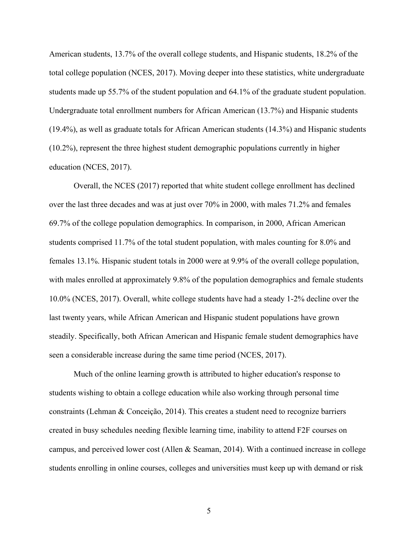American students, 13.7% of the overall college students, and Hispanic students, 18.2% of the total college population (NCES, 2017). Moving deeper into these statistics, white undergraduate students made up 55.7% of the student population and 64.1% of the graduate student population. Undergraduate total enrollment numbers for African American (13.7%) and Hispanic students (19.4%), as well as graduate totals for African American students (14.3%) and Hispanic students (10.2%), represent the three highest student demographic populations currently in higher education (NCES, 2017).

Overall, the NCES (2017) reported that white student college enrollment has declined over the last three decades and was at just over 70% in 2000, with males 71.2% and females 69.7% of the college population demographics. In comparison, in 2000, African American students comprised 11.7% of the total student population, with males counting for 8.0% and females 13.1%. Hispanic student totals in 2000 were at 9.9% of the overall college population, with males enrolled at approximately 9.8% of the population demographics and female students 10.0% (NCES, 2017). Overall, white college students have had a steady 1-2% decline over the last twenty years, while African American and Hispanic student populations have grown steadily. Specifically, both African American and Hispanic female student demographics have seen a considerable increase during the same time period (NCES, 2017).

Much of the online learning growth is attributed to higher education's response to students wishing to obtain a college education while also working through personal time constraints (Lehman & Conceição, 2014). This creates a student need to recognize barriers created in busy schedules needing flexible learning time, inability to attend F2F courses on campus, and perceived lower cost (Allen & Seaman, 2014). With a continued increase in college students enrolling in online courses, colleges and universities must keep up with demand or risk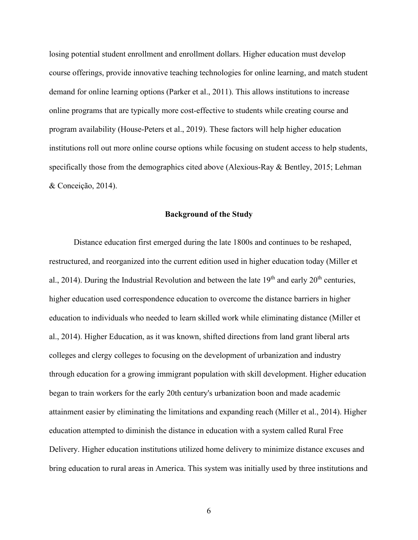losing potential student enrollment and enrollment dollars. Higher education must develop course offerings, provide innovative teaching technologies for online learning, and match student demand for online learning options (Parker et al., 2011). This allows institutions to increase online programs that are typically more cost-effective to students while creating course and program availability (House-Peters et al., 2019). These factors will help higher education institutions roll out more online course options while focusing on student access to help students, specifically those from the demographics cited above (Alexious-Ray  $\&$  Bentley, 2015; Lehman & Conceição, 2014).

### **Background of the Study**

<span id="page-19-0"></span>Distance education first emerged during the late 1800s and continues to be reshaped, restructured, and reorganized into the current edition used in higher education today (Miller et al., 2014). During the Industrial Revolution and between the late  $19<sup>th</sup>$  and early  $20<sup>th</sup>$  centuries, higher education used correspondence education to overcome the distance barriers in higher education to individuals who needed to learn skilled work while eliminating distance (Miller et al., 2014). Higher Education, as it was known, shifted directions from land grant liberal arts colleges and clergy colleges to focusing on the development of urbanization and industry through education for a growing immigrant population with skill development. Higher education began to train workers for the early 20th century's urbanization boon and made academic attainment easier by eliminating the limitations and expanding reach (Miller et al., 2014). Higher education attempted to diminish the distance in education with a system called Rural Free Delivery. Higher education institutions utilized home delivery to minimize distance excuses and bring education to rural areas in America. This system was initially used by three institutions and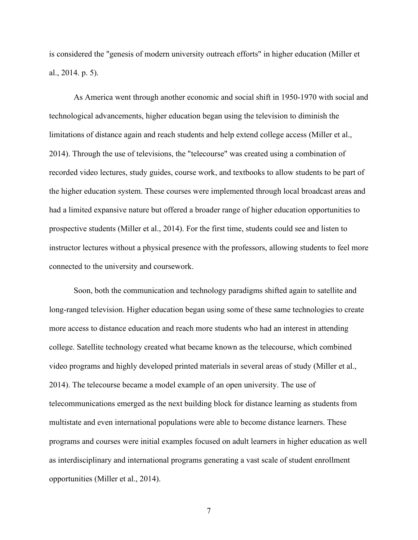is considered the "genesis of modern university outreach efforts" in higher education (Miller et al., 2014. p. 5).

As America went through another economic and social shift in 1950-1970 with social and technological advancements, higher education began using the television to diminish the limitations of distance again and reach students and help extend college access (Miller et al., 2014). Through the use of televisions, the "telecourse" was created using a combination of recorded video lectures, study guides, course work, and textbooks to allow students to be part of the higher education system. These courses were implemented through local broadcast areas and had a limited expansive nature but offered a broader range of higher education opportunities to prospective students (Miller et al., 2014). For the first time, students could see and listen to instructor lectures without a physical presence with the professors, allowing students to feel more connected to the university and coursework.

Soon, both the communication and technology paradigms shifted again to satellite and long-ranged television. Higher education began using some of these same technologies to create more access to distance education and reach more students who had an interest in attending college. Satellite technology created what became known as the telecourse, which combined video programs and highly developed printed materials in several areas of study (Miller et al., 2014). The telecourse became a model example of an open university. The use of telecommunications emerged as the next building block for distance learning as students from multistate and even international populations were able to become distance learners. These programs and courses were initial examples focused on adult learners in higher education as well as interdisciplinary and international programs generating a vast scale of student enrollment opportunities (Miller et al., 2014).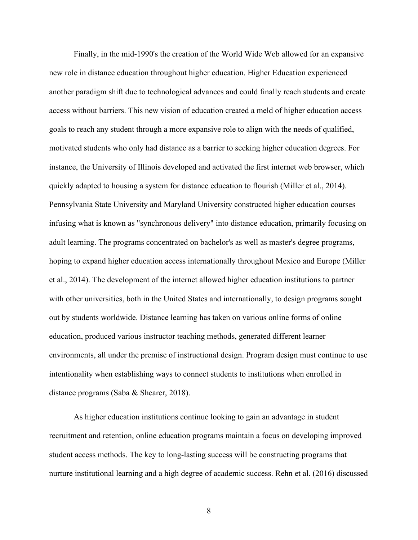Finally, in the mid-1990's the creation of the World Wide Web allowed for an expansive new role in distance education throughout higher education. Higher Education experienced another paradigm shift due to technological advances and could finally reach students and create access without barriers. This new vision of education created a meld of higher education access goals to reach any student through a more expansive role to align with the needs of qualified, motivated students who only had distance as a barrier to seeking higher education degrees. For instance, the University of Illinois developed and activated the first internet web browser, which quickly adapted to housing a system for distance education to flourish (Miller et al., 2014). Pennsylvania State University and Maryland University constructed higher education courses infusing what is known as "synchronous delivery" into distance education, primarily focusing on adult learning. The programs concentrated on bachelor's as well as master's degree programs, hoping to expand higher education access internationally throughout Mexico and Europe (Miller et al., 2014). The development of the internet allowed higher education institutions to partner with other universities, both in the United States and internationally, to design programs sought out by students worldwide. Distance learning has taken on various online forms of online education, produced various instructor teaching methods, generated different learner environments, all under the premise of instructional design. Program design must continue to use intentionality when establishing ways to connect students to institutions when enrolled in distance programs (Saba & Shearer, 2018).

As higher education institutions continue looking to gain an advantage in student recruitment and retention, online education programs maintain a focus on developing improved student access methods. The key to long-lasting success will be constructing programs that nurture institutional learning and a high degree of academic success. Rehn et al. (2016) discussed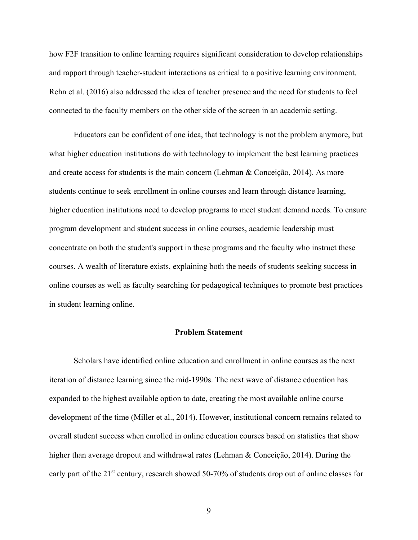how F2F transition to online learning requires significant consideration to develop relationships and rapport through teacher-student interactions as critical to a positive learning environment. Rehn et al. (2016) also addressed the idea of teacher presence and the need for students to feel connected to the faculty members on the other side of the screen in an academic setting.

Educators can be confident of one idea, that technology is not the problem anymore, but what higher education institutions do with technology to implement the best learning practices and create access for students is the main concern (Lehman & Conceição, 2014). As more students continue to seek enrollment in online courses and learn through distance learning, higher education institutions need to develop programs to meet student demand needs. To ensure program development and student success in online courses, academic leadership must concentrate on both the student's support in these programs and the faculty who instruct these courses. A wealth of literature exists, explaining both the needs of students seeking success in online courses as well as faculty searching for pedagogical techniques to promote best practices in student learning online.

### **Problem Statement**

<span id="page-22-0"></span>Scholars have identified online education and enrollment in online courses as the next iteration of distance learning since the mid-1990s. The next wave of distance education has expanded to the highest available option to date, creating the most available online course development of the time (Miller et al., 2014). However, institutional concern remains related to overall student success when enrolled in online education courses based on statistics that show higher than average dropout and withdrawal rates (Lehman & Conceição, 2014). During the early part of the 21<sup>st</sup> century, research showed 50-70% of students drop out of online classes for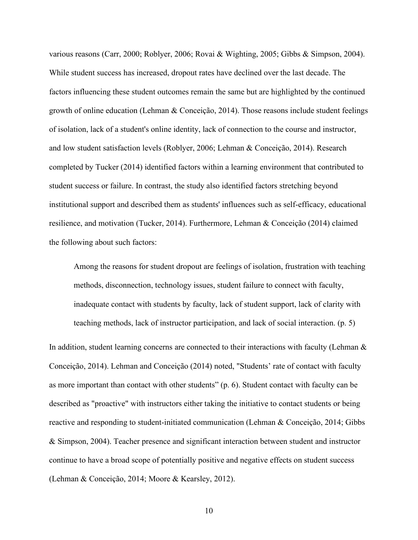various reasons (Carr, 2000; Roblyer, 2006; Rovai & Wighting, 2005; Gibbs & Simpson, 2004). While student success has increased, dropout rates have declined over the last decade. The factors influencing these student outcomes remain the same but are highlighted by the continued growth of online education (Lehman & Conceição, 2014). Those reasons include student feelings of isolation, lack of a student's online identity, lack of connection to the course and instructor, and low student satisfaction levels (Roblyer, 2006; Lehman & Conceição, 2014). Research completed by Tucker (2014) identified factors within a learning environment that contributed to student success or failure. In contrast, the study also identified factors stretching beyond institutional support and described them as students' influences such as self-efficacy, educational resilience, and motivation (Tucker, 2014). Furthermore, Lehman & Conceição (2014) claimed the following about such factors:

Among the reasons for student dropout are feelings of isolation, frustration with teaching methods, disconnection, technology issues, student failure to connect with faculty, inadequate contact with students by faculty, lack of student support, lack of clarity with teaching methods, lack of instructor participation, and lack of social interaction. (p. 5)

In addition, student learning concerns are connected to their interactions with faculty (Lehman & Conceição, 2014). Lehman and Conceição (2014) noted, "Students' rate of contact with faculty as more important than contact with other students" (p. 6). Student contact with faculty can be described as "proactive" with instructors either taking the initiative to contact students or being reactive and responding to student-initiated communication (Lehman & Conceição, 2014; Gibbs & Simpson, 2004). Teacher presence and significant interaction between student and instructor continue to have a broad scope of potentially positive and negative effects on student success (Lehman & Conceição, 2014; Moore & Kearsley, 2012).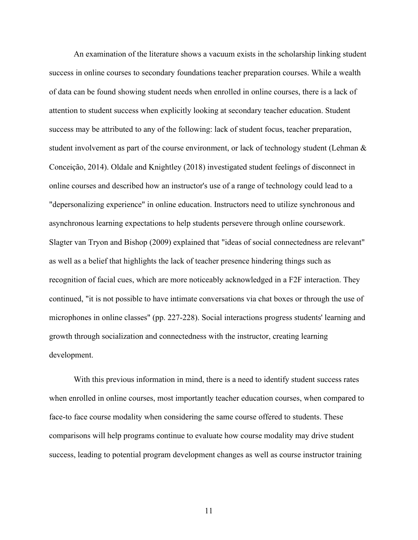An examination of the literature shows a vacuum exists in the scholarship linking student success in online courses to secondary foundations teacher preparation courses. While a wealth of data can be found showing student needs when enrolled in online courses, there is a lack of attention to student success when explicitly looking at secondary teacher education. Student success may be attributed to any of the following: lack of student focus, teacher preparation, student involvement as part of the course environment, or lack of technology student (Lehman  $\&$ Conceição, 2014). Oldale and Knightley (2018) investigated student feelings of disconnect in online courses and described how an instructor's use of a range of technology could lead to a "depersonalizing experience" in online education. Instructors need to utilize synchronous and asynchronous learning expectations to help students persevere through online coursework. Slagter van Tryon and Bishop (2009) explained that "ideas of social connectedness are relevant" as well as a belief that highlights the lack of teacher presence hindering things such as recognition of facial cues, which are more noticeably acknowledged in a F2F interaction. They continued, "it is not possible to have intimate conversations via chat boxes or through the use of microphones in online classes" (pp. 227-228). Social interactions progress students' learning and growth through socialization and connectedness with the instructor, creating learning development.

With this previous information in mind, there is a need to identify student success rates when enrolled in online courses, most importantly teacher education courses, when compared to face-to face course modality when considering the same course offered to students. These comparisons will help programs continue to evaluate how course modality may drive student success, leading to potential program development changes as well as course instructor training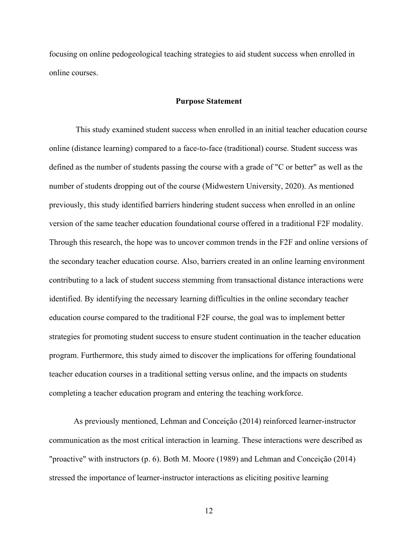focusing on online pedogeological teaching strategies to aid student success when enrolled in online courses.

### **Purpose Statement**

<span id="page-25-0"></span>This study examined student success when enrolled in an initial teacher education course online (distance learning) compared to a face-to-face (traditional) course. Student success was defined as the number of students passing the course with a grade of "C or better" as well as the number of students dropping out of the course (Midwestern University, 2020). As mentioned previously, this study identified barriers hindering student success when enrolled in an online version of the same teacher education foundational course offered in a traditional F2F modality. Through this research, the hope was to uncover common trends in the F2F and online versions of the secondary teacher education course. Also, barriers created in an online learning environment contributing to a lack of student success stemming from transactional distance interactions were identified. By identifying the necessary learning difficulties in the online secondary teacher education course compared to the traditional F2F course, the goal was to implement better strategies for promoting student success to ensure student continuation in the teacher education program. Furthermore, this study aimed to discover the implications for offering foundational teacher education courses in a traditional setting versus online, and the impacts on students completing a teacher education program and entering the teaching workforce.

As previously mentioned, Lehman and Conceição (2014) reinforced learner-instructor communication as the most critical interaction in learning. These interactions were described as "proactive" with instructors (p. 6). Both M. Moore (1989) and Lehman and Conceição (2014) stressed the importance of learner-instructor interactions as eliciting positive learning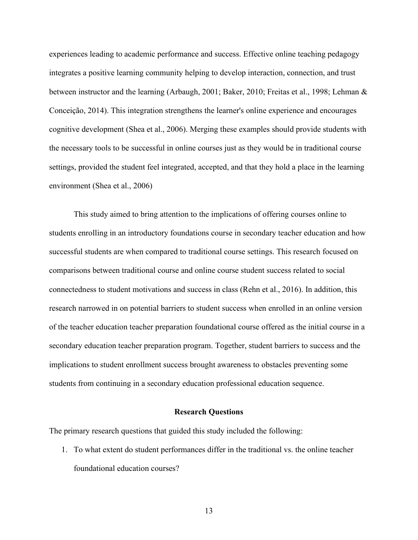experiences leading to academic performance and success. Effective online teaching pedagogy integrates a positive learning community helping to develop interaction, connection, and trust between instructor and the learning (Arbaugh, 2001; Baker, 2010; Freitas et al., 1998; Lehman & Conceição, 2014). This integration strengthens the learner's online experience and encourages cognitive development (Shea et al., 2006). Merging these examples should provide students with the necessary tools to be successful in online courses just as they would be in traditional course settings, provided the student feel integrated, accepted, and that they hold a place in the learning environment (Shea et al., 2006)

This study aimed to bring attention to the implications of offering courses online to students enrolling in an introductory foundations course in secondary teacher education and how successful students are when compared to traditional course settings. This research focused on comparisons between traditional course and online course student success related to social connectedness to student motivations and success in class (Rehn et al., 2016). In addition, this research narrowed in on potential barriers to student success when enrolled in an online version of the teacher education teacher preparation foundational course offered as the initial course in a secondary education teacher preparation program. Together, student barriers to success and the implications to student enrollment success brought awareness to obstacles preventing some students from continuing in a secondary education professional education sequence.

### **Research Questions**

<span id="page-26-0"></span>The primary research questions that guided this study included the following:

1. To what extent do student performances differ in the traditional vs. the online teacher foundational education courses?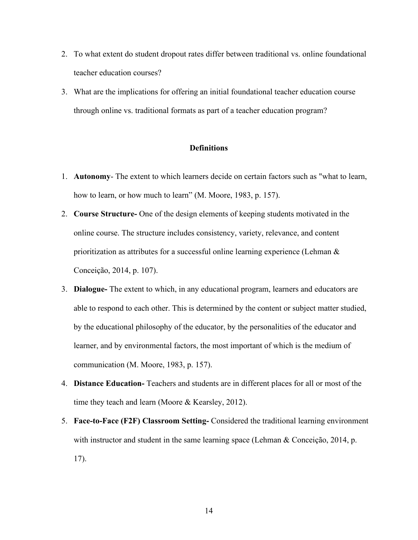- 2. To what extent do student dropout rates differ between traditional vs. online foundational teacher education courses?
- 3. What are the implications for offering an initial foundational teacher education course through online vs. traditional formats as part of a teacher education program?

### **Definitions**

- <span id="page-27-0"></span>1. **Autonomy**- The extent to which learners decide on certain factors such as "what to learn, how to learn, or how much to learn" (M. Moore, 1983, p. 157).
- 2. **Course Structure-** One of the design elements of keeping students motivated in the online course. The structure includes consistency, variety, relevance, and content prioritization as attributes for a successful online learning experience (Lehman & Conceição, 2014, p. 107).
- 3. **Dialogue-** The extent to which, in any educational program, learners and educators are able to respond to each other. This is determined by the content or subject matter studied, by the educational philosophy of the educator, by the personalities of the educator and learner, and by environmental factors, the most important of which is the medium of communication (M. Moore, 1983, p. 157).
- 4. **Distance Education-** Teachers and students are in different places for all or most of the time they teach and learn (Moore & Kearsley, 2012).
- 5. **Face-to-Face (F2F) Classroom Setting-** Considered the traditional learning environment with instructor and student in the same learning space (Lehman & Conceição, 2014, p. 17).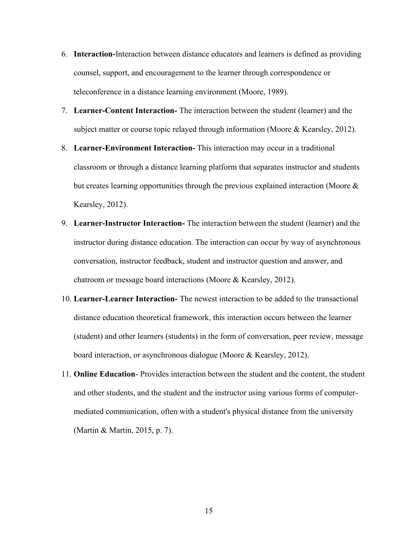- 6. **Interaction-**Interaction between distance educators and learners is defined as providing counsel, support, and encouragement to the learner through correspondence or teleconference in a distance learning environment (Moore, 1989).
- 7. **Learner-Content Interaction-** The interaction between the student (learner) and the subject matter or course topic relayed through information (Moore & Kearsley, 2012).
- 8. **Learner-Environment Interaction-** This interaction may occur in a traditional classroom or through a distance learning platform that separates instructor and students but creates learning opportunities through the previous explained interaction (Moore & Kearsley, 2012).
- 9. **Learner-Instructor Interaction-** The interaction between the student (learner) and the instructor during distance education. The interaction can occur by way of asynchronous conversation, instructor feedback, student and instructor question and answer, and chatroom or message board interactions (Moore & Kearsley, 2012).
- 10. **Learner-Learner Interaction-** The newest interaction to be added to the transactional distance education theoretical framework, this interaction occurs between the learner (student) and other learners (students) in the form of conversation, peer review, message board interaction, or asynchronous dialogue (Moore & Kearsley, 2012).
- 11. **Online Education** Provides interaction between the student and the content, the student and other students, and the student and the instructor using various forms of computermediated communication, often with a student's physical distance from the university (Martin & Martin, 2015, p. 7).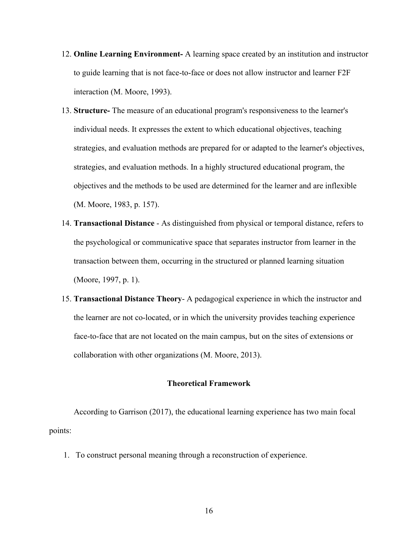- 12. **Online Learning Environment-** A learning space created by an institution and instructor to guide learning that is not face-to-face or does not allow instructor and learner F2F interaction (M. Moore, 1993).
- 13. **Structure-** The measure of an educational program's responsiveness to the learner's individual needs. It expresses the extent to which educational objectives, teaching strategies, and evaluation methods are prepared for or adapted to the learner's objectives, strategies, and evaluation methods. In a highly structured educational program, the objectives and the methods to be used are determined for the learner and are inflexible (M. Moore, 1983, p. 157).
- 14. **Transactional Distance** As distinguished from physical or temporal distance, refers to the psychological or communicative space that separates instructor from learner in the transaction between them, occurring in the structured or planned learning situation (Moore, 1997, p. 1).
- 15. **Transactional Distance Theory** A pedagogical experience in which the instructor and the learner are not co-located, or in which the university provides teaching experience face-to-face that are not located on the main campus, but on the sites of extensions or collaboration with other organizations (M. Moore, 2013).

### **Theoretical Framework**

<span id="page-29-0"></span>According to Garrison (2017), the educational learning experience has two main focal points:

1. To construct personal meaning through a reconstruction of experience.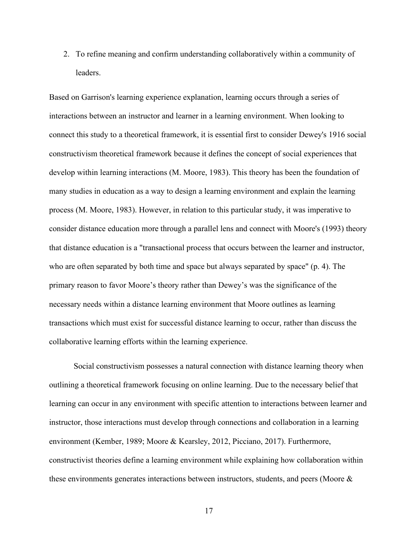2. To refine meaning and confirm understanding collaboratively within a community of leaders.

Based on Garrison's learning experience explanation, learning occurs through a series of interactions between an instructor and learner in a learning environment. When looking to connect this study to a theoretical framework, it is essential first to consider Dewey's 1916 social constructivism theoretical framework because it defines the concept of social experiences that develop within learning interactions (M. Moore, 1983). This theory has been the foundation of many studies in education as a way to design a learning environment and explain the learning process (M. Moore, 1983). However, in relation to this particular study, it was imperative to consider distance education more through a parallel lens and connect with Moore's (1993) theory that distance education is a "transactional process that occurs between the learner and instructor, who are often separated by both time and space but always separated by space" (p. 4). The primary reason to favor Moore's theory rather than Dewey's was the significance of the necessary needs within a distance learning environment that Moore outlines as learning transactions which must exist for successful distance learning to occur, rather than discuss the collaborative learning efforts within the learning experience.

Social constructivism possesses a natural connection with distance learning theory when outlining a theoretical framework focusing on online learning. Due to the necessary belief that learning can occur in any environment with specific attention to interactions between learner and instructor, those interactions must develop through connections and collaboration in a learning environment (Kember, 1989; Moore & Kearsley, 2012, Picciano, 2017). Furthermore, constructivist theories define a learning environment while explaining how collaboration within these environments generates interactions between instructors, students, and peers (Moore &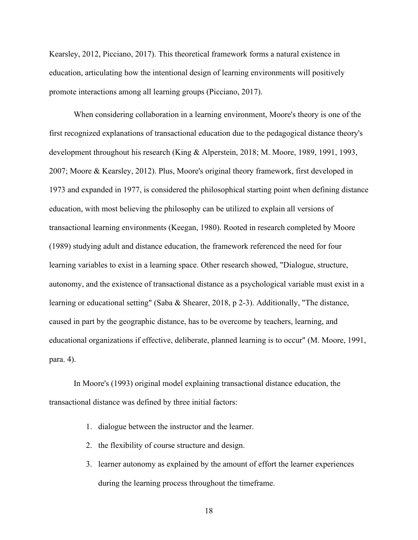Kearsley, 2012, Picciano, 2017). This theoretical framework forms a natural existence in education, articulating how the intentional design of learning environments will positively promote interactions among all learning groups (Picciano, 2017).

When considering collaboration in a learning environment, Moore's theory is one of the first recognized explanations of transactional education due to the pedagogical distance theory's development throughout his research (King & Alperstein, 2018; M. Moore, 1989, 1991, 1993, 2007; Moore & Kearsley, 2012). Plus, Moore's original theory framework, first developed in 1973 and expanded in 1977, is considered the philosophical starting point when defining distance education, with most believing the philosophy can be utilized to explain all versions of transactional learning environments (Keegan, 1980). Rooted in research completed by Moore (1989) studying adult and distance education, the framework referenced the need for four learning variables to exist in a learning space. Other research showed, "Dialogue, structure, autonomy, and the existence of transactional distance as a psychological variable must exist in a learning or educational setting" (Saba & Shearer, 2018, p 2-3). Additionally, "The distance, caused in part by the geographic distance, has to be overcome by teachers, learning, and educational organizations if effective, deliberate, planned learning is to occur" (M. Moore, 1991, para. 4).

In Moore's (1993) original model explaining transactional distance education, the transactional distance was defined by three initial factors:

- 1. dialogue between the instructor and the learner.
- 2. the flexibility of course structure and design.
- 3. learner autonomy as explained by the amount of effort the learner experiences during the learning process throughout the timeframe.
	- 18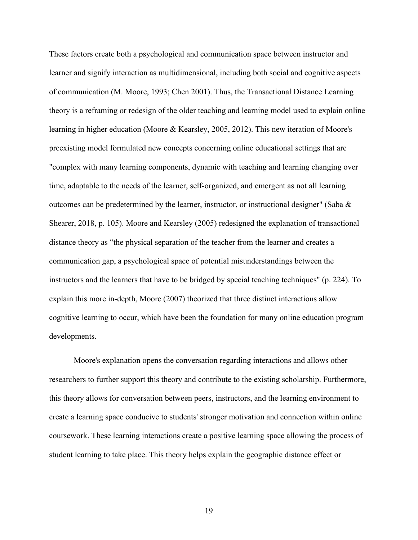These factors create both a psychological and communication space between instructor and learner and signify interaction as multidimensional, including both social and cognitive aspects of communication (M. Moore, 1993; Chen 2001). Thus, the Transactional Distance Learning theory is a reframing or redesign of the older teaching and learning model used to explain online learning in higher education (Moore & Kearsley, 2005, 2012). This new iteration of Moore's preexisting model formulated new concepts concerning online educational settings that are "complex with many learning components, dynamic with teaching and learning changing over time, adaptable to the needs of the learner, self-organized, and emergent as not all learning outcomes can be predetermined by the learner, instructor, or instructional designer" (Saba & Shearer, 2018, p. 105). Moore and Kearsley (2005) redesigned the explanation of transactional distance theory as "the physical separation of the teacher from the learner and creates a communication gap, a psychological space of potential misunderstandings between the instructors and the learners that have to be bridged by special teaching techniques" (p. 224). To explain this more in-depth, Moore (2007) theorized that three distinct interactions allow cognitive learning to occur, which have been the foundation for many online education program developments.

Moore's explanation opens the conversation regarding interactions and allows other researchers to further support this theory and contribute to the existing scholarship. Furthermore, this theory allows for conversation between peers, instructors, and the learning environment to create a learning space conducive to students' stronger motivation and connection within online coursework. These learning interactions create a positive learning space allowing the process of student learning to take place. This theory helps explain the geographic distance effect or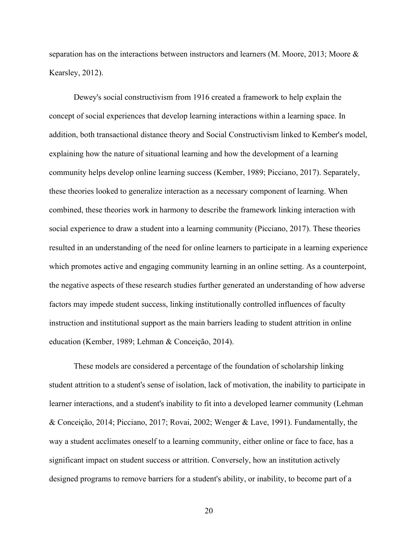separation has on the interactions between instructors and learners (M. Moore, 2013; Moore & Kearsley, 2012).

Dewey's social constructivism from 1916 created a framework to help explain the concept of social experiences that develop learning interactions within a learning space. In addition, both transactional distance theory and Social Constructivism linked to Kember's model, explaining how the nature of situational learning and how the development of a learning community helps develop online learning success (Kember, 1989; Picciano, 2017). Separately, these theories looked to generalize interaction as a necessary component of learning. When combined, these theories work in harmony to describe the framework linking interaction with social experience to draw a student into a learning community (Picciano, 2017). These theories resulted in an understanding of the need for online learners to participate in a learning experience which promotes active and engaging community learning in an online setting. As a counterpoint, the negative aspects of these research studies further generated an understanding of how adverse factors may impede student success, linking institutionally controlled influences of faculty instruction and institutional support as the main barriers leading to student attrition in online education (Kember, 1989; Lehman & Conceição, 2014).

These models are considered a percentage of the foundation of scholarship linking student attrition to a student's sense of isolation, lack of motivation, the inability to participate in learner interactions, and a student's inability to fit into a developed learner community (Lehman & Conceição, 2014; Picciano, 2017; Rovai, 2002; Wenger & Lave, 1991). Fundamentally, the way a student acclimates oneself to a learning community, either online or face to face, has a significant impact on student success or attrition. Conversely, how an institution actively designed programs to remove barriers for a student's ability, or inability, to become part of a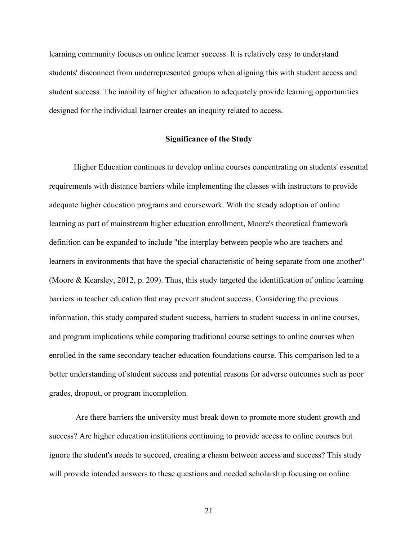learning community focuses on online learner success. It is relatively easy to understand students' disconnect from underrepresented groups when aligning this with student access and student success. The inability of higher education to adequately provide learning opportunities designed for the individual learner creates an inequity related to access.

### **Significance of the Study**

<span id="page-34-0"></span>Higher Education continues to develop online courses concentrating on students' essential requirements with distance barriers while implementing the classes with instructors to provide adequate higher education programs and coursework. With the steady adoption of online learning as part of mainstream higher education enrollment, Moore's theoretical framework definition can be expanded to include "the interplay between people who are teachers and learners in environments that have the special characteristic of being separate from one another" (Moore & Kearsley, 2012, p. 209). Thus, this study targeted the identification of online learning barriers in teacher education that may prevent student success. Considering the previous information, this study compared student success, barriers to student success in online courses, and program implications while comparing traditional course settings to online courses when enrolled in the same secondary teacher education foundations course. This comparison led to a better understanding of student success and potential reasons for adverse outcomes such as poor grades, dropout, or program incompletion.

Are there barriers the university must break down to promote more student growth and success? Are higher education institutions continuing to provide access to online courses but ignore the student's needs to succeed, creating a chasm between access and success? This study will provide intended answers to these questions and needed scholarship focusing on online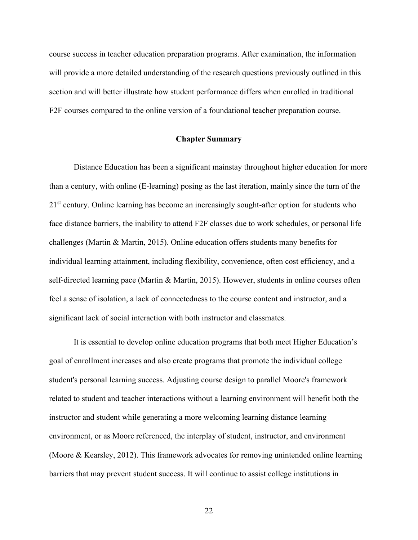course success in teacher education preparation programs. After examination, the information will provide a more detailed understanding of the research questions previously outlined in this section and will better illustrate how student performance differs when enrolled in traditional F2F courses compared to the online version of a foundational teacher preparation course.

### **Chapter Summary**

<span id="page-35-0"></span>Distance Education has been a significant mainstay throughout higher education for more than a century, with online (E-learning) posing as the last iteration, mainly since the turn of the  $21<sup>st</sup>$  century. Online learning has become an increasingly sought-after option for students who face distance barriers, the inability to attend F2F classes due to work schedules, or personal life challenges (Martin & Martin, 2015). Online education offers students many benefits for individual learning attainment, including flexibility, convenience, often cost efficiency, and a self-directed learning pace (Martin & Martin, 2015). However, students in online courses often feel a sense of isolation, a lack of connectedness to the course content and instructor, and a significant lack of social interaction with both instructor and classmates.

It is essential to develop online education programs that both meet Higher Education's goal of enrollment increases and also create programs that promote the individual college student's personal learning success. Adjusting course design to parallel Moore's framework related to student and teacher interactions without a learning environment will benefit both the instructor and student while generating a more welcoming learning distance learning environment, or as Moore referenced, the interplay of student, instructor, and environment (Moore & Kearsley, 2012). This framework advocates for removing unintended online learning barriers that may prevent student success. It will continue to assist college institutions in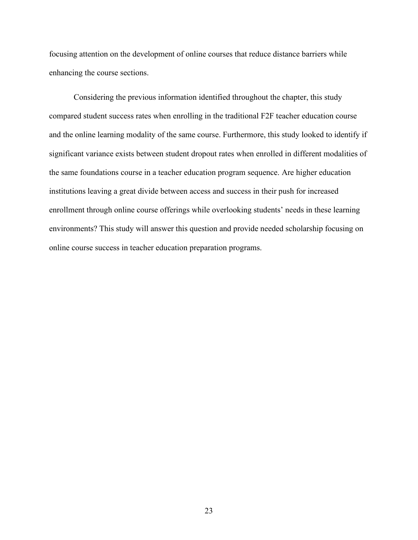focusing attention on the development of online courses that reduce distance barriers while enhancing the course sections.

Considering the previous information identified throughout the chapter, this study compared student success rates when enrolling in the traditional F2F teacher education course and the online learning modality of the same course. Furthermore, this study looked to identify if significant variance exists between student dropout rates when enrolled in different modalities of the same foundations course in a teacher education program sequence. Are higher education institutions leaving a great divide between access and success in their push for increased enrollment through online course offerings while overlooking students' needs in these learning environments? This study will answer this question and provide needed scholarship focusing on online course success in teacher education preparation programs.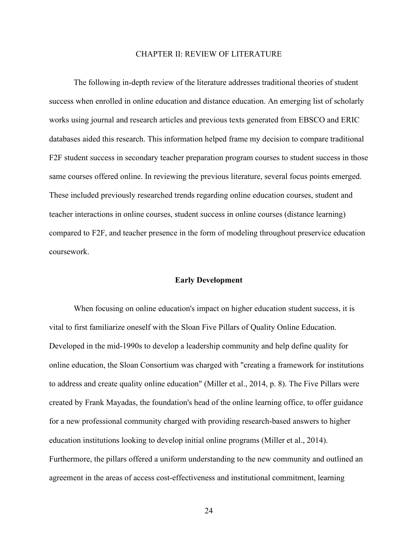## CHAPTER II: REVIEW OF LITERATURE

The following in-depth review of the literature addresses traditional theories of student success when enrolled in online education and distance education. An emerging list of scholarly works using journal and research articles and previous texts generated from EBSCO and ERIC databases aided this research. This information helped frame my decision to compare traditional F2F student success in secondary teacher preparation program courses to student success in those same courses offered online. In reviewing the previous literature, several focus points emerged. These included previously researched trends regarding online education courses, student and teacher interactions in online courses, student success in online courses (distance learning) compared to F2F, and teacher presence in the form of modeling throughout preservice education coursework.

#### **Early Development**

When focusing on online education's impact on higher education student success, it is vital to first familiarize oneself with the Sloan Five Pillars of Quality Online Education. Developed in the mid-1990s to develop a leadership community and help define quality for online education, the Sloan Consortium was charged with "creating a framework for institutions to address and create quality online education" (Miller et al., 2014, p. 8). The Five Pillars were created by Frank Mayadas, the foundation's head of the online learning office, to offer guidance for a new professional community charged with providing research-based answers to higher education institutions looking to develop initial online programs (Miller et al., 2014). Furthermore, the pillars offered a uniform understanding to the new community and outlined an agreement in the areas of access cost-effectiveness and institutional commitment, learning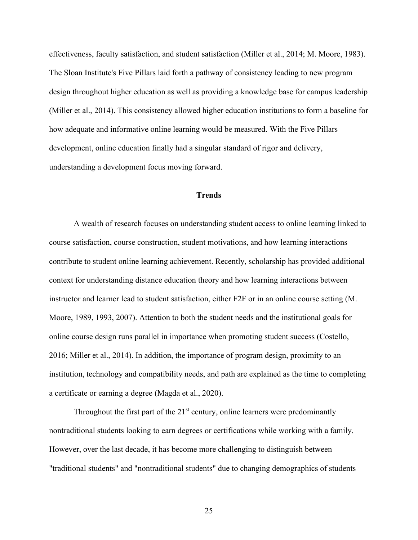effectiveness, faculty satisfaction, and student satisfaction (Miller et al., 2014; M. Moore, 1983). The Sloan Institute's Five Pillars laid forth a pathway of consistency leading to new program design throughout higher education as well as providing a knowledge base for campus leadership (Miller et al., 2014). This consistency allowed higher education institutions to form a baseline for how adequate and informative online learning would be measured. With the Five Pillars development, online education finally had a singular standard of rigor and delivery, understanding a development focus moving forward.

# **Trends**

A wealth of research focuses on understanding student access to online learning linked to course satisfaction, course construction, student motivations, and how learning interactions contribute to student online learning achievement. Recently, scholarship has provided additional context for understanding distance education theory and how learning interactions between instructor and learner lead to student satisfaction, either F2F or in an online course setting (M. Moore, 1989, 1993, 2007). Attention to both the student needs and the institutional goals for online course design runs parallel in importance when promoting student success (Costello, 2016; Miller et al., 2014). In addition, the importance of program design, proximity to an institution, technology and compatibility needs, and path are explained as the time to completing a certificate or earning a degree (Magda et al., 2020).

Throughout the first part of the  $21<sup>st</sup>$  century, online learners were predominantly nontraditional students looking to earn degrees or certifications while working with a family. However, over the last decade, it has become more challenging to distinguish between "traditional students" and "nontraditional students" due to changing demographics of students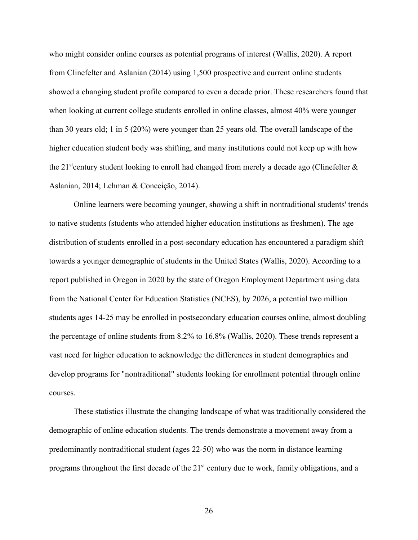who might consider online courses as potential programs of interest (Wallis, 2020). A report from Clinefelter and Aslanian (2014) using 1,500 prospective and current online students showed a changing student profile compared to even a decade prior. These researchers found that when looking at current college students enrolled in online classes, almost 40% were younger than 30 years old; 1 in 5 (20%) were younger than 25 years old. The overall landscape of the higher education student body was shifting, and many institutions could not keep up with how the 21<sup>st</sup>century student looking to enroll had changed from merely a decade ago (Clinefelter  $\&$ Aslanian, 2014; Lehman & Conceição, 2014).

Online learners were becoming younger, showing a shift in nontraditional students' trends to native students (students who attended higher education institutions as freshmen). The age distribution of students enrolled in a post-secondary education has encountered a paradigm shift towards a younger demographic of students in the United States (Wallis, 2020). According to a report published in Oregon in 2020 by the state of Oregon Employment Department using data from the National Center for Education Statistics (NCES), by 2026, a potential two million students ages 14-25 may be enrolled in postsecondary education courses online, almost doubling the percentage of online students from 8.2% to 16.8% (Wallis, 2020). These trends represent a vast need for higher education to acknowledge the differences in student demographics and develop programs for "nontraditional" students looking for enrollment potential through online courses.

These statistics illustrate the changing landscape of what was traditionally considered the demographic of online education students. The trends demonstrate a movement away from a predominantly nontraditional student (ages 22-50) who was the norm in distance learning programs throughout the first decade of the  $21<sup>st</sup>$  century due to work, family obligations, and a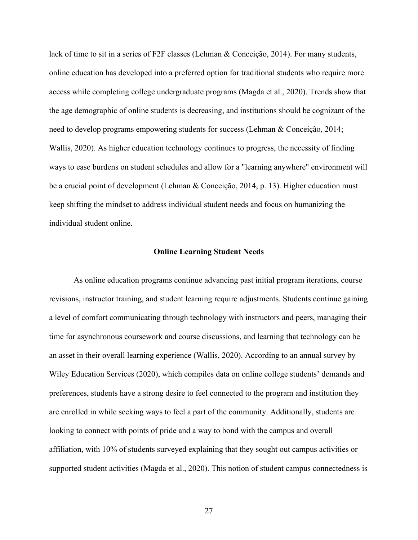lack of time to sit in a series of F2F classes (Lehman & Conceição, 2014). For many students, online education has developed into a preferred option for traditional students who require more access while completing college undergraduate programs (Magda et al., 2020). Trends show that the age demographic of online students is decreasing, and institutions should be cognizant of the need to develop programs empowering students for success (Lehman & Conceição, 2014; Wallis, 2020). As higher education technology continues to progress, the necessity of finding ways to ease burdens on student schedules and allow for a "learning anywhere" environment will be a crucial point of development (Lehman & Conceição, 2014, p. 13). Higher education must keep shifting the mindset to address individual student needs and focus on humanizing the individual student online.

### **Online Learning Student Needs**

As online education programs continue advancing past initial program iterations, course revisions, instructor training, and student learning require adjustments. Students continue gaining a level of comfort communicating through technology with instructors and peers, managing their time for asynchronous coursework and course discussions, and learning that technology can be an asset in their overall learning experience (Wallis, 2020). According to an annual survey by Wiley Education Services (2020), which compiles data on online college students' demands and preferences, students have a strong desire to feel connected to the program and institution they are enrolled in while seeking ways to feel a part of the community. Additionally, students are looking to connect with points of pride and a way to bond with the campus and overall affiliation, with 10% of students surveyed explaining that they sought out campus activities or supported student activities (Magda et al., 2020). This notion of student campus connectedness is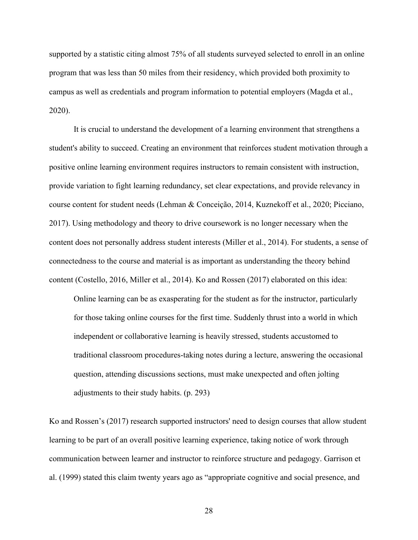supported by a statistic citing almost 75% of all students surveyed selected to enroll in an online program that was less than 50 miles from their residency, which provided both proximity to campus as well as credentials and program information to potential employers (Magda et al., 2020).

It is crucial to understand the development of a learning environment that strengthens a student's ability to succeed. Creating an environment that reinforces student motivation through a positive online learning environment requires instructors to remain consistent with instruction, provide variation to fight learning redundancy, set clear expectations, and provide relevancy in course content for student needs (Lehman & Conceição, 2014, Kuznekoff et al., 2020; Picciano, 2017). Using methodology and theory to drive coursework is no longer necessary when the content does not personally address student interests (Miller et al., 2014). For students, a sense of connectedness to the course and material is as important as understanding the theory behind content (Costello, 2016, Miller et al., 2014). Ko and Rossen (2017) elaborated on this idea:

Online learning can be as exasperating for the student as for the instructor, particularly for those taking online courses for the first time. Suddenly thrust into a world in which independent or collaborative learning is heavily stressed, students accustomed to traditional classroom procedures-taking notes during a lecture, answering the occasional question, attending discussions sections, must make unexpected and often jolting adjustments to their study habits. (p. 293)

Ko and Rossen's (2017) research supported instructors' need to design courses that allow student learning to be part of an overall positive learning experience, taking notice of work through communication between learner and instructor to reinforce structure and pedagogy. Garrison et al. (1999) stated this claim twenty years ago as "appropriate cognitive and social presence, and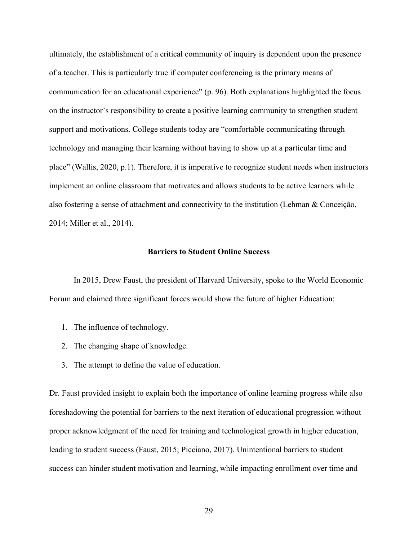ultimately, the establishment of a critical community of inquiry is dependent upon the presence of a teacher. This is particularly true if computer conferencing is the primary means of communication for an educational experience" (p. 96). Both explanations highlighted the focus on the instructor's responsibility to create a positive learning community to strengthen student support and motivations. College students today are "comfortable communicating through technology and managing their learning without having to show up at a particular time and place" (Wallis, 2020, p.1). Therefore, it is imperative to recognize student needs when instructors implement an online classroom that motivates and allows students to be active learners while also fostering a sense of attachment and connectivity to the institution (Lehman & Conceição, 2014; Miller et al., 2014).

# **Barriers to Student Online Success**

In 2015, Drew Faust, the president of Harvard University, spoke to the World Economic Forum and claimed three significant forces would show the future of higher Education:

- 1. The influence of technology.
- 2. The changing shape of knowledge.
- 3. The attempt to define the value of education.

Dr. Faust provided insight to explain both the importance of online learning progress while also foreshadowing the potential for barriers to the next iteration of educational progression without proper acknowledgment of the need for training and technological growth in higher education, leading to student success (Faust, 2015; Picciano, 2017). Unintentional barriers to student success can hinder student motivation and learning, while impacting enrollment over time and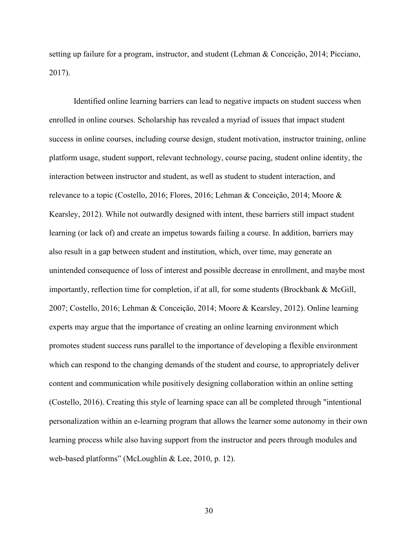setting up failure for a program, instructor, and student (Lehman & Conceição, 2014; Picciano, 2017).

Identified online learning barriers can lead to negative impacts on student success when enrolled in online courses. Scholarship has revealed a myriad of issues that impact student success in online courses, including course design, student motivation, instructor training, online platform usage, student support, relevant technology, course pacing, student online identity, the interaction between instructor and student, as well as student to student interaction, and relevance to a topic (Costello, 2016; Flores, 2016; Lehman & Conceição, 2014; Moore & Kearsley, 2012). While not outwardly designed with intent, these barriers still impact student learning (or lack of) and create an impetus towards failing a course. In addition, barriers may also result in a gap between student and institution, which, over time, may generate an unintended consequence of loss of interest and possible decrease in enrollment, and maybe most importantly, reflection time for completion, if at all, for some students (Brockbank & McGill, 2007; Costello, 2016; Lehman & Conceição, 2014; Moore & Kearsley, 2012). Online learning experts may argue that the importance of creating an online learning environment which promotes student success runs parallel to the importance of developing a flexible environment which can respond to the changing demands of the student and course, to appropriately deliver content and communication while positively designing collaboration within an online setting (Costello, 2016). Creating this style of learning space can all be completed through "intentional personalization within an e-learning program that allows the learner some autonomy in their own learning process while also having support from the instructor and peers through modules and web-based platforms" (McLoughlin & Lee, 2010, p. 12).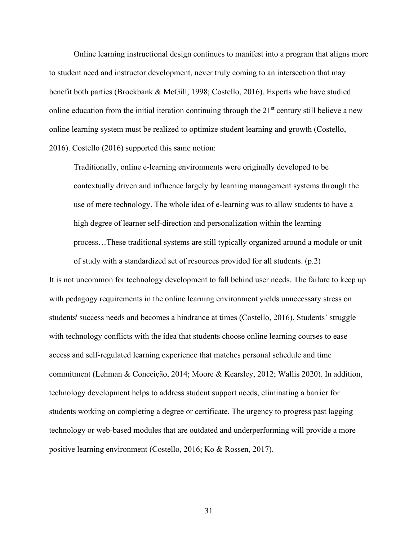Online learning instructional design continues to manifest into a program that aligns more to student need and instructor development, never truly coming to an intersection that may benefit both parties (Brockbank & McGill, 1998; Costello, 2016). Experts who have studied online education from the initial iteration continuing through the  $21<sup>st</sup>$  century still believe a new online learning system must be realized to optimize student learning and growth (Costello, 2016). Costello (2016) supported this same notion:

Traditionally, online e-learning environments were originally developed to be contextually driven and influence largely by learning management systems through the use of mere technology. The whole idea of e-learning was to allow students to have a high degree of learner self-direction and personalization within the learning process…These traditional systems are still typically organized around a module or unit of study with a standardized set of resources provided for all students. (p.2)

It is not uncommon for technology development to fall behind user needs. The failure to keep up with pedagogy requirements in the online learning environment yields unnecessary stress on students' success needs and becomes a hindrance at times (Costello, 2016). Students' struggle with technology conflicts with the idea that students choose online learning courses to ease access and self-regulated learning experience that matches personal schedule and time commitment (Lehman & Conceição, 2014; Moore & Kearsley, 2012; Wallis 2020). In addition, technology development helps to address student support needs, eliminating a barrier for students working on completing a degree or certificate. The urgency to progress past lagging technology or web-based modules that are outdated and underperforming will provide a more positive learning environment (Costello, 2016; Ko & Rossen, 2017).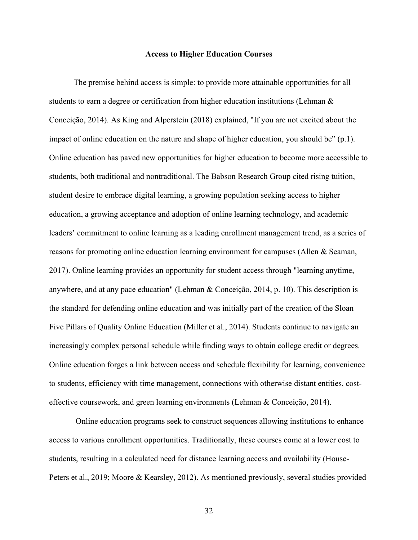## **Access to Higher Education Courses**

The premise behind access is simple: to provide more attainable opportunities for all students to earn a degree or certification from higher education institutions (Lehman & Conceição, 2014). As King and Alperstein (2018) explained, "If you are not excited about the impact of online education on the nature and shape of higher education, you should be"  $(p,1)$ . Online education has paved new opportunities for higher education to become more accessible to students, both traditional and nontraditional. The Babson Research Group cited rising tuition, student desire to embrace digital learning, a growing population seeking access to higher education, a growing acceptance and adoption of online learning technology, and academic leaders' commitment to online learning as a leading enrollment management trend, as a series of reasons for promoting online education learning environment for campuses (Allen & Seaman, 2017). Online learning provides an opportunity for student access through "learning anytime, anywhere, and at any pace education" (Lehman & Conceição, 2014, p. 10). This description is the standard for defending online education and was initially part of the creation of the Sloan Five Pillars of Quality Online Education (Miller et al., 2014). Students continue to navigate an increasingly complex personal schedule while finding ways to obtain college credit or degrees. Online education forges a link between access and schedule flexibility for learning, convenience to students, efficiency with time management, connections with otherwise distant entities, costeffective coursework, and green learning environments (Lehman & Conceição, 2014).

Online education programs seek to construct sequences allowing institutions to enhance access to various enrollment opportunities. Traditionally, these courses come at a lower cost to students, resulting in a calculated need for distance learning access and availability (House-Peters et al., 2019; Moore & Kearsley, 2012). As mentioned previously, several studies provided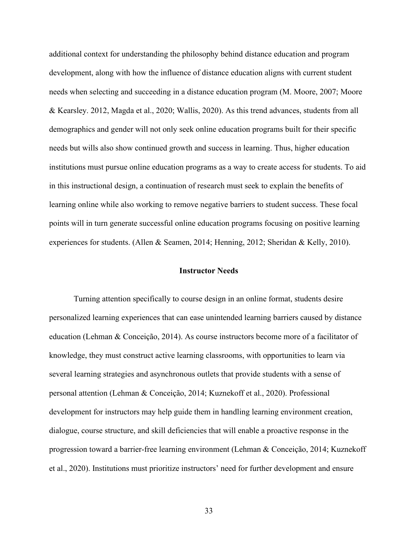additional context for understanding the philosophy behind distance education and program development, along with how the influence of distance education aligns with current student needs when selecting and succeeding in a distance education program (M. Moore, 2007; Moore & Kearsley. 2012, Magda et al., 2020; Wallis, 2020). As this trend advances, students from all demographics and gender will not only seek online education programs built for their specific needs but wills also show continued growth and success in learning. Thus, higher education institutions must pursue online education programs as a way to create access for students. To aid in this instructional design, a continuation of research must seek to explain the benefits of learning online while also working to remove negative barriers to student success. These focal points will in turn generate successful online education programs focusing on positive learning experiences for students. (Allen & Seamen, 2014; Henning, 2012; Sheridan & Kelly, 2010).

# **Instructor Needs**

Turning attention specifically to course design in an online format, students desire personalized learning experiences that can ease unintended learning barriers caused by distance education (Lehman & Conceição, 2014). As course instructors become more of a facilitator of knowledge, they must construct active learning classrooms, with opportunities to learn via several learning strategies and asynchronous outlets that provide students with a sense of personal attention (Lehman & Conceição, 2014; Kuznekoff et al., 2020). Professional development for instructors may help guide them in handling learning environment creation, dialogue, course structure, and skill deficiencies that will enable a proactive response in the progression toward a barrier-free learning environment (Lehman & Conceição, 2014; Kuznekoff et al., 2020). Institutions must prioritize instructors' need for further development and ensure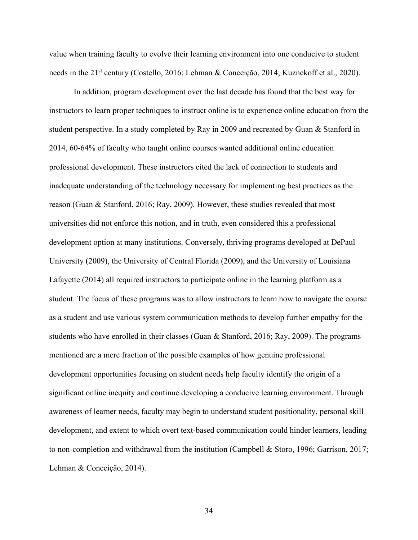value when training faculty to evolve their learning environment into one conducive to student needs in the 21<sup>st</sup> century (Costello, 2016; Lehman & Conceição, 2014; Kuznekoff et al., 2020).

In addition, program development over the last decade has found that the best way for instructors to learn proper techniques to instruct online is to experience online education from the student perspective. In a study completed by Ray in 2009 and recreated by Guan & Stanford in 2014, 60-64% of faculty who taught online courses wanted additional online education professional development. These instructors cited the lack of connection to students and inadequate understanding of the technology necessary for implementing best practices as the reason (Guan & Stanford, 2016; Ray, 2009). However, these studies revealed that most universities did not enforce this notion, and in truth, even considered this a professional development option at many institutions. Conversely, thriving programs developed at DePaul University (2009), the University of Central Florida (2009), and the University of Louisiana Lafayette (2014) all required instructors to participate online in the learning platform as a student. The focus of these programs was to allow instructors to learn how to navigate the course as a student and use various system communication methods to develop further empathy for the students who have enrolled in their classes (Guan & Stanford, 2016; Ray, 2009). The programs mentioned are a mere fraction of the possible examples of how genuine professional development opportunities focusing on student needs help faculty identify the origin of a significant online inequity and continue developing a conducive learning environment. Through awareness of learner needs, faculty may begin to understand student positionality, personal skill development, and extent to which overt text-based communication could hinder learners, leading to non-completion and withdrawal from the institution (Campbell & Storo, 1996; Garrison, 2017; Lehman & Conceição, 2014).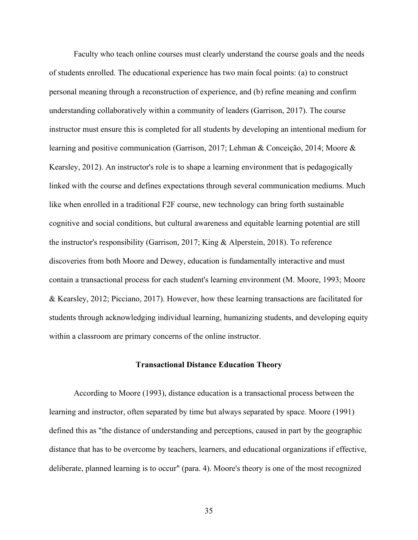Faculty who teach online courses must clearly understand the course goals and the needs of students enrolled. The educational experience has two main focal points: (a) to construct personal meaning through a reconstruction of experience, and (b) refine meaning and confirm understanding collaboratively within a community of leaders (Garrison, 2017). The course instructor must ensure this is completed for all students by developing an intentional medium for learning and positive communication (Garrison, 2017; Lehman & Conceição, 2014; Moore & Kearsley, 2012). An instructor's role is to shape a learning environment that is pedagogically linked with the course and defines expectations through several communication mediums. Much like when enrolled in a traditional F2F course, new technology can bring forth sustainable cognitive and social conditions, but cultural awareness and equitable learning potential are still the instructor's responsibility (Garrison, 2017; King & Alperstein, 2018). To reference discoveries from both Moore and Dewey, education is fundamentally interactive and must contain a transactional process for each student's learning environment (M. Moore, 1993; Moore & Kearsley, 2012; Picciano, 2017). However, how these learning transactions are facilitated for students through acknowledging individual learning, humanizing students, and developing equity within a classroom are primary concerns of the online instructor.

### **Transactional Distance Education Theory**

According to Moore (1993), distance education is a transactional process between the learning and instructor, often separated by time but always separated by space. Moore (1991) defined this as "the distance of understanding and perceptions, caused in part by the geographic distance that has to be overcome by teachers, learners, and educational organizations if effective, deliberate, planned learning is to occur" (para. 4). Moore's theory is one of the most recognized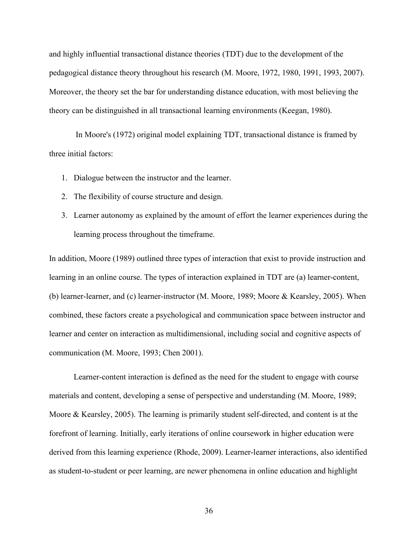and highly influential transactional distance theories (TDT) due to the development of the pedagogical distance theory throughout his research (M. Moore, 1972, 1980, 1991, 1993, 2007). Moreover, the theory set the bar for understanding distance education, with most believing the theory can be distinguished in all transactional learning environments (Keegan, 1980).

In Moore's (1972) original model explaining TDT, transactional distance is framed by three initial factors:

- 1. Dialogue between the instructor and the learner.
- 2. The flexibility of course structure and design.
- 3. Learner autonomy as explained by the amount of effort the learner experiences during the learning process throughout the timeframe.

In addition, Moore (1989) outlined three types of interaction that exist to provide instruction and learning in an online course. The types of interaction explained in TDT are (a) learner-content, (b) learner-learner, and (c) learner-instructor (M. Moore, 1989; Moore & Kearsley, 2005). When combined, these factors create a psychological and communication space between instructor and learner and center on interaction as multidimensional, including social and cognitive aspects of communication (M. Moore, 1993; Chen 2001).

Learner-content interaction is defined as the need for the student to engage with course materials and content, developing a sense of perspective and understanding (M. Moore, 1989; Moore & Kearsley, 2005). The learning is primarily student self-directed, and content is at the forefront of learning. Initially, early iterations of online coursework in higher education were derived from this learning experience (Rhode, 2009). Learner-learner interactions, also identified as student-to-student or peer learning, are newer phenomena in online education and highlight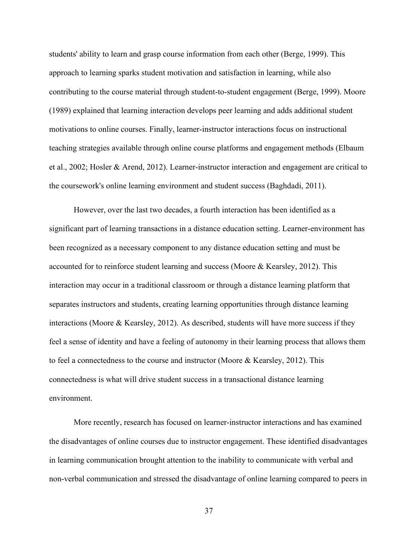students' ability to learn and grasp course information from each other (Berge, 1999). This approach to learning sparks student motivation and satisfaction in learning, while also contributing to the course material through student-to-student engagement (Berge, 1999). Moore (1989) explained that learning interaction develops peer learning and adds additional student motivations to online courses. Finally, learner-instructor interactions focus on instructional teaching strategies available through online course platforms and engagement methods (Elbaum et al., 2002; Hosler & Arend, 2012). Learner-instructor interaction and engagement are critical to the coursework's online learning environment and student success (Baghdadi, 2011).

However, over the last two decades, a fourth interaction has been identified as a significant part of learning transactions in a distance education setting. Learner-environment has been recognized as a necessary component to any distance education setting and must be accounted for to reinforce student learning and success (Moore & Kearsley, 2012). This interaction may occur in a traditional classroom or through a distance learning platform that separates instructors and students, creating learning opportunities through distance learning interactions (Moore & Kearsley, 2012). As described, students will have more success if they feel a sense of identity and have a feeling of autonomy in their learning process that allows them to feel a connectedness to the course and instructor (Moore & Kearsley, 2012). This connectedness is what will drive student success in a transactional distance learning environment.

More recently, research has focused on learner-instructor interactions and has examined the disadvantages of online courses due to instructor engagement. These identified disadvantages in learning communication brought attention to the inability to communicate with verbal and non-verbal communication and stressed the disadvantage of online learning compared to peers in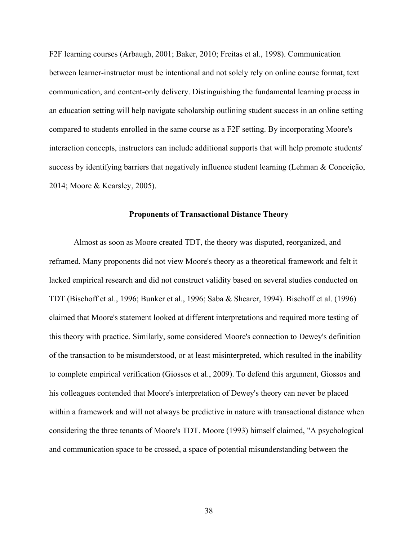F2F learning courses (Arbaugh, 2001; Baker, 2010; Freitas et al., 1998). Communication between learner-instructor must be intentional and not solely rely on online course format, text communication, and content-only delivery. Distinguishing the fundamental learning process in an education setting will help navigate scholarship outlining student success in an online setting compared to students enrolled in the same course as a F2F setting. By incorporating Moore's interaction concepts, instructors can include additional supports that will help promote students' success by identifying barriers that negatively influence student learning (Lehman & Conceição, 2014; Moore & Kearsley, 2005).

### **Proponents of Transactional Distance Theory**

Almost as soon as Moore created TDT, the theory was disputed, reorganized, and reframed. Many proponents did not view Moore's theory as a theoretical framework and felt it lacked empirical research and did not construct validity based on several studies conducted on TDT (Bischoff et al., 1996; Bunker et al., 1996; Saba & Shearer, 1994). Bischoff et al. (1996) claimed that Moore's statement looked at different interpretations and required more testing of this theory with practice. Similarly, some considered Moore's connection to Dewey's definition of the transaction to be misunderstood, or at least misinterpreted, which resulted in the inability to complete empirical verification (Giossos et al., 2009). To defend this argument, Giossos and his colleagues contended that Moore's interpretation of Dewey's theory can never be placed within a framework and will not always be predictive in nature with transactional distance when considering the three tenants of Moore's TDT. Moore (1993) himself claimed, "A psychological and communication space to be crossed, a space of potential misunderstanding between the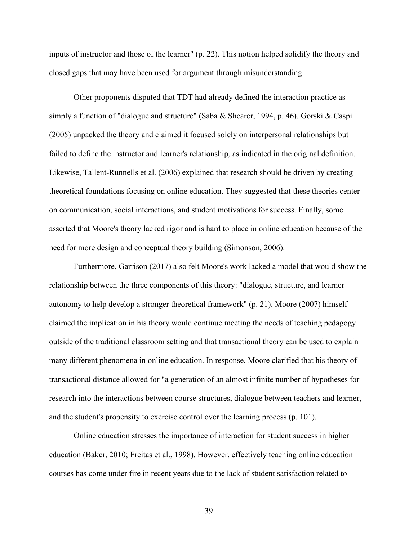inputs of instructor and those of the learner" (p. 22). This notion helped solidify the theory and closed gaps that may have been used for argument through misunderstanding.

Other proponents disputed that TDT had already defined the interaction practice as simply a function of "dialogue and structure" (Saba & Shearer, 1994, p. 46). Gorski & Caspi (2005) unpacked the theory and claimed it focused solely on interpersonal relationships but failed to define the instructor and learner's relationship, as indicated in the original definition. Likewise, Tallent-Runnells et al. (2006) explained that research should be driven by creating theoretical foundations focusing on online education. They suggested that these theories center on communication, social interactions, and student motivations for success. Finally, some asserted that Moore's theory lacked rigor and is hard to place in online education because of the need for more design and conceptual theory building (Simonson, 2006).

Furthermore, Garrison (2017) also felt Moore's work lacked a model that would show the relationship between the three components of this theory: "dialogue, structure, and learner autonomy to help develop a stronger theoretical framework" (p. 21). Moore (2007) himself claimed the implication in his theory would continue meeting the needs of teaching pedagogy outside of the traditional classroom setting and that transactional theory can be used to explain many different phenomena in online education. In response, Moore clarified that his theory of transactional distance allowed for "a generation of an almost infinite number of hypotheses for research into the interactions between course structures, dialogue between teachers and learner, and the student's propensity to exercise control over the learning process (p. 101).

Online education stresses the importance of interaction for student success in higher education (Baker, 2010; Freitas et al., 1998). However, effectively teaching online education courses has come under fire in recent years due to the lack of student satisfaction related to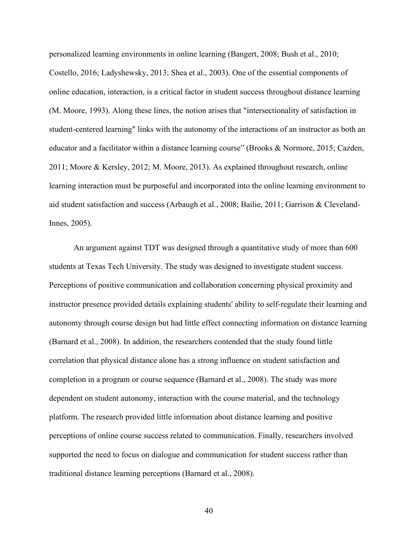personalized learning environments in online learning (Bangert, 2008; Bush et al., 2010; Costello, 2016; Ladyshewsky, 2013; Shea et al., 2003). One of the essential components of online education, interaction, is a critical factor in student success throughout distance learning (M. Moore, 1993). Along these lines, the notion arises that "intersectionality of satisfaction in student-centered learning" links with the autonomy of the interactions of an instructor as both an educator and a facilitator within a distance learning course" (Brooks & Normore, 2015; Cazden, 2011; Moore & Kersley, 2012; M. Moore, 2013). As explained throughout research, online learning interaction must be purposeful and incorporated into the online learning environment to aid student satisfaction and success (Arbaugh et al., 2008; Bailie, 2011; Garrison & Cleveland-Innes, 2005).

An argument against TDT was designed through a quantitative study of more than 600 students at Texas Tech University. The study was designed to investigate student success. Perceptions of positive communication and collaboration concerning physical proximity and instructor presence provided details explaining students' ability to self-regulate their learning and autonomy through course design but had little effect connecting information on distance learning (Barnard et al., 2008). In addition, the researchers contended that the study found little correlation that physical distance alone has a strong influence on student satisfaction and completion in a program or course sequence (Barnard et al., 2008). The study was more dependent on student autonomy, interaction with the course material, and the technology platform. The research provided little information about distance learning and positive perceptions of online course success related to communication. Finally, researchers involved supported the need to focus on dialogue and communication for student success rather than traditional distance learning perceptions (Barnard et al., 2008).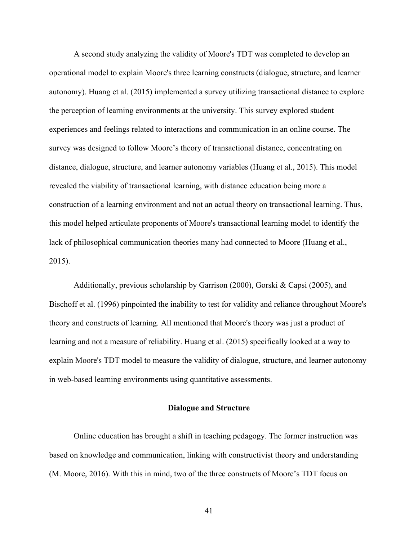A second study analyzing the validity of Moore's TDT was completed to develop an operational model to explain Moore's three learning constructs (dialogue, structure, and learner autonomy). Huang et al. (2015) implemented a survey utilizing transactional distance to explore the perception of learning environments at the university. This survey explored student experiences and feelings related to interactions and communication in an online course. The survey was designed to follow Moore's theory of transactional distance, concentrating on distance, dialogue, structure, and learner autonomy variables (Huang et al., 2015). This model revealed the viability of transactional learning, with distance education being more a construction of a learning environment and not an actual theory on transactional learning. Thus, this model helped articulate proponents of Moore's transactional learning model to identify the lack of philosophical communication theories many had connected to Moore (Huang et al., 2015).

Additionally, previous scholarship by Garrison (2000), Gorski & Capsi (2005), and Bischoff et al. (1996) pinpointed the inability to test for validity and reliance throughout Moore's theory and constructs of learning. All mentioned that Moore's theory was just a product of learning and not a measure of reliability. Huang et al. (2015) specifically looked at a way to explain Moore's TDT model to measure the validity of dialogue, structure, and learner autonomy in web-based learning environments using quantitative assessments.

#### **Dialogue and Structure**

Online education has brought a shift in teaching pedagogy. The former instruction was based on knowledge and communication, linking with constructivist theory and understanding (M. Moore, 2016). With this in mind, two of the three constructs of Moore's TDT focus on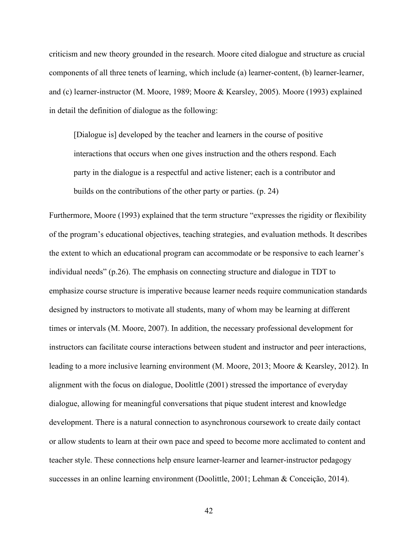criticism and new theory grounded in the research. Moore cited dialogue and structure as crucial components of all three tenets of learning, which include (a) learner-content, (b) learner-learner, and (c) learner-instructor (M. Moore, 1989; Moore & Kearsley, 2005). Moore (1993) explained in detail the definition of dialogue as the following:

[Dialogue is] developed by the teacher and learners in the course of positive interactions that occurs when one gives instruction and the others respond. Each party in the dialogue is a respectful and active listener; each is a contributor and builds on the contributions of the other party or parties. (p. 24)

Furthermore, Moore (1993) explained that the term structure "expresses the rigidity or flexibility of the program's educational objectives, teaching strategies, and evaluation methods. It describes the extent to which an educational program can accommodate or be responsive to each learner's individual needs" (p.26). The emphasis on connecting structure and dialogue in TDT to emphasize course structure is imperative because learner needs require communication standards designed by instructors to motivate all students, many of whom may be learning at different times or intervals (M. Moore, 2007). In addition, the necessary professional development for instructors can facilitate course interactions between student and instructor and peer interactions, leading to a more inclusive learning environment (M. Moore, 2013; Moore & Kearsley, 2012). In alignment with the focus on dialogue, Doolittle (2001) stressed the importance of everyday dialogue, allowing for meaningful conversations that pique student interest and knowledge development. There is a natural connection to asynchronous coursework to create daily contact or allow students to learn at their own pace and speed to become more acclimated to content and teacher style. These connections help ensure learner-learner and learner-instructor pedagogy successes in an online learning environment (Doolittle, 2001; Lehman & Conceição, 2014).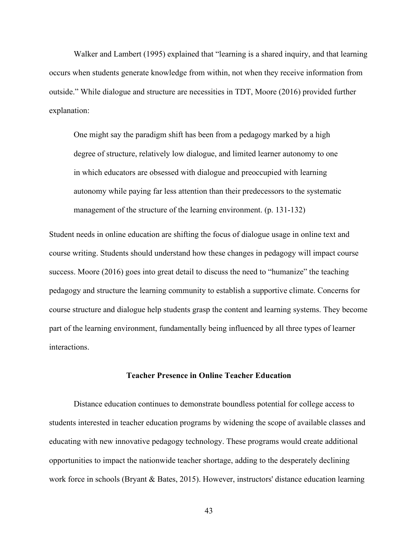Walker and Lambert (1995) explained that "learning is a shared inquiry, and that learning occurs when students generate knowledge from within, not when they receive information from outside." While dialogue and structure are necessities in TDT, Moore (2016) provided further explanation:

One might say the paradigm shift has been from a pedagogy marked by a high degree of structure, relatively low dialogue, and limited learner autonomy to one in which educators are obsessed with dialogue and preoccupied with learning autonomy while paying far less attention than their predecessors to the systematic management of the structure of the learning environment. (p. 131-132)

Student needs in online education are shifting the focus of dialogue usage in online text and course writing. Students should understand how these changes in pedagogy will impact course success. Moore (2016) goes into great detail to discuss the need to "humanize" the teaching pedagogy and structure the learning community to establish a supportive climate. Concerns for course structure and dialogue help students grasp the content and learning systems. They become part of the learning environment, fundamentally being influenced by all three types of learner interactions.

# **Teacher Presence in Online Teacher Education**

Distance education continues to demonstrate boundless potential for college access to students interested in teacher education programs by widening the scope of available classes and educating with new innovative pedagogy technology. These programs would create additional opportunities to impact the nationwide teacher shortage, adding to the desperately declining work force in schools (Bryant & Bates, 2015). However, instructors' distance education learning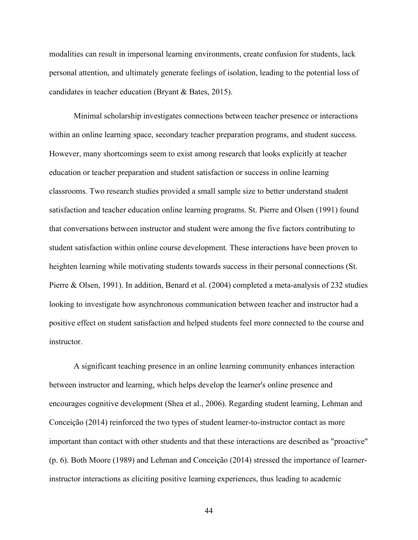modalities can result in impersonal learning environments, create confusion for students, lack personal attention, and ultimately generate feelings of isolation, leading to the potential loss of candidates in teacher education (Bryant & Bates, 2015).

Minimal scholarship investigates connections between teacher presence or interactions within an online learning space, secondary teacher preparation programs, and student success. However, many shortcomings seem to exist among research that looks explicitly at teacher education or teacher preparation and student satisfaction or success in online learning classrooms. Two research studies provided a small sample size to better understand student satisfaction and teacher education online learning programs. St. Pierre and Olsen (1991) found that conversations between instructor and student were among the five factors contributing to student satisfaction within online course development. These interactions have been proven to heighten learning while motivating students towards success in their personal connections (St. Pierre & Olsen, 1991). In addition, Benard et al. (2004) completed a meta-analysis of 232 studies looking to investigate how asynchronous communication between teacher and instructor had a positive effect on student satisfaction and helped students feel more connected to the course and instructor.

A significant teaching presence in an online learning community enhances interaction between instructor and learning, which helps develop the learner's online presence and encourages cognitive development (Shea et al., 2006). Regarding student learning, Lehman and Conceição (2014) reinforced the two types of student learner-to-instructor contact as more important than contact with other students and that these interactions are described as "proactive" (p. 6). Both Moore (1989) and Lehman and Conceição (2014) stressed the importance of learnerinstructor interactions as eliciting positive learning experiences, thus leading to academic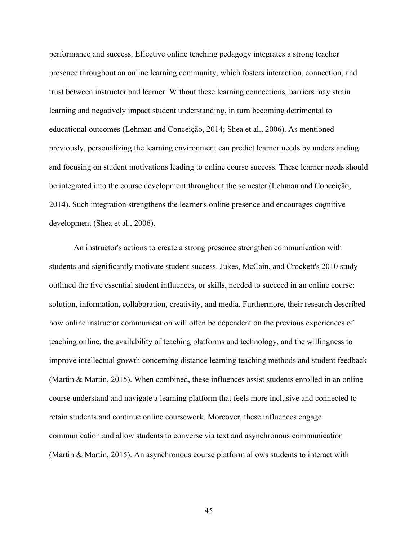performance and success. Effective online teaching pedagogy integrates a strong teacher presence throughout an online learning community, which fosters interaction, connection, and trust between instructor and learner. Without these learning connections, barriers may strain learning and negatively impact student understanding, in turn becoming detrimental to educational outcomes (Lehman and Conceição, 2014; Shea et al., 2006). As mentioned previously, personalizing the learning environment can predict learner needs by understanding and focusing on student motivations leading to online course success. These learner needs should be integrated into the course development throughout the semester (Lehman and Conceição, 2014). Such integration strengthens the learner's online presence and encourages cognitive development (Shea et al., 2006).

An instructor's actions to create a strong presence strengthen communication with students and significantly motivate student success. Jukes, McCain, and Crockett's 2010 study outlined the five essential student influences, or skills, needed to succeed in an online course: solution, information, collaboration, creativity, and media. Furthermore, their research described how online instructor communication will often be dependent on the previous experiences of teaching online, the availability of teaching platforms and technology, and the willingness to improve intellectual growth concerning distance learning teaching methods and student feedback (Martin & Martin, 2015). When combined, these influences assist students enrolled in an online course understand and navigate a learning platform that feels more inclusive and connected to retain students and continue online coursework. Moreover, these influences engage communication and allow students to converse via text and asynchronous communication (Martin & Martin, 2015). An asynchronous course platform allows students to interact with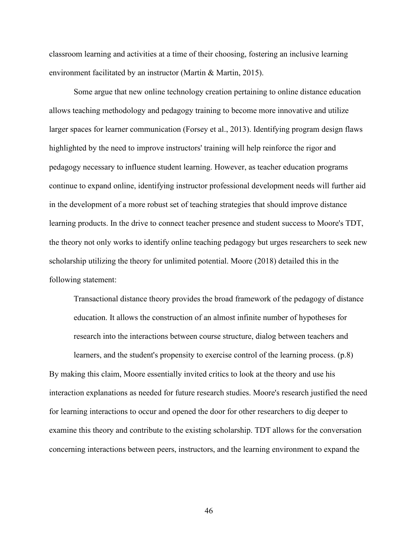classroom learning and activities at a time of their choosing, fostering an inclusive learning environment facilitated by an instructor (Martin & Martin, 2015).

Some argue that new online technology creation pertaining to online distance education allows teaching methodology and pedagogy training to become more innovative and utilize larger spaces for learner communication (Forsey et al., 2013). Identifying program design flaws highlighted by the need to improve instructors' training will help reinforce the rigor and pedagogy necessary to influence student learning. However, as teacher education programs continue to expand online, identifying instructor professional development needs will further aid in the development of a more robust set of teaching strategies that should improve distance learning products. In the drive to connect teacher presence and student success to Moore's TDT, the theory not only works to identify online teaching pedagogy but urges researchers to seek new scholarship utilizing the theory for unlimited potential. Moore (2018) detailed this in the following statement:

Transactional distance theory provides the broad framework of the pedagogy of distance education. It allows the construction of an almost infinite number of hypotheses for research into the interactions between course structure, dialog between teachers and

learners, and the student's propensity to exercise control of the learning process. (p.8) By making this claim, Moore essentially invited critics to look at the theory and use his interaction explanations as needed for future research studies. Moore's research justified the need for learning interactions to occur and opened the door for other researchers to dig deeper to examine this theory and contribute to the existing scholarship. TDT allows for the conversation concerning interactions between peers, instructors, and the learning environment to expand the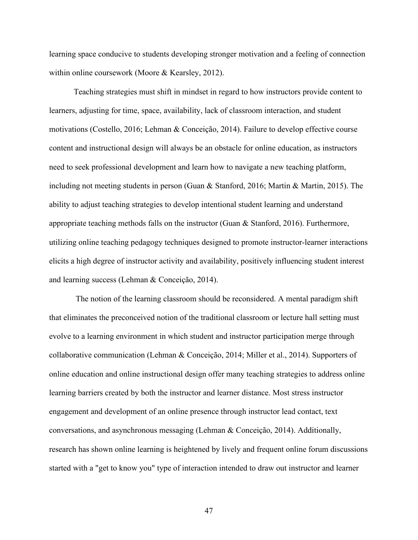learning space conducive to students developing stronger motivation and a feeling of connection within online coursework (Moore & Kearsley, 2012).

Teaching strategies must shift in mindset in regard to how instructors provide content to learners, adjusting for time, space, availability, lack of classroom interaction, and student motivations (Costello, 2016; Lehman & Conceição, 2014). Failure to develop effective course content and instructional design will always be an obstacle for online education, as instructors need to seek professional development and learn how to navigate a new teaching platform, including not meeting students in person (Guan & Stanford, 2016; Martin & Martin, 2015). The ability to adjust teaching strategies to develop intentional student learning and understand appropriate teaching methods falls on the instructor (Guan & Stanford, 2016). Furthermore, utilizing online teaching pedagogy techniques designed to promote instructor-learner interactions elicits a high degree of instructor activity and availability, positively influencing student interest and learning success (Lehman & Conceição, 2014).

The notion of the learning classroom should be reconsidered. A mental paradigm shift that eliminates the preconceived notion of the traditional classroom or lecture hall setting must evolve to a learning environment in which student and instructor participation merge through collaborative communication (Lehman & Conceição, 2014; Miller et al., 2014). Supporters of online education and online instructional design offer many teaching strategies to address online learning barriers created by both the instructor and learner distance. Most stress instructor engagement and development of an online presence through instructor lead contact, text conversations, and asynchronous messaging (Lehman & Conceição, 2014). Additionally, research has shown online learning is heightened by lively and frequent online forum discussions started with a "get to know you" type of interaction intended to draw out instructor and learner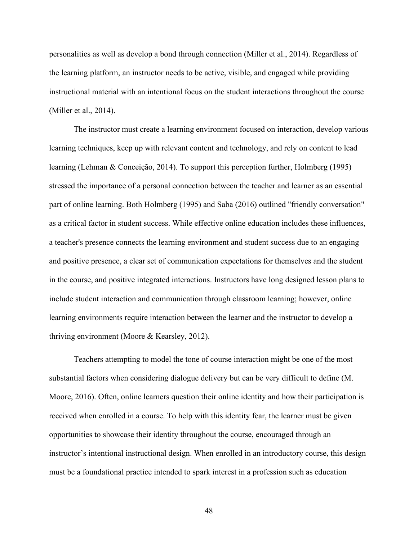personalities as well as develop a bond through connection (Miller et al., 2014). Regardless of the learning platform, an instructor needs to be active, visible, and engaged while providing instructional material with an intentional focus on the student interactions throughout the course (Miller et al., 2014).

The instructor must create a learning environment focused on interaction, develop various learning techniques, keep up with relevant content and technology, and rely on content to lead learning (Lehman & Conceição, 2014). To support this perception further, Holmberg (1995) stressed the importance of a personal connection between the teacher and learner as an essential part of online learning. Both Holmberg (1995) and Saba (2016) outlined "friendly conversation" as a critical factor in student success. While effective online education includes these influences, a teacher's presence connects the learning environment and student success due to an engaging and positive presence, a clear set of communication expectations for themselves and the student in the course, and positive integrated interactions. Instructors have long designed lesson plans to include student interaction and communication through classroom learning; however, online learning environments require interaction between the learner and the instructor to develop a thriving environment (Moore & Kearsley, 2012).

Teachers attempting to model the tone of course interaction might be one of the most substantial factors when considering dialogue delivery but can be very difficult to define (M. Moore, 2016). Often, online learners question their online identity and how their participation is received when enrolled in a course. To help with this identity fear, the learner must be given opportunities to showcase their identity throughout the course, encouraged through an instructor's intentional instructional design. When enrolled in an introductory course, this design must be a foundational practice intended to spark interest in a profession such as education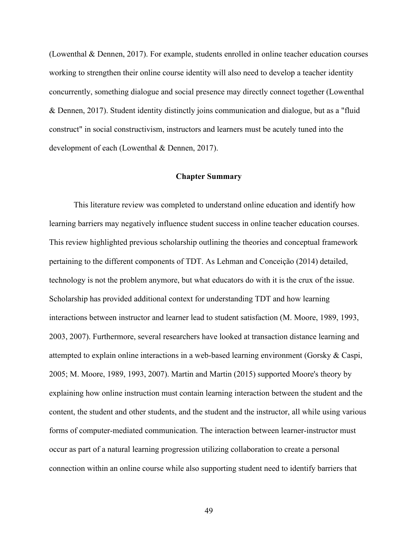(Lowenthal & Dennen, 2017). For example, students enrolled in online teacher education courses working to strengthen their online course identity will also need to develop a teacher identity concurrently, something dialogue and social presence may directly connect together (Lowenthal & Dennen, 2017). Student identity distinctly joins communication and dialogue, but as a "fluid construct" in social constructivism, instructors and learners must be acutely tuned into the development of each (Lowenthal & Dennen, 2017).

# **Chapter Summary**

This literature review was completed to understand online education and identify how learning barriers may negatively influence student success in online teacher education courses. This review highlighted previous scholarship outlining the theories and conceptual framework pertaining to the different components of TDT. As Lehman and Conceição (2014) detailed, technology is not the problem anymore, but what educators do with it is the crux of the issue. Scholarship has provided additional context for understanding TDT and how learning interactions between instructor and learner lead to student satisfaction (M. Moore, 1989, 1993, 2003, 2007). Furthermore, several researchers have looked at transaction distance learning and attempted to explain online interactions in a web-based learning environment (Gorsky & Caspi, 2005; M. Moore, 1989, 1993, 2007). Martin and Martin (2015) supported Moore's theory by explaining how online instruction must contain learning interaction between the student and the content, the student and other students, and the student and the instructor, all while using various forms of computer-mediated communication. The interaction between learner-instructor must occur as part of a natural learning progression utilizing collaboration to create a personal connection within an online course while also supporting student need to identify barriers that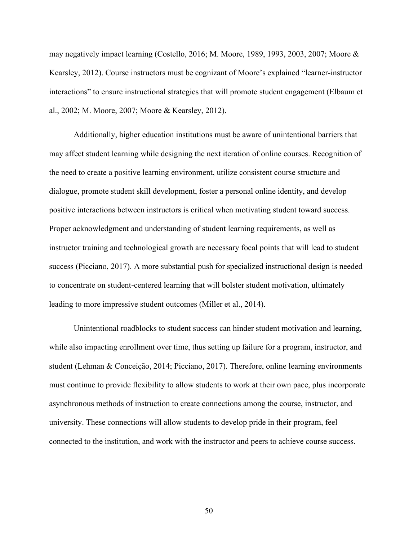may negatively impact learning (Costello, 2016; M. Moore, 1989, 1993, 2003, 2007; Moore & Kearsley, 2012). Course instructors must be cognizant of Moore's explained "learner-instructor interactions" to ensure instructional strategies that will promote student engagement (Elbaum et al., 2002; M. Moore, 2007; Moore & Kearsley, 2012).

Additionally, higher education institutions must be aware of unintentional barriers that may affect student learning while designing the next iteration of online courses. Recognition of the need to create a positive learning environment, utilize consistent course structure and dialogue, promote student skill development, foster a personal online identity, and develop positive interactions between instructors is critical when motivating student toward success. Proper acknowledgment and understanding of student learning requirements, as well as instructor training and technological growth are necessary focal points that will lead to student success (Picciano, 2017). A more substantial push for specialized instructional design is needed to concentrate on student-centered learning that will bolster student motivation, ultimately leading to more impressive student outcomes (Miller et al., 2014).

Unintentional roadblocks to student success can hinder student motivation and learning, while also impacting enrollment over time, thus setting up failure for a program, instructor, and student (Lehman & Conceição, 2014; Picciano, 2017). Therefore, online learning environments must continue to provide flexibility to allow students to work at their own pace, plus incorporate asynchronous methods of instruction to create connections among the course, instructor, and university. These connections will allow students to develop pride in their program, feel connected to the institution, and work with the instructor and peers to achieve course success.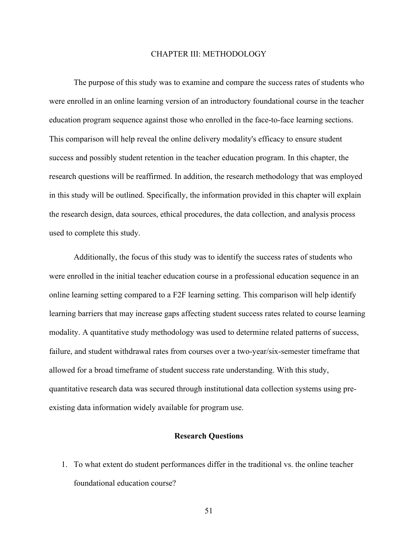## CHAPTER III: METHODOLOGY

The purpose of this study was to examine and compare the success rates of students who were enrolled in an online learning version of an introductory foundational course in the teacher education program sequence against those who enrolled in the face-to-face learning sections. This comparison will help reveal the online delivery modality's efficacy to ensure student success and possibly student retention in the teacher education program. In this chapter, the research questions will be reaffirmed. In addition, the research methodology that was employed in this study will be outlined. Specifically, the information provided in this chapter will explain the research design, data sources, ethical procedures, the data collection, and analysis process used to complete this study.

Additionally, the focus of this study was to identify the success rates of students who were enrolled in the initial teacher education course in a professional education sequence in an online learning setting compared to a F2F learning setting. This comparison will help identify learning barriers that may increase gaps affecting student success rates related to course learning modality. A quantitative study methodology was used to determine related patterns of success, failure, and student withdrawal rates from courses over a two-year/six-semester timeframe that allowed for a broad timeframe of student success rate understanding. With this study, quantitative research data was secured through institutional data collection systems using preexisting data information widely available for program use.

# **Research Questions**

1. To what extent do student performances differ in the traditional vs. the online teacher foundational education course?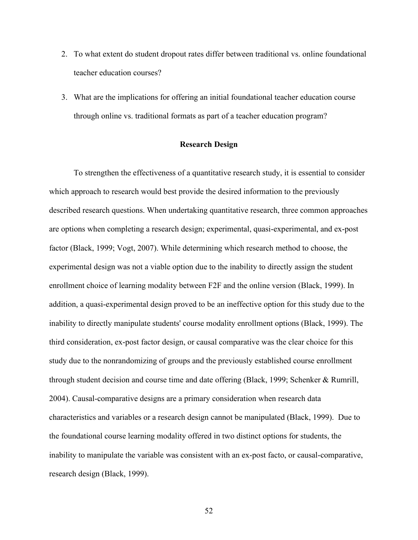- 2. To what extent do student dropout rates differ between traditional vs. online foundational teacher education courses?
- 3. What are the implications for offering an initial foundational teacher education course through online vs. traditional formats as part of a teacher education program?

## **Research Design**

To strengthen the effectiveness of a quantitative research study, it is essential to consider which approach to research would best provide the desired information to the previously described research questions. When undertaking quantitative research, three common approaches are options when completing a research design; experimental, quasi-experimental, and ex-post factor (Black, 1999; Vogt, 2007). While determining which research method to choose, the experimental design was not a viable option due to the inability to directly assign the student enrollment choice of learning modality between F2F and the online version (Black, 1999). In addition, a quasi-experimental design proved to be an ineffective option for this study due to the inability to directly manipulate students' course modality enrollment options (Black, 1999). The third consideration, ex-post factor design, or causal comparative was the clear choice for this study due to the nonrandomizing of groups and the previously established course enrollment through student decision and course time and date offering (Black, 1999; Schenker & Rumrill, 2004). Causal-comparative designs are a primary consideration when research data characteristics and variables or a research design cannot be manipulated (Black, 1999). Due to the foundational course learning modality offered in two distinct options for students, the inability to manipulate the variable was consistent with an ex-post facto, or causal-comparative, research design (Black, 1999).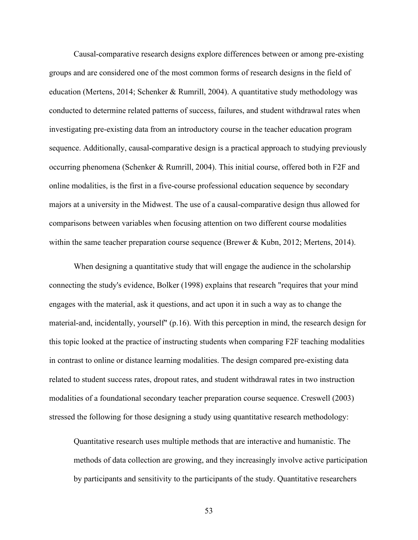Causal-comparative research designs explore differences between or among pre-existing groups and are considered one of the most common forms of research designs in the field of education (Mertens, 2014; Schenker & Rumrill, 2004). A quantitative study methodology was conducted to determine related patterns of success, failures, and student withdrawal rates when investigating pre-existing data from an introductory course in the teacher education program sequence. Additionally, causal-comparative design is a practical approach to studying previously occurring phenomena (Schenker & Rumrill, 2004). This initial course, offered both in F2F and online modalities, is the first in a five-course professional education sequence by secondary majors at a university in the Midwest. The use of a causal-comparative design thus allowed for comparisons between variables when focusing attention on two different course modalities within the same teacher preparation course sequence (Brewer & Kubn, 2012; Mertens, 2014).

When designing a quantitative study that will engage the audience in the scholarship connecting the study's evidence, Bolker (1998) explains that research "requires that your mind engages with the material, ask it questions, and act upon it in such a way as to change the material-and, incidentally, yourself" (p.16). With this perception in mind, the research design for this topic looked at the practice of instructing students when comparing F2F teaching modalities in contrast to online or distance learning modalities. The design compared pre-existing data related to student success rates, dropout rates, and student withdrawal rates in two instruction modalities of a foundational secondary teacher preparation course sequence. Creswell (2003) stressed the following for those designing a study using quantitative research methodology:

Quantitative research uses multiple methods that are interactive and humanistic. The methods of data collection are growing, and they increasingly involve active participation by participants and sensitivity to the participants of the study. Quantitative researchers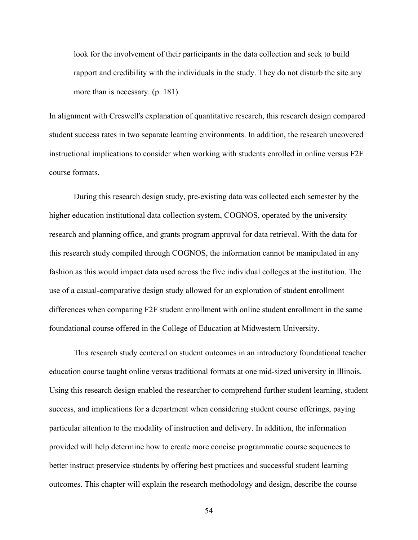look for the involvement of their participants in the data collection and seek to build rapport and credibility with the individuals in the study. They do not disturb the site any more than is necessary. (p. 181)

In alignment with Creswell's explanation of quantitative research, this research design compared student success rates in two separate learning environments. In addition, the research uncovered instructional implications to consider when working with students enrolled in online versus F2F course formats.

During this research design study, pre-existing data was collected each semester by the higher education institutional data collection system, COGNOS, operated by the university research and planning office, and grants program approval for data retrieval. With the data for this research study compiled through COGNOS, the information cannot be manipulated in any fashion as this would impact data used across the five individual colleges at the institution. The use of a casual-comparative design study allowed for an exploration of student enrollment differences when comparing F2F student enrollment with online student enrollment in the same foundational course offered in the College of Education at Midwestern University.

This research study centered on student outcomes in an introductory foundational teacher education course taught online versus traditional formats at one mid-sized university in Illinois. Using this research design enabled the researcher to comprehend further student learning, student success, and implications for a department when considering student course offerings, paying particular attention to the modality of instruction and delivery. In addition, the information provided will help determine how to create more concise programmatic course sequences to better instruct preservice students by offering best practices and successful student learning outcomes. This chapter will explain the research methodology and design, describe the course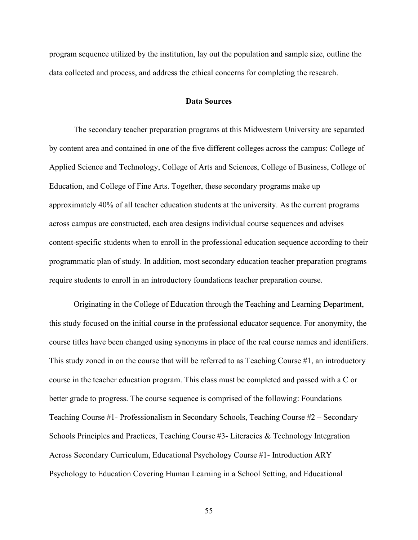program sequence utilized by the institution, lay out the population and sample size, outline the data collected and process, and address the ethical concerns for completing the research.

## **Data Sources**

The secondary teacher preparation programs at this Midwestern University are separated by content area and contained in one of the five different colleges across the campus: College of Applied Science and Technology, College of Arts and Sciences, College of Business, College of Education, and College of Fine Arts. Together, these secondary programs make up approximately 40% of all teacher education students at the university. As the current programs across campus are constructed, each area designs individual course sequences and advises content-specific students when to enroll in the professional education sequence according to their programmatic plan of study. In addition, most secondary education teacher preparation programs require students to enroll in an introductory foundations teacher preparation course.

Originating in the College of Education through the Teaching and Learning Department, this study focused on the initial course in the professional educator sequence. For anonymity, the course titles have been changed using synonyms in place of the real course names and identifiers. This study zoned in on the course that will be referred to as Teaching Course #1, an introductory course in the teacher education program. This class must be completed and passed with a C or better grade to progress. The course sequence is comprised of the following: Foundations Teaching Course #1- Professionalism in Secondary Schools, Teaching Course #2 – Secondary Schools Principles and Practices, Teaching Course #3- Literacies & Technology Integration Across Secondary Curriculum, Educational Psychology Course #1- Introduction ARY Psychology to Education Covering Human Learning in a School Setting, and Educational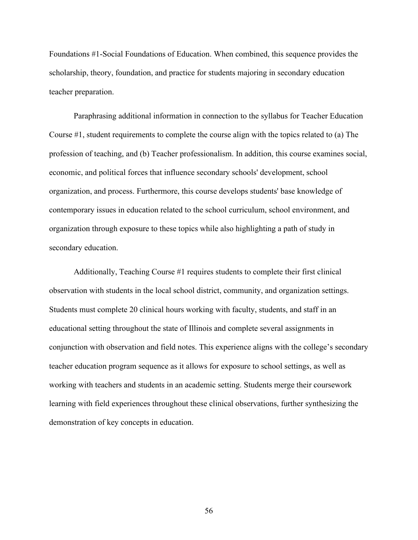Foundations #1-Social Foundations of Education. When combined, this sequence provides the scholarship, theory, foundation, and practice for students majoring in secondary education teacher preparation.

Paraphrasing additional information in connection to the syllabus for Teacher Education Course #1, student requirements to complete the course align with the topics related to (a) The profession of teaching, and (b) Teacher professionalism. In addition, this course examines social, economic, and political forces that influence secondary schools' development, school organization, and process. Furthermore, this course develops students' base knowledge of contemporary issues in education related to the school curriculum, school environment, and organization through exposure to these topics while also highlighting a path of study in secondary education.

Additionally, Teaching Course #1 requires students to complete their first clinical observation with students in the local school district, community, and organization settings. Students must complete 20 clinical hours working with faculty, students, and staff in an educational setting throughout the state of Illinois and complete several assignments in conjunction with observation and field notes. This experience aligns with the college's secondary teacher education program sequence as it allows for exposure to school settings, as well as working with teachers and students in an academic setting. Students merge their coursework learning with field experiences throughout these clinical observations, further synthesizing the demonstration of key concepts in education.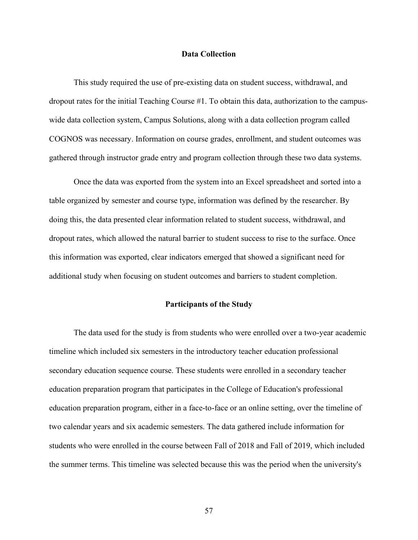## **Data Collection**

This study required the use of pre-existing data on student success, withdrawal, and dropout rates for the initial Teaching Course #1. To obtain this data, authorization to the campuswide data collection system, Campus Solutions, along with a data collection program called COGNOS was necessary. Information on course grades, enrollment, and student outcomes was gathered through instructor grade entry and program collection through these two data systems.

Once the data was exported from the system into an Excel spreadsheet and sorted into a table organized by semester and course type, information was defined by the researcher. By doing this, the data presented clear information related to student success, withdrawal, and dropout rates, which allowed the natural barrier to student success to rise to the surface. Once this information was exported, clear indicators emerged that showed a significant need for additional study when focusing on student outcomes and barriers to student completion.

### **Participants of the Study**

The data used for the study is from students who were enrolled over a two-year academic timeline which included six semesters in the introductory teacher education professional secondary education sequence course. These students were enrolled in a secondary teacher education preparation program that participates in the College of Education's professional education preparation program, either in a face-to-face or an online setting, over the timeline of two calendar years and six academic semesters. The data gathered include information for students who were enrolled in the course between Fall of 2018 and Fall of 2019, which included the summer terms. This timeline was selected because this was the period when the university's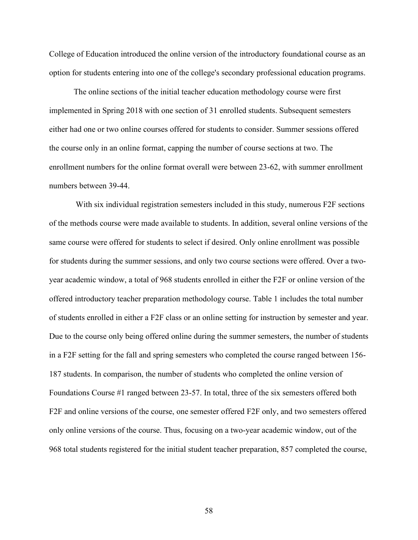College of Education introduced the online version of the introductory foundational course as an option for students entering into one of the college's secondary professional education programs.

The online sections of the initial teacher education methodology course were first implemented in Spring 2018 with one section of 31 enrolled students. Subsequent semesters either had one or two online courses offered for students to consider. Summer sessions offered the course only in an online format, capping the number of course sections at two. The enrollment numbers for the online format overall were between 23-62, with summer enrollment numbers between 39-44.

With six individual registration semesters included in this study, numerous F2F sections of the methods course were made available to students. In addition, several online versions of the same course were offered for students to select if desired. Only online enrollment was possible for students during the summer sessions, and only two course sections were offered. Over a twoyear academic window, a total of 968 students enrolled in either the F2F or online version of the offered introductory teacher preparation methodology course. Table 1 includes the total number of students enrolled in either a F2F class or an online setting for instruction by semester and year. Due to the course only being offered online during the summer semesters, the number of students in a F2F setting for the fall and spring semesters who completed the course ranged between 156- 187 students. In comparison, the number of students who completed the online version of Foundations Course #1 ranged between 23-57. In total, three of the six semesters offered both F2F and online versions of the course, one semester offered F2F only, and two semesters offered only online versions of the course. Thus, focusing on a two-year academic window, out of the 968 total students registered for the initial student teacher preparation, 857 completed the course,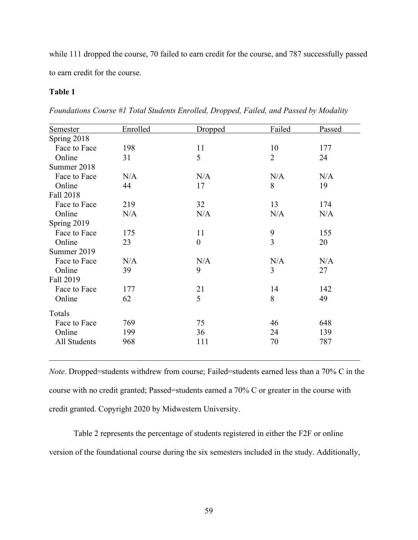while 111 dropped the course, 70 failed to earn credit for the course, and 787 successfully passed to earn credit for the course.

# **Table 1**

*Foundations Course #1 Total Students Enrolled, Dropped, Failed, and Passed by Modality* 

| Semester     | Enrolled | Dropped          | Failed         | Passed |
|--------------|----------|------------------|----------------|--------|
| Spring 2018  |          |                  |                |        |
| Face to Face | 198      | 11               | 10             | 177    |
| Online       | 31       | 5                | $\overline{2}$ | 24     |
| Summer 2018  |          |                  |                |        |
| Face to Face | N/A      | N/A              | N/A            | N/A    |
| Online       | 44       | 17               | 8              | 19     |
| Fall 2018    |          |                  |                |        |
| Face to Face | 219      | 32               | 13             | 174    |
| Online       | N/A      | N/A              | N/A            | N/A    |
| Spring 2019  |          |                  |                |        |
| Face to Face | 175      | 11               | 9              | 155    |
| Online       | 23       | $\boldsymbol{0}$ | 3              | 20     |
| Summer 2019  |          |                  |                |        |
| Face to Face | N/A      | N/A              | N/A            | N/A    |
| Online       | 39       | 9                | 3              | 27     |
| Fall 2019    |          |                  |                |        |
| Face to Face | 177      | 21               | 14             | 142    |
| Online       | 62       | 5                | 8              | 49     |
| Totals       |          |                  |                |        |
| Face to Face | 769      | 75               | 46             | 648    |
| Online       | 199      | 36               | 24             | 139    |
| All Students | 968      | 111              | 70             | 787    |

*Note*. Dropped=students withdrew from course; Failed=students earned less than a 70% C in the course with no credit granted; Passed=students earned a 70% C or greater in the course with credit granted. Copyright 2020 by Midwestern University.

Table 2 represents the percentage of students registered in either the F2F or online version of the foundational course during the six semesters included in the study. Additionally,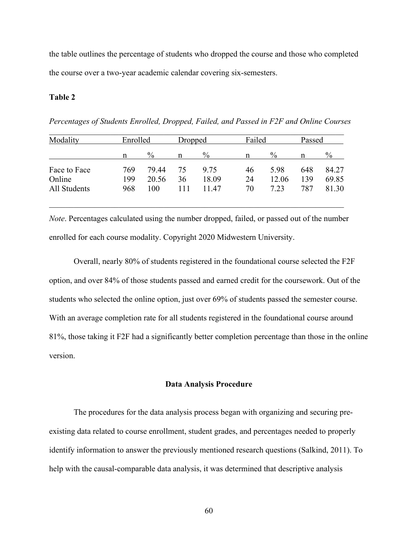the table outlines the percentage of students who dropped the course and those who completed the course over a two-year academic calendar covering six-semesters.

#### **Table 2**

*Percentages of Students Enrolled, Dropped, Failed, and Passed in F2F and Online Courses* 

| Modality     | Enrolled |       | Dropped |       | Failed |       | Passed |       |
|--------------|----------|-------|---------|-------|--------|-------|--------|-------|
|              | n        | $\%$  | n       | $\%$  | n      | $\%$  | n      | $\%$  |
| Face to Face | 769      | 79.44 | 75      | 9.75  | 46     | 5.98  | 648    | 84.27 |
| Online       | 199      | 20.56 | 36      | 18.09 | 24     | 12.06 | 139    | 69.85 |
| All Students | 968      | 100   |         | 11.47 | 70     | 7.23  | 787    | 81.30 |

*Note*. Percentages calculated using the number dropped, failed, or passed out of the number enrolled for each course modality. Copyright 2020 Midwestern University.

 $\mathcal{L}_\text{G}$  , and the contribution of the contribution of the contribution of the contribution of the contribution of the contribution of the contribution of the contribution of the contribution of the contribution of t

Overall, nearly 80% of students registered in the foundational course selected the F2F option, and over 84% of those students passed and earned credit for the coursework. Out of the students who selected the online option, just over 69% of students passed the semester course. With an average completion rate for all students registered in the foundational course around 81%, those taking it F2F had a significantly better completion percentage than those in the online version.

#### **Data Analysis Procedure**

 The procedures for the data analysis process began with organizing and securing preexisting data related to course enrollment, student grades, and percentages needed to properly identify information to answer the previously mentioned research questions (Salkind, 2011). To help with the causal-comparable data analysis, it was determined that descriptive analysis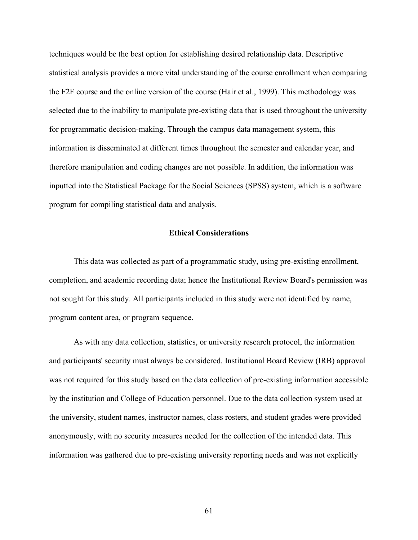techniques would be the best option for establishing desired relationship data. Descriptive statistical analysis provides a more vital understanding of the course enrollment when comparing the F2F course and the online version of the course (Hair et al., 1999). This methodology was selected due to the inability to manipulate pre-existing data that is used throughout the university for programmatic decision-making. Through the campus data management system, this information is disseminated at different times throughout the semester and calendar year, and therefore manipulation and coding changes are not possible. In addition, the information was inputted into the Statistical Package for the Social Sciences (SPSS) system, which is a software program for compiling statistical data and analysis.

# **Ethical Considerations**

This data was collected as part of a programmatic study, using pre-existing enrollment, completion, and academic recording data; hence the Institutional Review Board's permission was not sought for this study. All participants included in this study were not identified by name, program content area, or program sequence.

As with any data collection, statistics, or university research protocol, the information and participants' security must always be considered. Institutional Board Review (IRB) approval was not required for this study based on the data collection of pre-existing information accessible by the institution and College of Education personnel. Due to the data collection system used at the university, student names, instructor names, class rosters, and student grades were provided anonymously, with no security measures needed for the collection of the intended data. This information was gathered due to pre-existing university reporting needs and was not explicitly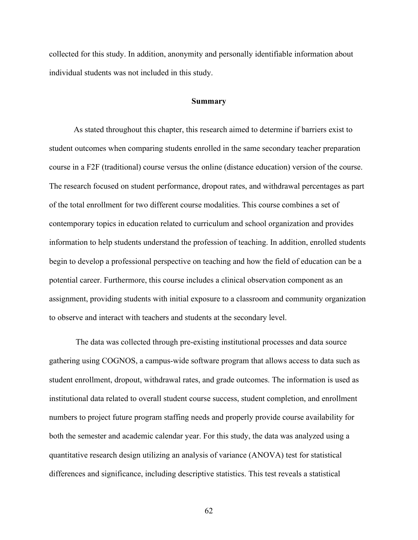collected for this study. In addition, anonymity and personally identifiable information about individual students was not included in this study.

#### **Summary**

As stated throughout this chapter, this research aimed to determine if barriers exist to student outcomes when comparing students enrolled in the same secondary teacher preparation course in a F2F (traditional) course versus the online (distance education) version of the course. The research focused on student performance, dropout rates, and withdrawal percentages as part of the total enrollment for two different course modalities. This course combines a set of contemporary topics in education related to curriculum and school organization and provides information to help students understand the profession of teaching. In addition, enrolled students begin to develop a professional perspective on teaching and how the field of education can be a potential career. Furthermore, this course includes a clinical observation component as an assignment, providing students with initial exposure to a classroom and community organization to observe and interact with teachers and students at the secondary level.

The data was collected through pre-existing institutional processes and data source gathering using COGNOS, a campus-wide software program that allows access to data such as student enrollment, dropout, withdrawal rates, and grade outcomes. The information is used as institutional data related to overall student course success, student completion, and enrollment numbers to project future program staffing needs and properly provide course availability for both the semester and academic calendar year. For this study, the data was analyzed using a quantitative research design utilizing an analysis of variance (ANOVA) test for statistical differences and significance, including descriptive statistics. This test reveals a statistical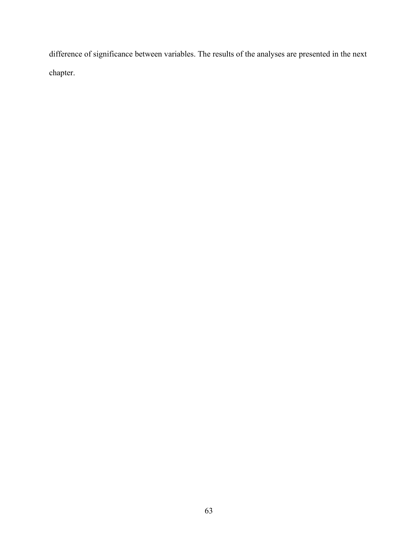difference of significance between variables. The results of the analyses are presented in the next chapter.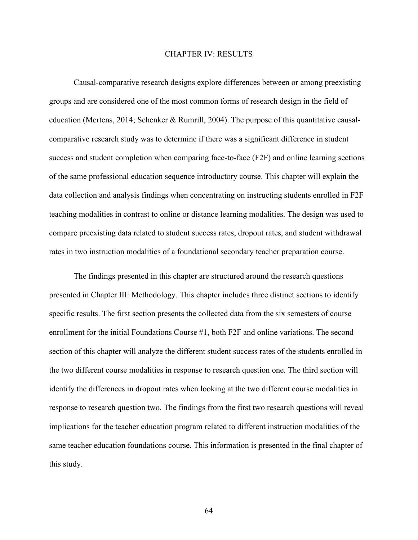#### CHAPTER IV: RESULTS

Causal-comparative research designs explore differences between or among preexisting groups and are considered one of the most common forms of research design in the field of education (Mertens, 2014; Schenker & Rumrill, 2004). The purpose of this quantitative causalcomparative research study was to determine if there was a significant difference in student success and student completion when comparing face-to-face (F2F) and online learning sections of the same professional education sequence introductory course. This chapter will explain the data collection and analysis findings when concentrating on instructing students enrolled in F2F teaching modalities in contrast to online or distance learning modalities. The design was used to compare preexisting data related to student success rates, dropout rates, and student withdrawal rates in two instruction modalities of a foundational secondary teacher preparation course.

The findings presented in this chapter are structured around the research questions presented in Chapter III: Methodology. This chapter includes three distinct sections to identify specific results. The first section presents the collected data from the six semesters of course enrollment for the initial Foundations Course #1, both F2F and online variations. The second section of this chapter will analyze the different student success rates of the students enrolled in the two different course modalities in response to research question one. The third section will identify the differences in dropout rates when looking at the two different course modalities in response to research question two. The findings from the first two research questions will reveal implications for the teacher education program related to different instruction modalities of the same teacher education foundations course. This information is presented in the final chapter of this study.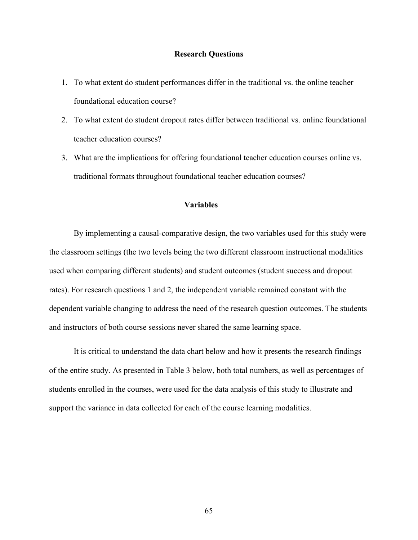#### **Research Questions**

- 1. To what extent do student performances differ in the traditional vs. the online teacher foundational education course?
- 2. To what extent do student dropout rates differ between traditional vs. online foundational teacher education courses?
- 3. What are the implications for offering foundational teacher education courses online vs. traditional formats throughout foundational teacher education courses?

# **Variables**

By implementing a causal-comparative design, the two variables used for this study were the classroom settings (the two levels being the two different classroom instructional modalities used when comparing different students) and student outcomes (student success and dropout rates). For research questions 1 and 2, the independent variable remained constant with the dependent variable changing to address the need of the research question outcomes. The students and instructors of both course sessions never shared the same learning space.

It is critical to understand the data chart below and how it presents the research findings of the entire study. As presented in Table 3 below, both total numbers, as well as percentages of students enrolled in the courses, were used for the data analysis of this study to illustrate and support the variance in data collected for each of the course learning modalities.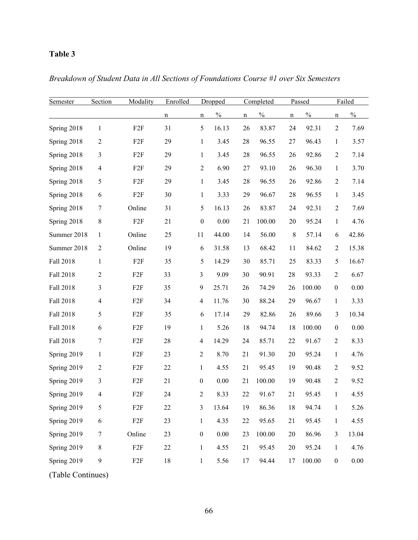# **Table 3**

| Semester    | Section          | Modality        | Enrolled | Dropped          |               |             | Completed     |             | Passed        |                  | Failed        |  |
|-------------|------------------|-----------------|----------|------------------|---------------|-------------|---------------|-------------|---------------|------------------|---------------|--|
|             |                  |                 | n        | n                | $\frac{0}{0}$ | $\mathbf n$ | $\frac{0}{0}$ | $\mathbf n$ | $\frac{0}{0}$ | n                | $\frac{0}{0}$ |  |
| Spring 2018 | 1                | F2F             | 31       | 5                | 16.13         | 26          | 83.87         | 24          | 92.31         | $\overline{2}$   | 7.69          |  |
| Spring 2018 | $\overline{2}$   | F2F             | 29       | $\mathbf{1}$     | 3.45          | 28          | 96.55         | 27          | 96.43         | $\mathbf{1}$     | 3.57          |  |
| Spring 2018 | 3                | F <sub>2F</sub> | 29       | $\mathbf{1}$     | 3.45          | 28          | 96.55         | 26          | 92.86         | $\overline{2}$   | 7.14          |  |
| Spring 2018 | $\overline{4}$   | F2F             | 29       | $\overline{2}$   | 6.90          | 27          | 93.10         | 26          | 96.30         | $\mathbf{1}$     | 3.70          |  |
| Spring 2018 | 5                | F <sub>2F</sub> | 29       | $\mathbf{1}$     | 3.45          | 28          | 96.55         | 26          | 92.86         | $\overline{c}$   | 7.14          |  |
| Spring 2018 | 6                | F <sub>2F</sub> | 30       | $\mathbf{1}$     | 3.33          | 29          | 96.67         | 28          | 96.55         | $\mathbf{1}$     | 3.45          |  |
| Spring 2018 | $\boldsymbol{7}$ | Online          | 31       | 5                | 16.13         | 26          | 83.87         | 24          | 92.31         | $\overline{2}$   | 7.69          |  |
| Spring 2018 | 8                | F2F             | 21       | $\boldsymbol{0}$ | 0.00          | 21          | 100.00        | 20          | 95.24         | $\mathbf{1}$     | 4.76          |  |
| Summer 2018 | $\mathbf{1}$     | Online          | 25       | 11               | 44.00         | 14          | 56.00         | 8           | 57.14         | 6                | 42.86         |  |
| Summer 2018 | $\overline{2}$   | Online          | 19       | 6                | 31.58         | 13          | 68.42         | 11          | 84.62         | $\overline{2}$   | 15.38         |  |
| Fall 2018   | $\mathbf{1}$     | F <sub>2F</sub> | 35       | 5                | 14.29         | 30          | 85.71         | 25          | 83.33         | 5                | 16.67         |  |
| Fall 2018   | $\overline{c}$   | F <sub>2F</sub> | 33       | $\overline{3}$   | 9.09          | 30          | 90.91         | 28          | 93.33         | $\overline{2}$   | 6.67          |  |
| Fall 2018   | 3                | F2F             | 35       | 9                | 25.71         | 26          | 74.29         | 26          | 100.00        | $\boldsymbol{0}$ | $0.00\,$      |  |
| Fall 2018   | $\overline{4}$   | F2F             | 34       | $\overline{4}$   | 11.76         | 30          | 88.24         | 29          | 96.67         | 1                | 3.33          |  |
| Fall 2018   | 5                | F2F             | 35       | 6                | 17.14         | 29          | 82.86         | 26          | 89.66         | 3                | 10.34         |  |
| Fall 2018   | 6                | F2F             | 19       | $\mathbf{1}$     | 5.26          | 18          | 94.74         | 18          | 100.00        | $\boldsymbol{0}$ | 0.00          |  |
| Fall 2018   | 7                | F <sub>2F</sub> | 28       | 4                | 14.29         | 24          | 85.71         | 22          | 91.67         | $\overline{2}$   | 8.33          |  |
| Spring 2019 | $\mathbf{1}$     | F <sub>2F</sub> | 23       | $\overline{2}$   | 8.70          | 21          | 91.30         | 20          | 95.24         | $\mathbf{1}$     | 4.76          |  |
| Spring 2019 | $\boldsymbol{2}$ | F <sub>2F</sub> | 22       | $\mathbf{1}$     | 4.55          | 21          | 95.45         | 19          | 90.48         | $\overline{2}$   | 9.52          |  |
| Spring 2019 | 3                | F <sub>2F</sub> | 21       | $\boldsymbol{0}$ | 0.00          | 21          | 100.00        | 19          | 90.48         | $\overline{2}$   | 9.52          |  |
| Spring 2019 | 4                | F <sub>2F</sub> | $24\,$   | 2                | 8.33          | 22          | 91.67         | 21          | 95.45         | 1                | 4.55          |  |
| Spring 2019 | 5                | F <sub>2F</sub> | 22       | 3                | 13.64         | 19          | 86.36         | 18          | 94.74         | $\mathbf{1}$     | 5.26          |  |
| Spring 2019 | 6                | F <sub>2F</sub> | 23       | $\mathbf{1}$     | 4.35          | 22          | 95.65         | 21          | 95.45         | $\mathbf{1}$     | 4.55          |  |
| Spring 2019 | $\tau$           | Online          | 23       | $\boldsymbol{0}$ | 0.00          | 23          | 100.00        | 20          | 86.96         | 3                | 13.04         |  |
| Spring 2019 | $\,8\,$          | F2F             | 22       | $\mathbf{1}$     | 4.55          | 21          | 95.45         | 20          | 95.24         | $\mathbf{1}$     | 4.76          |  |
| Spring 2019 | $\mathbf{9}$     | F2F             | $18\,$   | $\mathbf{1}$     | 5.56          | 17          | 94.44         | 17          | 100.00        | $\boldsymbol{0}$ | $0.00\,$      |  |

*Breakdown of Student Data in All Sections of Foundations Course #1 over Six Semesters*

(Table Continues)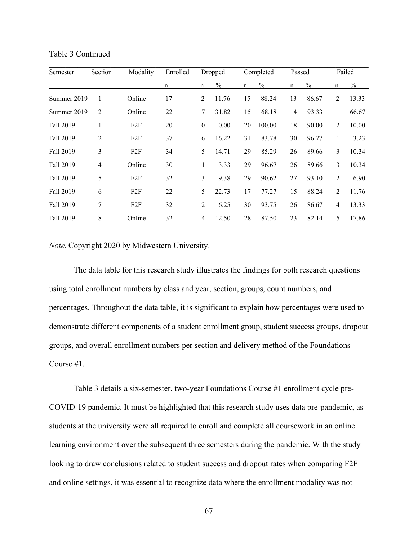| <b>Semester</b> | Section        | Modality | Enrolled |                | Dropped       | Completed   |               | Passed      |               | Failed         |               |
|-----------------|----------------|----------|----------|----------------|---------------|-------------|---------------|-------------|---------------|----------------|---------------|
|                 |                |          | n        | n              | $\frac{0}{0}$ | $\mathbf n$ | $\frac{0}{0}$ | $\mathbf n$ | $\frac{0}{0}$ | $\mathbf n$    | $\frac{0}{0}$ |
| Summer 2019     | 1              | Online   | 17       | 2              | 11.76         | 15          | 88.24         | 13          | 86.67         | 2              | 13.33         |
| Summer 2019     | $\overline{2}$ | Online   | 22       | $\tau$         | 31.82         | 15          | 68.18         | 14          | 93.33         | $\mathbf{1}$   | 66.67         |
| Fall 2019       | 1              | F2F      | 20       | $\mathbf{0}$   | 0.00          | 20          | 100.00        | 18          | 90.00         | $\overline{2}$ | 10.00         |
| Fall 2019       | $\overline{c}$ | F2F      | 37       | 6              | 16.22         | 31          | 83.78         | 30          | 96.77         | $\mathbf{1}$   | 3.23          |
| Fall 2019       | 3              | F2F      | 34       | 5              | 14.71         | 29          | 85.29         | 26          | 89.66         | 3              | 10.34         |
| Fall 2019       | 4              | Online   | 30       | $\mathbf{1}$   | 3.33          | 29          | 96.67         | 26          | 89.66         | 3              | 10.34         |
| Fall 2019       | 5              | F2F      | 32       | 3              | 9.38          | 29          | 90.62         | 27          | 93.10         | $\overline{2}$ | 6.90          |
| Fall 2019       | 6              | F2F      | 22       | 5              | 22.73         | 17          | 77.27         | 15          | 88.24         | 2              | 11.76         |
| Fall 2019       | 7              | F2F      | 32       | $\overline{2}$ | 6.25          | 30          | 93.75         | 26          | 86.67         | $\overline{4}$ | 13.33         |
| Fall 2019       | 8              | Online   | 32       | $\overline{4}$ | 12.50         | 28          | 87.50         | 23          | 82.14         | 5              | 17.86         |

Table 3 Continued

*Note*. Copyright 2020 by Midwestern University.

The data table for this research study illustrates the findings for both research questions using total enrollment numbers by class and year, section, groups, count numbers, and percentages. Throughout the data table, it is significant to explain how percentages were used to demonstrate different components of a student enrollment group, student success groups, dropout groups, and overall enrollment numbers per section and delivery method of the Foundations Course #1.

Table 3 details a six-semester, two-year Foundations Course #1 enrollment cycle pre-COVID-19 pandemic. It must be highlighted that this research study uses data pre-pandemic, as students at the university were all required to enroll and complete all coursework in an online learning environment over the subsequent three semesters during the pandemic. With the study looking to draw conclusions related to student success and dropout rates when comparing F2F and online settings, it was essential to recognize data where the enrollment modality was not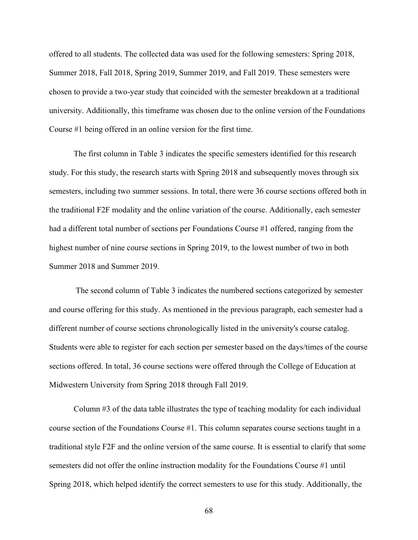offered to all students. The collected data was used for the following semesters: Spring 2018, Summer 2018, Fall 2018, Spring 2019, Summer 2019, and Fall 2019. These semesters were chosen to provide a two-year study that coincided with the semester breakdown at a traditional university. Additionally, this timeframe was chosen due to the online version of the Foundations Course #1 being offered in an online version for the first time.

The first column in Table 3 indicates the specific semesters identified for this research study. For this study, the research starts with Spring 2018 and subsequently moves through six semesters, including two summer sessions. In total, there were 36 course sections offered both in the traditional F2F modality and the online variation of the course. Additionally, each semester had a different total number of sections per Foundations Course #1 offered, ranging from the highest number of nine course sections in Spring 2019, to the lowest number of two in both Summer 2018 and Summer 2019.

The second column of Table 3 indicates the numbered sections categorized by semester and course offering for this study. As mentioned in the previous paragraph, each semester had a different number of course sections chronologically listed in the university's course catalog. Students were able to register for each section per semester based on the days/times of the course sections offered. In total, 36 course sections were offered through the College of Education at Midwestern University from Spring 2018 through Fall 2019.

Column #3 of the data table illustrates the type of teaching modality for each individual course section of the Foundations Course #1. This column separates course sections taught in a traditional style F2F and the online version of the same course. It is essential to clarify that some semesters did not offer the online instruction modality for the Foundations Course #1 until Spring 2018, which helped identify the correct semesters to use for this study. Additionally, the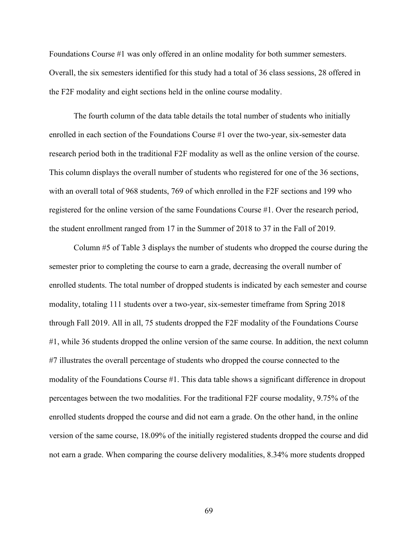Foundations Course #1 was only offered in an online modality for both summer semesters. Overall, the six semesters identified for this study had a total of 36 class sessions, 28 offered in the F2F modality and eight sections held in the online course modality.

The fourth column of the data table details the total number of students who initially enrolled in each section of the Foundations Course #1 over the two-year, six-semester data research period both in the traditional F2F modality as well as the online version of the course. This column displays the overall number of students who registered for one of the 36 sections, with an overall total of 968 students, 769 of which enrolled in the F2F sections and 199 who registered for the online version of the same Foundations Course #1. Over the research period, the student enrollment ranged from 17 in the Summer of 2018 to 37 in the Fall of 2019.

Column #5 of Table 3 displays the number of students who dropped the course during the semester prior to completing the course to earn a grade, decreasing the overall number of enrolled students. The total number of dropped students is indicated by each semester and course modality, totaling 111 students over a two-year, six-semester timeframe from Spring 2018 through Fall 2019. All in all, 75 students dropped the F2F modality of the Foundations Course #1, while 36 students dropped the online version of the same course. In addition, the next column #7 illustrates the overall percentage of students who dropped the course connected to the modality of the Foundations Course #1. This data table shows a significant difference in dropout percentages between the two modalities. For the traditional F2F course modality, 9.75% of the enrolled students dropped the course and did not earn a grade. On the other hand, in the online version of the same course, 18.09% of the initially registered students dropped the course and did not earn a grade. When comparing the course delivery modalities, 8.34% more students dropped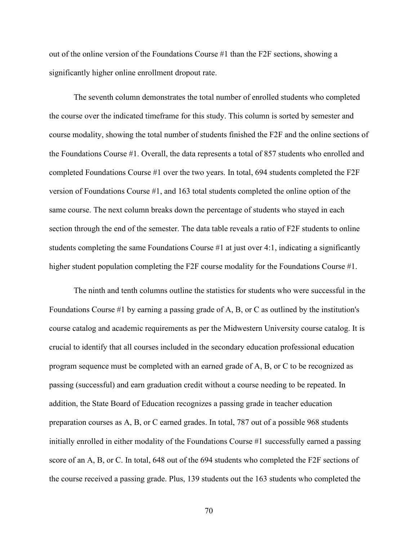out of the online version of the Foundations Course #1 than the F2F sections, showing a significantly higher online enrollment dropout rate.

The seventh column demonstrates the total number of enrolled students who completed the course over the indicated timeframe for this study. This column is sorted by semester and course modality, showing the total number of students finished the F2F and the online sections of the Foundations Course #1. Overall, the data represents a total of 857 students who enrolled and completed Foundations Course #1 over the two years. In total, 694 students completed the F2F version of Foundations Course #1, and 163 total students completed the online option of the same course. The next column breaks down the percentage of students who stayed in each section through the end of the semester. The data table reveals a ratio of F2F students to online students completing the same Foundations Course #1 at just over 4:1, indicating a significantly higher student population completing the F2F course modality for the Foundations Course #1.

The ninth and tenth columns outline the statistics for students who were successful in the Foundations Course #1 by earning a passing grade of A, B, or C as outlined by the institution's course catalog and academic requirements as per the Midwestern University course catalog. It is crucial to identify that all courses included in the secondary education professional education program sequence must be completed with an earned grade of A, B, or C to be recognized as passing (successful) and earn graduation credit without a course needing to be repeated. In addition, the State Board of Education recognizes a passing grade in teacher education preparation courses as A, B, or C earned grades. In total, 787 out of a possible 968 students initially enrolled in either modality of the Foundations Course #1 successfully earned a passing score of an A, B, or C. In total, 648 out of the 694 students who completed the F2F sections of the course received a passing grade. Plus, 139 students out the 163 students who completed the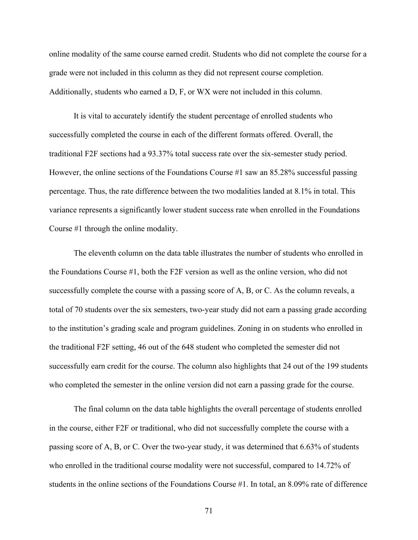online modality of the same course earned credit. Students who did not complete the course for a grade were not included in this column as they did not represent course completion. Additionally, students who earned a D, F, or WX were not included in this column.

It is vital to accurately identify the student percentage of enrolled students who successfully completed the course in each of the different formats offered. Overall, the traditional F2F sections had a 93.37% total success rate over the six-semester study period. However, the online sections of the Foundations Course #1 saw an 85.28% successful passing percentage. Thus, the rate difference between the two modalities landed at 8.1% in total. This variance represents a significantly lower student success rate when enrolled in the Foundations Course #1 through the online modality.

The eleventh column on the data table illustrates the number of students who enrolled in the Foundations Course #1, both the F2F version as well as the online version, who did not successfully complete the course with a passing score of A, B, or C. As the column reveals, a total of 70 students over the six semesters, two-year study did not earn a passing grade according to the institution's grading scale and program guidelines. Zoning in on students who enrolled in the traditional F2F setting, 46 out of the 648 student who completed the semester did not successfully earn credit for the course. The column also highlights that 24 out of the 199 students who completed the semester in the online version did not earn a passing grade for the course.

The final column on the data table highlights the overall percentage of students enrolled in the course, either F2F or traditional, who did not successfully complete the course with a passing score of A, B, or C. Over the two-year study, it was determined that 6.63% of students who enrolled in the traditional course modality were not successful, compared to 14.72% of students in the online sections of the Foundations Course #1. In total, an 8.09% rate of difference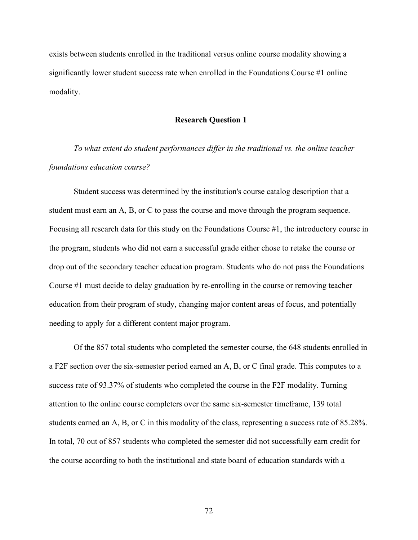exists between students enrolled in the traditional versus online course modality showing a significantly lower student success rate when enrolled in the Foundations Course #1 online modality.

### **Research Question 1**

*To what extent do student performances differ in the traditional vs. the online teacher foundations education course?*

Student success was determined by the institution's course catalog description that a student must earn an A, B, or C to pass the course and move through the program sequence. Focusing all research data for this study on the Foundations Course #1, the introductory course in the program, students who did not earn a successful grade either chose to retake the course or drop out of the secondary teacher education program. Students who do not pass the Foundations Course #1 must decide to delay graduation by re-enrolling in the course or removing teacher education from their program of study, changing major content areas of focus, and potentially needing to apply for a different content major program.

Of the 857 total students who completed the semester course, the 648 students enrolled in a F2F section over the six-semester period earned an A, B, or C final grade. This computes to a success rate of 93.37% of students who completed the course in the F2F modality. Turning attention to the online course completers over the same six-semester timeframe, 139 total students earned an A, B, or C in this modality of the class, representing a success rate of 85.28%. In total, 70 out of 857 students who completed the semester did not successfully earn credit for the course according to both the institutional and state board of education standards with a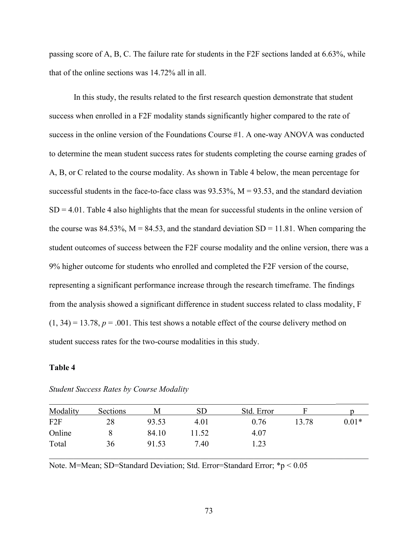passing score of A, B, C. The failure rate for students in the F2F sections landed at 6.63%, while that of the online sections was 14.72% all in all.

 In this study, the results related to the first research question demonstrate that student success when enrolled in a F2F modality stands significantly higher compared to the rate of success in the online version of the Foundations Course #1. A one-way ANOVA was conducted to determine the mean student success rates for students completing the course earning grades of A, B, or C related to the course modality. As shown in Table 4 below, the mean percentage for successful students in the face-to-face class was  $93.53\%$ ,  $M = 93.53$ , and the standard deviation  $SD = 4.01$ . Table 4 also highlights that the mean for successful students in the online version of the course was 84.53%,  $M = 84.53$ , and the standard deviation  $SD = 11.81$ . When comparing the student outcomes of success between the F2F course modality and the online version, there was a 9% higher outcome for students who enrolled and completed the F2F version of the course, representing a significant performance increase through the research timeframe. The findings from the analysis showed a significant difference in student success related to class modality, F  $(1, 34) = 13.78$ ,  $p = .001$ . This test shows a notable effect of the course delivery method on student success rates for the two-course modalities in this study.

# **Table 4**

| Modality | Sections | M     | <b>SD</b> | Std. Error |       |         |
|----------|----------|-------|-----------|------------|-------|---------|
| F2F      | 28       | 93.53 | 4.01      | 0.76       | 13.78 | $0.01*$ |
| Online   |          | 84.10 | 1.52      | 4.07       |       |         |
| Total    | 36       | 91.53 | 7.40      | 1.23       |       |         |

#### *Student Success Rates by Course Modality*

Note. M=Mean; SD=Standard Deviation; Std. Error=Standard Error; \*p < 0.05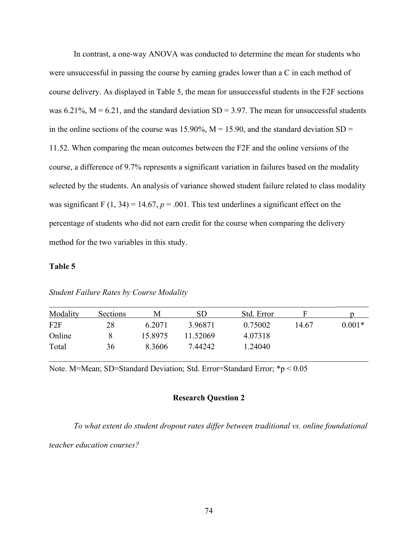In contrast, a one-way ANOVA was conducted to determine the mean for students who were unsuccessful in passing the course by earning grades lower than a C in each method of course delivery. As displayed in Table 5, the mean for unsuccessful students in the F2F sections was  $6.21\%$ ,  $M = 6.21$ , and the standard deviation SD = 3.97. The mean for unsuccessful students in the online sections of the course was 15.90%,  $M = 15.90$ , and the standard deviation SD = 11.52. When comparing the mean outcomes between the F2F and the online versions of the course, a difference of 9.7% represents a significant variation in failures based on the modality selected by the students. An analysis of variance showed student failure related to class modality was significant F  $(1, 34) = 14.67$ ,  $p = .001$ . This test underlines a significant effect on the percentage of students who did not earn credit for the course when comparing the delivery method for the two variables in this study.

# **Table 5**

| Modality | Sections | M       | <b>SD</b> | Std. Error |       |          |
|----------|----------|---------|-----------|------------|-------|----------|
| F2F      | 28       | 6.2071  | 3.96871   | 0.75002    | 14.67 | $0.001*$ |
| Online   |          | 15.8975 | 11.52069  | 4.07318    |       |          |
| Total    | 36       | 8.3606  | 7.44242   | 1.24040    |       |          |

*Student Failure Rates by Course Modality* 

Note. M=Mean; SD=Standard Deviation; Std. Error=Standard Error; \*p < 0.05

# **Research Question 2**

*To what extent do student dropout rates differ between traditional vs. online foundational* 

*teacher education courses?*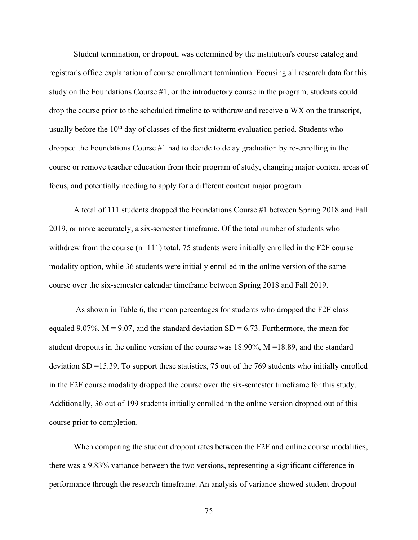Student termination, or dropout, was determined by the institution's course catalog and registrar's office explanation of course enrollment termination. Focusing all research data for this study on the Foundations Course #1, or the introductory course in the program, students could drop the course prior to the scheduled timeline to withdraw and receive a WX on the transcript, usually before the  $10<sup>th</sup>$  day of classes of the first midterm evaluation period. Students who dropped the Foundations Course #1 had to decide to delay graduation by re-enrolling in the course or remove teacher education from their program of study, changing major content areas of focus, and potentially needing to apply for a different content major program.

A total of 111 students dropped the Foundations Course #1 between Spring 2018 and Fall 2019, or more accurately, a six-semester timeframe. Of the total number of students who withdrew from the course (n=111) total, 75 students were initially enrolled in the F2F course modality option, while 36 students were initially enrolled in the online version of the same course over the six-semester calendar timeframe between Spring 2018 and Fall 2019.

As shown in Table 6, the mean percentages for students who dropped the F2F class equaled 9.07%,  $M = 9.07$ , and the standard deviation SD = 6.73. Furthermore, the mean for student dropouts in the online version of the course was  $18.90\%$ ,  $M = 18.89$ , and the standard deviation SD =15.39. To support these statistics, 75 out of the 769 students who initially enrolled in the F2F course modality dropped the course over the six-semester timeframe for this study. Additionally, 36 out of 199 students initially enrolled in the online version dropped out of this course prior to completion.

When comparing the student dropout rates between the F2F and online course modalities, there was a 9.83% variance between the two versions, representing a significant difference in performance through the research timeframe. An analysis of variance showed student dropout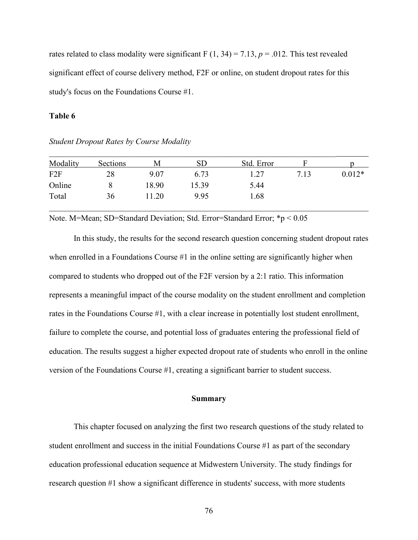rates related to class modality were significant F  $(1, 34) = 7.13$ ,  $p = .012$ . This test revealed significant effect of course delivery method, F2F or online, on student dropout rates for this study's focus on the Foundations Course #1.

#### **Table 6**

| Modality        | Sections | M     | <b>SD</b> | Std. Error |      |          |
|-----------------|----------|-------|-----------|------------|------|----------|
| F <sub>2F</sub> | 28       | 9.07  | 6.73      | 1.27       | 7.13 | $0.012*$ |
| Online          |          | 18.90 | 15.39     | 5.44       |      |          |
| Total           | 36       | 11.20 | 9.95      | 1.68       |      |          |

*Student Dropout Rates by Course Modality* 

Note. M=Mean; SD=Standard Deviation; Std. Error=Standard Error; \*p < 0.05

 In this study, the results for the second research question concerning student dropout rates when enrolled in a Foundations Course #1 in the online setting are significantly higher when compared to students who dropped out of the F2F version by a 2:1 ratio. This information represents a meaningful impact of the course modality on the student enrollment and completion rates in the Foundations Course #1, with a clear increase in potentially lost student enrollment, failure to complete the course, and potential loss of graduates entering the professional field of education. The results suggest a higher expected dropout rate of students who enroll in the online version of the Foundations Course #1, creating a significant barrier to student success.

#### **Summary**

This chapter focused on analyzing the first two research questions of the study related to student enrollment and success in the initial Foundations Course #1 as part of the secondary education professional education sequence at Midwestern University. The study findings for research question #1 show a significant difference in students' success, with more students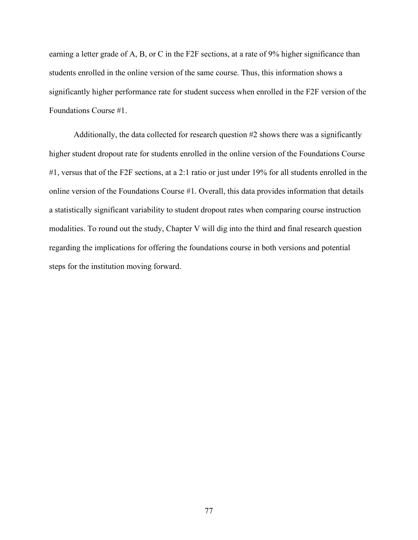earning a letter grade of A, B, or C in the F2F sections, at a rate of 9% higher significance than students enrolled in the online version of the same course. Thus, this information shows a significantly higher performance rate for student success when enrolled in the F2F version of the Foundations Course #1.

Additionally, the data collected for research question #2 shows there was a significantly higher student dropout rate for students enrolled in the online version of the Foundations Course #1, versus that of the F2F sections, at a 2:1 ratio or just under 19% for all students enrolled in the online version of the Foundations Course #1. Overall, this data provides information that details a statistically significant variability to student dropout rates when comparing course instruction modalities. To round out the study, Chapter V will dig into the third and final research question regarding the implications for offering the foundations course in both versions and potential steps for the institution moving forward.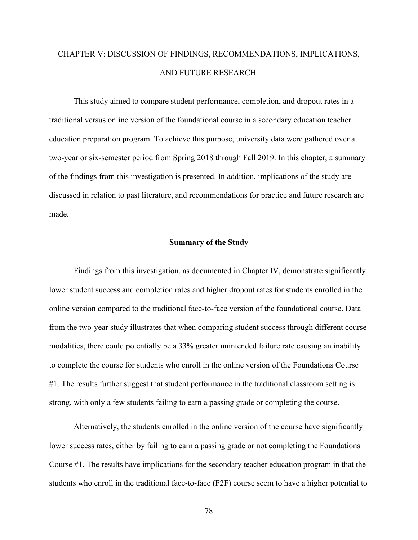# CHAPTER V: DISCUSSION OF FINDINGS, RECOMMENDATIONS, IMPLICATIONS, AND FUTURE RESEARCH

This study aimed to compare student performance, completion, and dropout rates in a traditional versus online version of the foundational course in a secondary education teacher education preparation program. To achieve this purpose, university data were gathered over a two-year or six-semester period from Spring 2018 through Fall 2019. In this chapter, a summary of the findings from this investigation is presented. In addition, implications of the study are discussed in relation to past literature, and recommendations for practice and future research are made.

#### **Summary of the Study**

Findings from this investigation, as documented in Chapter IV, demonstrate significantly lower student success and completion rates and higher dropout rates for students enrolled in the online version compared to the traditional face-to-face version of the foundational course. Data from the two-year study illustrates that when comparing student success through different course modalities, there could potentially be a 33% greater unintended failure rate causing an inability to complete the course for students who enroll in the online version of the Foundations Course #1. The results further suggest that student performance in the traditional classroom setting is strong, with only a few students failing to earn a passing grade or completing the course.

Alternatively, the students enrolled in the online version of the course have significantly lower success rates, either by failing to earn a passing grade or not completing the Foundations Course #1. The results have implications for the secondary teacher education program in that the students who enroll in the traditional face-to-face (F2F) course seem to have a higher potential to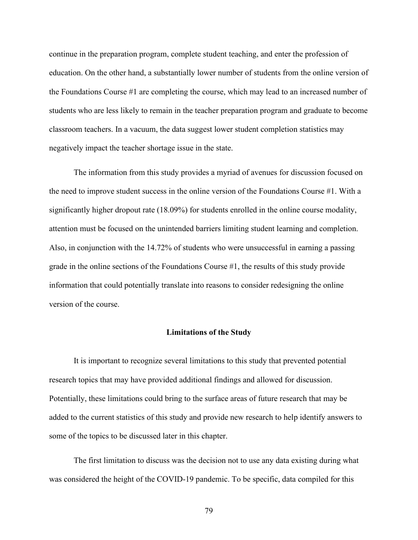continue in the preparation program, complete student teaching, and enter the profession of education. On the other hand, a substantially lower number of students from the online version of the Foundations Course #1 are completing the course, which may lead to an increased number of students who are less likely to remain in the teacher preparation program and graduate to become classroom teachers. In a vacuum, the data suggest lower student completion statistics may negatively impact the teacher shortage issue in the state.

The information from this study provides a myriad of avenues for discussion focused on the need to improve student success in the online version of the Foundations Course #1. With a significantly higher dropout rate (18.09%) for students enrolled in the online course modality, attention must be focused on the unintended barriers limiting student learning and completion. Also, in conjunction with the 14.72% of students who were unsuccessful in earning a passing grade in the online sections of the Foundations Course #1, the results of this study provide information that could potentially translate into reasons to consider redesigning the online version of the course.

#### **Limitations of the Study**

It is important to recognize several limitations to this study that prevented potential research topics that may have provided additional findings and allowed for discussion. Potentially, these limitations could bring to the surface areas of future research that may be added to the current statistics of this study and provide new research to help identify answers to some of the topics to be discussed later in this chapter.

The first limitation to discuss was the decision not to use any data existing during what was considered the height of the COVID-19 pandemic. To be specific, data compiled for this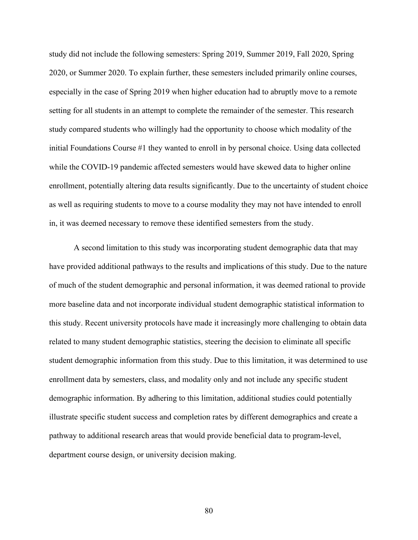study did not include the following semesters: Spring 2019, Summer 2019, Fall 2020, Spring 2020, or Summer 2020. To explain further, these semesters included primarily online courses, especially in the case of Spring 2019 when higher education had to abruptly move to a remote setting for all students in an attempt to complete the remainder of the semester. This research study compared students who willingly had the opportunity to choose which modality of the initial Foundations Course #1 they wanted to enroll in by personal choice. Using data collected while the COVID-19 pandemic affected semesters would have skewed data to higher online enrollment, potentially altering data results significantly. Due to the uncertainty of student choice as well as requiring students to move to a course modality they may not have intended to enroll in, it was deemed necessary to remove these identified semesters from the study.

A second limitation to this study was incorporating student demographic data that may have provided additional pathways to the results and implications of this study. Due to the nature of much of the student demographic and personal information, it was deemed rational to provide more baseline data and not incorporate individual student demographic statistical information to this study. Recent university protocols have made it increasingly more challenging to obtain data related to many student demographic statistics, steering the decision to eliminate all specific student demographic information from this study. Due to this limitation, it was determined to use enrollment data by semesters, class, and modality only and not include any specific student demographic information. By adhering to this limitation, additional studies could potentially illustrate specific student success and completion rates by different demographics and create a pathway to additional research areas that would provide beneficial data to program-level, department course design, or university decision making.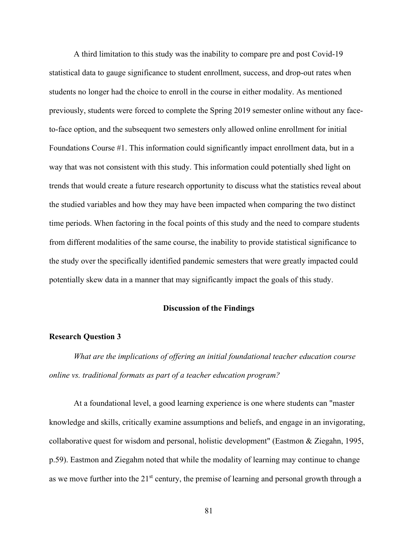A third limitation to this study was the inability to compare pre and post Covid-19 statistical data to gauge significance to student enrollment, success, and drop-out rates when students no longer had the choice to enroll in the course in either modality. As mentioned previously, students were forced to complete the Spring 2019 semester online without any faceto-face option, and the subsequent two semesters only allowed online enrollment for initial Foundations Course #1. This information could significantly impact enrollment data, but in a way that was not consistent with this study. This information could potentially shed light on trends that would create a future research opportunity to discuss what the statistics reveal about the studied variables and how they may have been impacted when comparing the two distinct time periods. When factoring in the focal points of this study and the need to compare students from different modalities of the same course, the inability to provide statistical significance to the study over the specifically identified pandemic semesters that were greatly impacted could potentially skew data in a manner that may significantly impact the goals of this study.

#### **Discussion of the Findings**

#### **Research Question 3**

*What are the implications of offering an initial foundational teacher education course online vs. traditional formats as part of a teacher education program?*

At a foundational level, a good learning experience is one where students can "master knowledge and skills, critically examine assumptions and beliefs, and engage in an invigorating, collaborative quest for wisdom and personal, holistic development" (Eastmon & Ziegahn, 1995, p.59). Eastmon and Ziegahm noted that while the modality of learning may continue to change as we move further into the  $21<sup>st</sup>$  century, the premise of learning and personal growth through a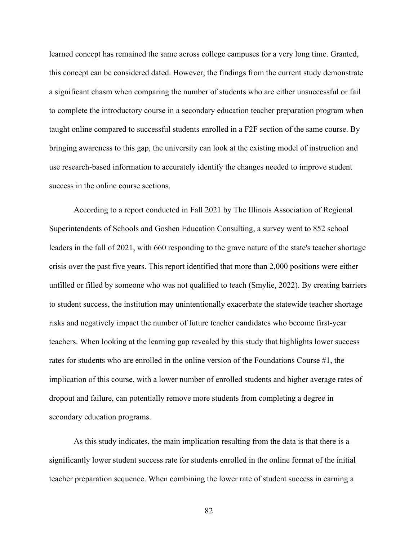learned concept has remained the same across college campuses for a very long time. Granted, this concept can be considered dated. However, the findings from the current study demonstrate a significant chasm when comparing the number of students who are either unsuccessful or fail to complete the introductory course in a secondary education teacher preparation program when taught online compared to successful students enrolled in a F2F section of the same course. By bringing awareness to this gap, the university can look at the existing model of instruction and use research-based information to accurately identify the changes needed to improve student success in the online course sections.

According to a report conducted in Fall 2021 by The Illinois Association of Regional Superintendents of Schools and Goshen Education Consulting, a survey went to 852 school leaders in the fall of 2021, with 660 responding to the grave nature of the state's teacher shortage crisis over the past five years. This report identified that more than 2,000 positions were either unfilled or filled by someone who was not qualified to teach (Smylie, 2022). By creating barriers to student success, the institution may unintentionally exacerbate the statewide teacher shortage risks and negatively impact the number of future teacher candidates who become first-year teachers. When looking at the learning gap revealed by this study that highlights lower success rates for students who are enrolled in the online version of the Foundations Course #1, the implication of this course, with a lower number of enrolled students and higher average rates of dropout and failure, can potentially remove more students from completing a degree in secondary education programs.

As this study indicates, the main implication resulting from the data is that there is a significantly lower student success rate for students enrolled in the online format of the initial teacher preparation sequence. When combining the lower rate of student success in earning a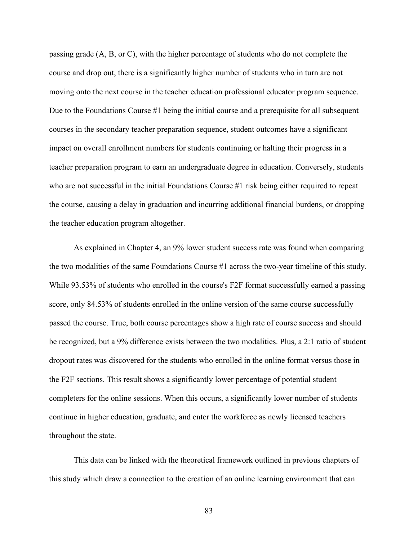passing grade (A, B, or C), with the higher percentage of students who do not complete the course and drop out, there is a significantly higher number of students who in turn are not moving onto the next course in the teacher education professional educator program sequence. Due to the Foundations Course #1 being the initial course and a prerequisite for all subsequent courses in the secondary teacher preparation sequence, student outcomes have a significant impact on overall enrollment numbers for students continuing or halting their progress in a teacher preparation program to earn an undergraduate degree in education. Conversely, students who are not successful in the initial Foundations Course #1 risk being either required to repeat the course, causing a delay in graduation and incurring additional financial burdens, or dropping the teacher education program altogether.

As explained in Chapter 4, an 9% lower student success rate was found when comparing the two modalities of the same Foundations Course #1 across the two-year timeline of this study. While 93.53% of students who enrolled in the course's F2F format successfully earned a passing score, only 84.53% of students enrolled in the online version of the same course successfully passed the course. True, both course percentages show a high rate of course success and should be recognized, but a 9% difference exists between the two modalities. Plus, a 2:1 ratio of student dropout rates was discovered for the students who enrolled in the online format versus those in the F2F sections. This result shows a significantly lower percentage of potential student completers for the online sessions. When this occurs, a significantly lower number of students continue in higher education, graduate, and enter the workforce as newly licensed teachers throughout the state.

This data can be linked with the theoretical framework outlined in previous chapters of this study which draw a connection to the creation of an online learning environment that can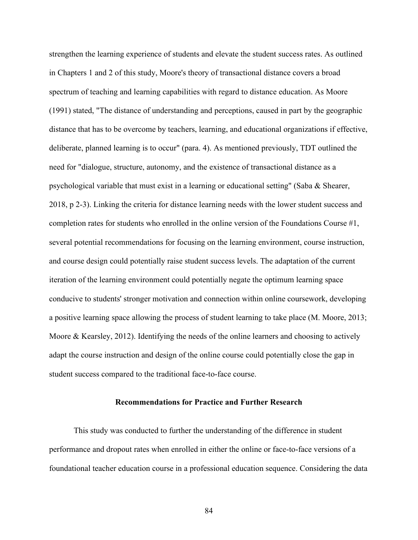strengthen the learning experience of students and elevate the student success rates. As outlined in Chapters 1 and 2 of this study, Moore's theory of transactional distance covers a broad spectrum of teaching and learning capabilities with regard to distance education. As Moore (1991) stated, "The distance of understanding and perceptions, caused in part by the geographic distance that has to be overcome by teachers, learning, and educational organizations if effective, deliberate, planned learning is to occur" (para. 4). As mentioned previously, TDT outlined the need for "dialogue, structure, autonomy, and the existence of transactional distance as a psychological variable that must exist in a learning or educational setting" (Saba & Shearer, 2018, p 2-3). Linking the criteria for distance learning needs with the lower student success and completion rates for students who enrolled in the online version of the Foundations Course #1, several potential recommendations for focusing on the learning environment, course instruction, and course design could potentially raise student success levels. The adaptation of the current iteration of the learning environment could potentially negate the optimum learning space conducive to students' stronger motivation and connection within online coursework, developing a positive learning space allowing the process of student learning to take place (M. Moore, 2013; Moore & Kearsley, 2012). Identifying the needs of the online learners and choosing to actively adapt the course instruction and design of the online course could potentially close the gap in student success compared to the traditional face-to-face course.

#### **Recommendations for Practice and Further Research**

This study was conducted to further the understanding of the difference in student performance and dropout rates when enrolled in either the online or face-to-face versions of a foundational teacher education course in a professional education sequence. Considering the data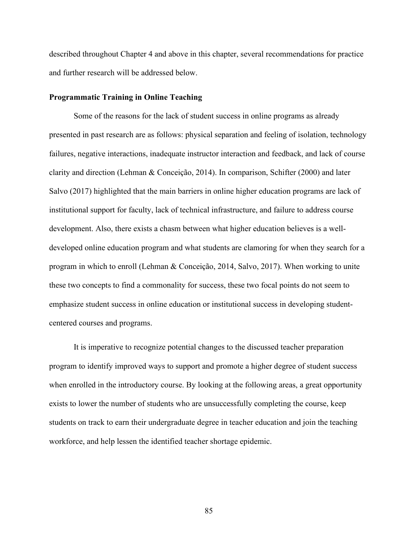described throughout Chapter 4 and above in this chapter, several recommendations for practice and further research will be addressed below.

#### **Programmatic Training in Online Teaching**

Some of the reasons for the lack of student success in online programs as already presented in past research are as follows: physical separation and feeling of isolation, technology failures, negative interactions, inadequate instructor interaction and feedback, and lack of course clarity and direction (Lehman & Conceição, 2014). In comparison, Schifter (2000) and later Salvo (2017) highlighted that the main barriers in online higher education programs are lack of institutional support for faculty, lack of technical infrastructure, and failure to address course development. Also, there exists a chasm between what higher education believes is a welldeveloped online education program and what students are clamoring for when they search for a program in which to enroll (Lehman & Conceição, 2014, Salvo, 2017). When working to unite these two concepts to find a commonality for success, these two focal points do not seem to emphasize student success in online education or institutional success in developing studentcentered courses and programs.

It is imperative to recognize potential changes to the discussed teacher preparation program to identify improved ways to support and promote a higher degree of student success when enrolled in the introductory course. By looking at the following areas, a great opportunity exists to lower the number of students who are unsuccessfully completing the course, keep students on track to earn their undergraduate degree in teacher education and join the teaching workforce, and help lessen the identified teacher shortage epidemic.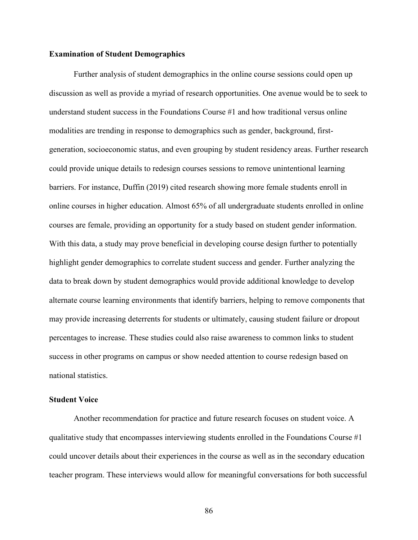#### **Examination of Student Demographics**

Further analysis of student demographics in the online course sessions could open up discussion as well as provide a myriad of research opportunities. One avenue would be to seek to understand student success in the Foundations Course #1 and how traditional versus online modalities are trending in response to demographics such as gender, background, firstgeneration, socioeconomic status, and even grouping by student residency areas. Further research could provide unique details to redesign courses sessions to remove unintentional learning barriers. For instance, Duffin (2019) cited research showing more female students enroll in online courses in higher education. Almost 65% of all undergraduate students enrolled in online courses are female, providing an opportunity for a study based on student gender information. With this data, a study may prove beneficial in developing course design further to potentially highlight gender demographics to correlate student success and gender. Further analyzing the data to break down by student demographics would provide additional knowledge to develop alternate course learning environments that identify barriers, helping to remove components that may provide increasing deterrents for students or ultimately, causing student failure or dropout percentages to increase. These studies could also raise awareness to common links to student success in other programs on campus or show needed attention to course redesign based on national statistics.

#### **Student Voice**

Another recommendation for practice and future research focuses on student voice. A qualitative study that encompasses interviewing students enrolled in the Foundations Course  $\#1$ could uncover details about their experiences in the course as well as in the secondary education teacher program. These interviews would allow for meaningful conversations for both successful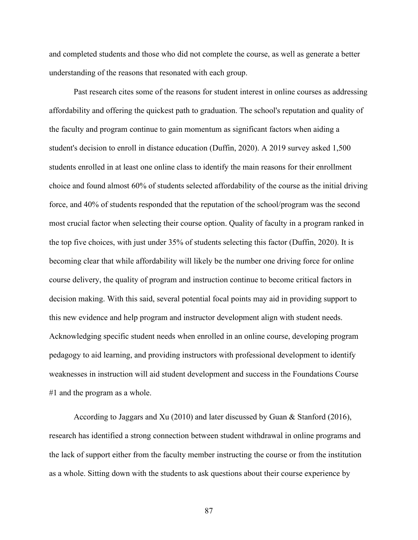and completed students and those who did not complete the course, as well as generate a better understanding of the reasons that resonated with each group.

Past research cites some of the reasons for student interest in online courses as addressing affordability and offering the quickest path to graduation. The school's reputation and quality of the faculty and program continue to gain momentum as significant factors when aiding a student's decision to enroll in distance education (Duffin, 2020). A 2019 survey asked 1,500 students enrolled in at least one online class to identify the main reasons for their enrollment choice and found almost 60% of students selected affordability of the course as the initial driving force, and 40% of students responded that the reputation of the school/program was the second most crucial factor when selecting their course option. Quality of faculty in a program ranked in the top five choices, with just under 35% of students selecting this factor (Duffin, 2020). It is becoming clear that while affordability will likely be the number one driving force for online course delivery, the quality of program and instruction continue to become critical factors in decision making. With this said, several potential focal points may aid in providing support to this new evidence and help program and instructor development align with student needs. Acknowledging specific student needs when enrolled in an online course, developing program pedagogy to aid learning, and providing instructors with professional development to identify weaknesses in instruction will aid student development and success in the Foundations Course #1 and the program as a whole.

According to Jaggars and Xu (2010) and later discussed by Guan & Stanford (2016), research has identified a strong connection between student withdrawal in online programs and the lack of support either from the faculty member instructing the course or from the institution as a whole. Sitting down with the students to ask questions about their course experience by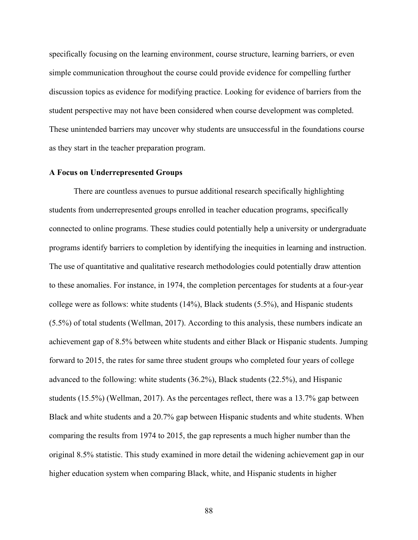specifically focusing on the learning environment, course structure, learning barriers, or even simple communication throughout the course could provide evidence for compelling further discussion topics as evidence for modifying practice. Looking for evidence of barriers from the student perspective may not have been considered when course development was completed. These unintended barriers may uncover why students are unsuccessful in the foundations course as they start in the teacher preparation program.

#### **A Focus on Underrepresented Groups**

There are countless avenues to pursue additional research specifically highlighting students from underrepresented groups enrolled in teacher education programs, specifically connected to online programs. These studies could potentially help a university or undergraduate programs identify barriers to completion by identifying the inequities in learning and instruction. The use of quantitative and qualitative research methodologies could potentially draw attention to these anomalies. For instance, in 1974, the completion percentages for students at a four-year college were as follows: white students (14%), Black students (5.5%), and Hispanic students (5.5%) of total students (Wellman, 2017). According to this analysis, these numbers indicate an achievement gap of 8.5% between white students and either Black or Hispanic students. Jumping forward to 2015, the rates for same three student groups who completed four years of college advanced to the following: white students (36.2%), Black students (22.5%), and Hispanic students (15.5%) (Wellman, 2017). As the percentages reflect, there was a 13.7% gap between Black and white students and a 20.7% gap between Hispanic students and white students. When comparing the results from 1974 to 2015, the gap represents a much higher number than the original 8.5% statistic. This study examined in more detail the widening achievement gap in our higher education system when comparing Black, white, and Hispanic students in higher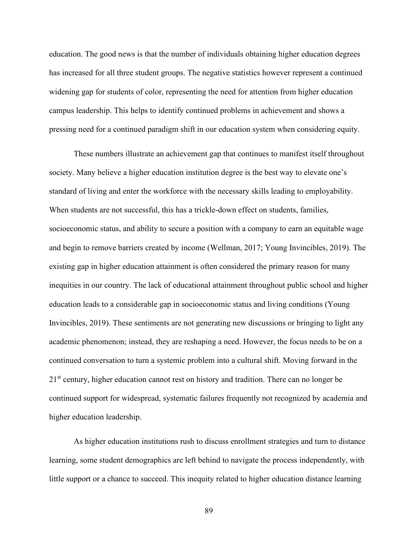education. The good news is that the number of individuals obtaining higher education degrees has increased for all three student groups. The negative statistics however represent a continued widening gap for students of color, representing the need for attention from higher education campus leadership. This helps to identify continued problems in achievement and shows a pressing need for a continued paradigm shift in our education system when considering equity.

These numbers illustrate an achievement gap that continues to manifest itself throughout society. Many believe a higher education institution degree is the best way to elevate one's standard of living and enter the workforce with the necessary skills leading to employability. When students are not successful, this has a trickle-down effect on students, families, socioeconomic status, and ability to secure a position with a company to earn an equitable wage and begin to remove barriers created by income (Wellman, 2017; Young Invincibles, 2019). The existing gap in higher education attainment is often considered the primary reason for many inequities in our country. The lack of educational attainment throughout public school and higher education leads to a considerable gap in socioeconomic status and living conditions (Young Invincibles, 2019). These sentiments are not generating new discussions or bringing to light any academic phenomenon; instead, they are reshaping a need. However, the focus needs to be on a continued conversation to turn a systemic problem into a cultural shift. Moving forward in the 2<sup>1st</sup> century, higher education cannot rest on history and tradition. There can no longer be continued support for widespread, systematic failures frequently not recognized by academia and higher education leadership.

As higher education institutions rush to discuss enrollment strategies and turn to distance learning, some student demographics are left behind to navigate the process independently, with little support or a chance to succeed. This inequity related to higher education distance learning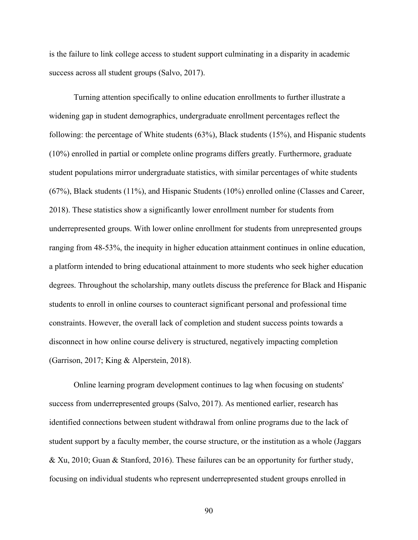is the failure to link college access to student support culminating in a disparity in academic success across all student groups (Salvo, 2017).

Turning attention specifically to online education enrollments to further illustrate a widening gap in student demographics, undergraduate enrollment percentages reflect the following: the percentage of White students (63%), Black students (15%), and Hispanic students (10%) enrolled in partial or complete online programs differs greatly. Furthermore, graduate student populations mirror undergraduate statistics, with similar percentages of white students (67%), Black students (11%), and Hispanic Students (10%) enrolled online (Classes and Career, 2018). These statistics show a significantly lower enrollment number for students from underrepresented groups. With lower online enrollment for students from unrepresented groups ranging from 48-53%, the inequity in higher education attainment continues in online education, a platform intended to bring educational attainment to more students who seek higher education degrees. Throughout the scholarship, many outlets discuss the preference for Black and Hispanic students to enroll in online courses to counteract significant personal and professional time constraints. However, the overall lack of completion and student success points towards a disconnect in how online course delivery is structured, negatively impacting completion (Garrison, 2017; King & Alperstein, 2018).

Online learning program development continues to lag when focusing on students' success from underrepresented groups (Salvo, 2017). As mentioned earlier, research has identified connections between student withdrawal from online programs due to the lack of student support by a faculty member, the course structure, or the institution as a whole (Jaggars & Xu, 2010; Guan & Stanford, 2016). These failures can be an opportunity for further study, focusing on individual students who represent underrepresented student groups enrolled in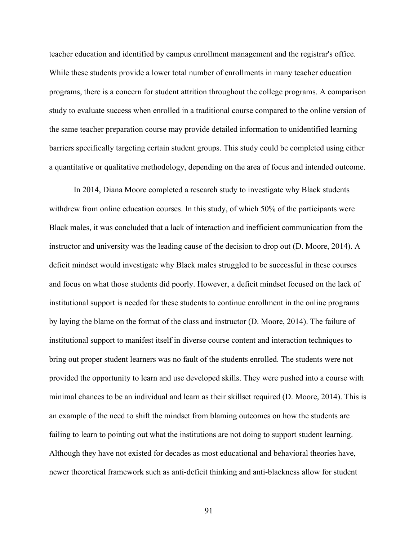teacher education and identified by campus enrollment management and the registrar's office. While these students provide a lower total number of enrollments in many teacher education programs, there is a concern for student attrition throughout the college programs. A comparison study to evaluate success when enrolled in a traditional course compared to the online version of the same teacher preparation course may provide detailed information to unidentified learning barriers specifically targeting certain student groups. This study could be completed using either a quantitative or qualitative methodology, depending on the area of focus and intended outcome.

In 2014, Diana Moore completed a research study to investigate why Black students withdrew from online education courses. In this study, of which 50% of the participants were Black males, it was concluded that a lack of interaction and inefficient communication from the instructor and university was the leading cause of the decision to drop out (D. Moore, 2014). A deficit mindset would investigate why Black males struggled to be successful in these courses and focus on what those students did poorly. However, a deficit mindset focused on the lack of institutional support is needed for these students to continue enrollment in the online programs by laying the blame on the format of the class and instructor (D. Moore, 2014). The failure of institutional support to manifest itself in diverse course content and interaction techniques to bring out proper student learners was no fault of the students enrolled. The students were not provided the opportunity to learn and use developed skills. They were pushed into a course with minimal chances to be an individual and learn as their skillset required (D. Moore, 2014). This is an example of the need to shift the mindset from blaming outcomes on how the students are failing to learn to pointing out what the institutions are not doing to support student learning. Although they have not existed for decades as most educational and behavioral theories have, newer theoretical framework such as anti-deficit thinking and anti-blackness allow for student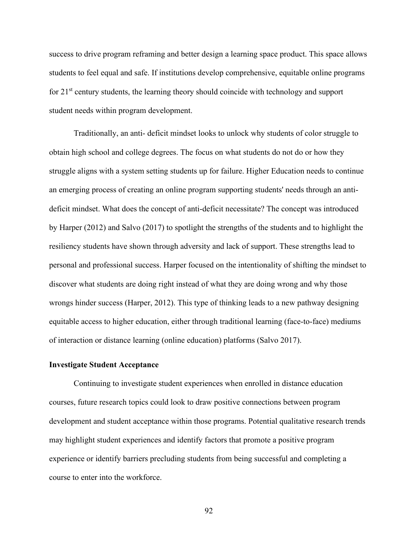success to drive program reframing and better design a learning space product. This space allows students to feel equal and safe. If institutions develop comprehensive, equitable online programs for  $21<sup>st</sup>$  century students, the learning theory should coincide with technology and support student needs within program development.

Traditionally, an anti- deficit mindset looks to unlock why students of color struggle to obtain high school and college degrees. The focus on what students do not do or how they struggle aligns with a system setting students up for failure. Higher Education needs to continue an emerging process of creating an online program supporting students' needs through an antideficit mindset. What does the concept of anti-deficit necessitate? The concept was introduced by Harper (2012) and Salvo (2017) to spotlight the strengths of the students and to highlight the resiliency students have shown through adversity and lack of support. These strengths lead to personal and professional success. Harper focused on the intentionality of shifting the mindset to discover what students are doing right instead of what they are doing wrong and why those wrongs hinder success (Harper, 2012). This type of thinking leads to a new pathway designing equitable access to higher education, either through traditional learning (face-to-face) mediums of interaction or distance learning (online education) platforms (Salvo 2017).

#### **Investigate Student Acceptance**

Continuing to investigate student experiences when enrolled in distance education courses, future research topics could look to draw positive connections between program development and student acceptance within those programs. Potential qualitative research trends may highlight student experiences and identify factors that promote a positive program experience or identify barriers precluding students from being successful and completing a course to enter into the workforce.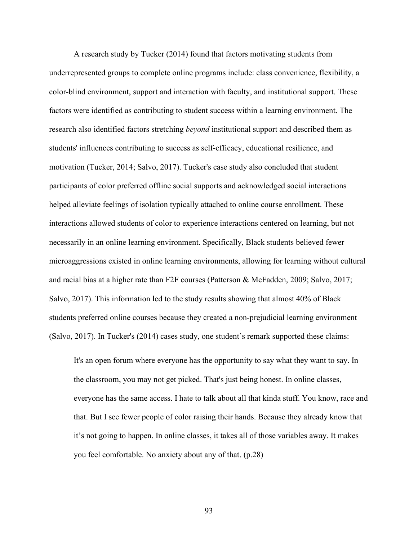A research study by Tucker (2014) found that factors motivating students from underrepresented groups to complete online programs include: class convenience, flexibility, a color-blind environment, support and interaction with faculty, and institutional support. These factors were identified as contributing to student success within a learning environment. The research also identified factors stretching *beyond* institutional support and described them as students' influences contributing to success as self-efficacy, educational resilience, and motivation (Tucker, 2014; Salvo, 2017). Tucker's case study also concluded that student participants of color preferred offline social supports and acknowledged social interactions helped alleviate feelings of isolation typically attached to online course enrollment. These interactions allowed students of color to experience interactions centered on learning, but not necessarily in an online learning environment. Specifically, Black students believed fewer microaggressions existed in online learning environments, allowing for learning without cultural and racial bias at a higher rate than F2F courses (Patterson & McFadden, 2009; Salvo, 2017; Salvo, 2017). This information led to the study results showing that almost 40% of Black students preferred online courses because they created a non-prejudicial learning environment (Salvo, 2017). In Tucker's (2014) cases study, one student's remark supported these claims:

It's an open forum where everyone has the opportunity to say what they want to say. In the classroom, you may not get picked. That's just being honest. In online classes, everyone has the same access. I hate to talk about all that kinda stuff. You know, race and that. But I see fewer people of color raising their hands. Because they already know that it's not going to happen. In online classes, it takes all of those variables away. It makes you feel comfortable. No anxiety about any of that. (p.28)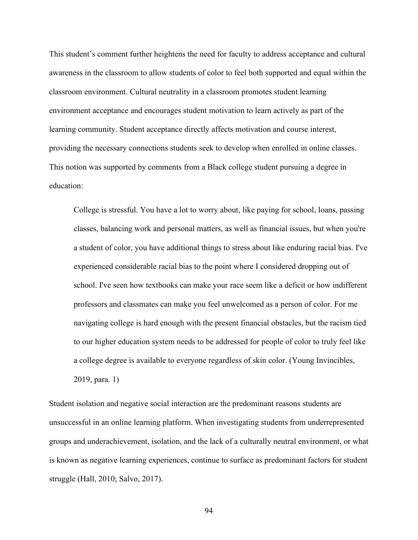This student's comment further heightens the need for faculty to address acceptance and cultural awareness in the classroom to allow students of color to feel both supported and equal within the classroom environment. Cultural neutrality in a classroom promotes student learning environment acceptance and encourages student motivation to learn actively as part of the learning community. Student acceptance directly affects motivation and course interest, providing the necessary connections students seek to develop when enrolled in online classes. This notion was supported by comments from a Black college student pursuing a degree in education:

College is stressful. You have a lot to worry about, like paying for school, loans, passing classes, balancing work and personal matters, as well as financial issues, but when you're a student of color, you have additional things to stress about like enduring racial bias. I've experienced considerable racial bias to the point where I considered dropping out of school. I've seen how textbooks can make your race seem like a deficit or how indifferent professors and classmates can make you feel unwelcomed as a person of color. For me navigating college is hard enough with the present financial obstacles, but the racism tied to our higher education system needs to be addressed for people of color to truly feel like a college degree is available to everyone regardless of skin color. (Young Invincibles, 2019, para. 1)

Student isolation and negative social interaction are the predominant reasons students are unsuccessful in an online learning platform. When investigating students from underrepresented groups and underachievement, isolation, and the lack of a culturally neutral environment, or what is known as negative learning experiences, continue to surface as predominant factors for student struggle (Hall, 2010; Salvo, 2017).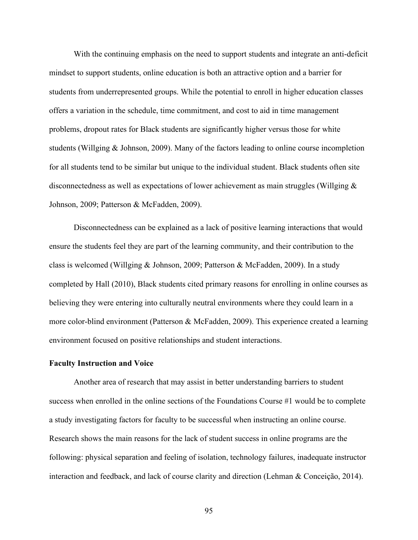With the continuing emphasis on the need to support students and integrate an anti-deficit mindset to support students, online education is both an attractive option and a barrier for students from underrepresented groups. While the potential to enroll in higher education classes offers a variation in the schedule, time commitment, and cost to aid in time management problems, dropout rates for Black students are significantly higher versus those for white students (Willging & Johnson, 2009). Many of the factors leading to online course incompletion for all students tend to be similar but unique to the individual student. Black students often site disconnectedness as well as expectations of lower achievement as main struggles (Willging & Johnson, 2009; Patterson & McFadden, 2009).

Disconnectedness can be explained as a lack of positive learning interactions that would ensure the students feel they are part of the learning community, and their contribution to the class is welcomed (Willging & Johnson, 2009; Patterson & McFadden, 2009). In a study completed by Hall (2010), Black students cited primary reasons for enrolling in online courses as believing they were entering into culturally neutral environments where they could learn in a more color-blind environment (Patterson & McFadden, 2009). This experience created a learning environment focused on positive relationships and student interactions.

## **Faculty Instruction and Voice**

Another area of research that may assist in better understanding barriers to student success when enrolled in the online sections of the Foundations Course #1 would be to complete a study investigating factors for faculty to be successful when instructing an online course. Research shows the main reasons for the lack of student success in online programs are the following: physical separation and feeling of isolation, technology failures, inadequate instructor interaction and feedback, and lack of course clarity and direction (Lehman & Conceição, 2014).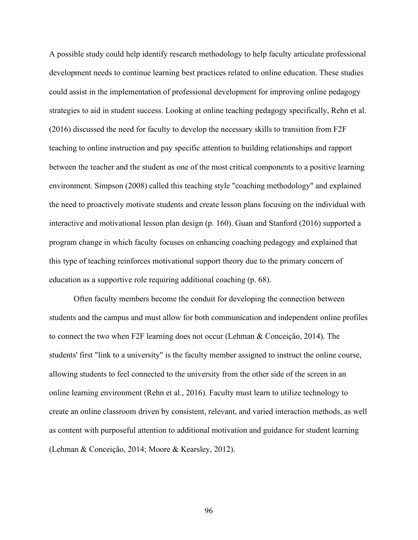A possible study could help identify research methodology to help faculty articulate professional development needs to continue learning best practices related to online education. These studies could assist in the implementation of professional development for improving online pedagogy strategies to aid in student success. Looking at online teaching pedagogy specifically, Rehn et al. (2016) discussed the need for faculty to develop the necessary skills to transition from F2F teaching to online instruction and pay specific attention to building relationships and rapport between the teacher and the student as one of the most critical components to a positive learning environment. Simpson (2008) called this teaching style "coaching methodology" and explained the need to proactively motivate students and create lesson plans focusing on the individual with interactive and motivational lesson plan design (p. 160). Guan and Stanford (2016) supported a program change in which faculty focuses on enhancing coaching pedagogy and explained that this type of teaching reinforces motivational support theory due to the primary concern of education as a supportive role requiring additional coaching (p. 68).

Often faculty members become the conduit for developing the connection between students and the campus and must allow for both communication and independent online profiles to connect the two when F2F learning does not occur (Lehman & Conceição, 2014). The students' first "link to a university" is the faculty member assigned to instruct the online course, allowing students to feel connected to the university from the other side of the screen in an online learning environment (Rehn et al., 2016). Faculty must learn to utilize technology to create an online classroom driven by consistent, relevant, and varied interaction methods, as well as content with purposeful attention to additional motivation and guidance for student learning (Lehman & Conceição, 2014; Moore & Kearsley, 2012).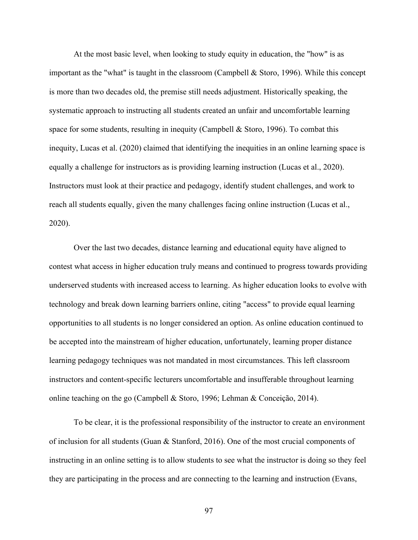At the most basic level, when looking to study equity in education, the "how" is as important as the "what" is taught in the classroom (Campbell & Storo, 1996). While this concept is more than two decades old, the premise still needs adjustment. Historically speaking, the systematic approach to instructing all students created an unfair and uncomfortable learning space for some students, resulting in inequity (Campbell & Storo, 1996). To combat this inequity, Lucas et al. (2020) claimed that identifying the inequities in an online learning space is equally a challenge for instructors as is providing learning instruction (Lucas et al., 2020). Instructors must look at their practice and pedagogy, identify student challenges, and work to reach all students equally, given the many challenges facing online instruction (Lucas et al., 2020).

Over the last two decades, distance learning and educational equity have aligned to contest what access in higher education truly means and continued to progress towards providing underserved students with increased access to learning. As higher education looks to evolve with technology and break down learning barriers online, citing "access" to provide equal learning opportunities to all students is no longer considered an option. As online education continued to be accepted into the mainstream of higher education, unfortunately, learning proper distance learning pedagogy techniques was not mandated in most circumstances. This left classroom instructors and content-specific lecturers uncomfortable and insufferable throughout learning online teaching on the go (Campbell & Storo, 1996; Lehman & Conceição, 2014).

To be clear, it is the professional responsibility of the instructor to create an environment of inclusion for all students (Guan & Stanford, 2016). One of the most crucial components of instructing in an online setting is to allow students to see what the instructor is doing so they feel they are participating in the process and are connecting to the learning and instruction (Evans,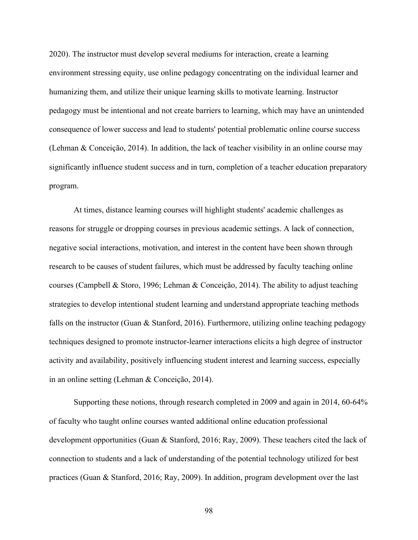2020). The instructor must develop several mediums for interaction, create a learning environment stressing equity, use online pedagogy concentrating on the individual learner and humanizing them, and utilize their unique learning skills to motivate learning. Instructor pedagogy must be intentional and not create barriers to learning, which may have an unintended consequence of lower success and lead to students' potential problematic online course success (Lehman & Conceição, 2014). In addition, the lack of teacher visibility in an online course may significantly influence student success and in turn, completion of a teacher education preparatory program.

At times, distance learning courses will highlight students' academic challenges as reasons for struggle or dropping courses in previous academic settings. A lack of connection, negative social interactions, motivation, and interest in the content have been shown through research to be causes of student failures, which must be addressed by faculty teaching online courses (Campbell & Storo, 1996; Lehman & Conceição, 2014). The ability to adjust teaching strategies to develop intentional student learning and understand appropriate teaching methods falls on the instructor (Guan & Stanford, 2016). Furthermore, utilizing online teaching pedagogy techniques designed to promote instructor-learner interactions elicits a high degree of instructor activity and availability, positively influencing student interest and learning success, especially in an online setting (Lehman & Conceição, 2014).

Supporting these notions, through research completed in 2009 and again in 2014, 60-64% of faculty who taught online courses wanted additional online education professional development opportunities (Guan & Stanford, 2016; Ray, 2009). These teachers cited the lack of connection to students and a lack of understanding of the potential technology utilized for best practices (Guan & Stanford, 2016; Ray, 2009). In addition, program development over the last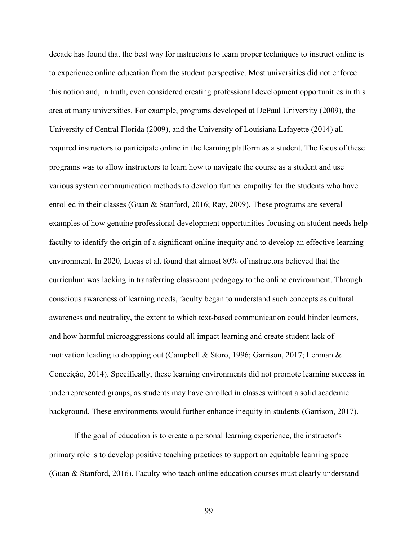decade has found that the best way for instructors to learn proper techniques to instruct online is to experience online education from the student perspective. Most universities did not enforce this notion and, in truth, even considered creating professional development opportunities in this area at many universities. For example, programs developed at DePaul University (2009), the University of Central Florida (2009), and the University of Louisiana Lafayette (2014) all required instructors to participate online in the learning platform as a student. The focus of these programs was to allow instructors to learn how to navigate the course as a student and use various system communication methods to develop further empathy for the students who have enrolled in their classes (Guan & Stanford, 2016; Ray, 2009). These programs are several examples of how genuine professional development opportunities focusing on student needs help faculty to identify the origin of a significant online inequity and to develop an effective learning environment. In 2020, Lucas et al. found that almost 80% of instructors believed that the curriculum was lacking in transferring classroom pedagogy to the online environment. Through conscious awareness of learning needs, faculty began to understand such concepts as cultural awareness and neutrality, the extent to which text-based communication could hinder learners, and how harmful microaggressions could all impact learning and create student lack of motivation leading to dropping out (Campbell & Storo, 1996; Garrison, 2017; Lehman & Conceição, 2014). Specifically, these learning environments did not promote learning success in underrepresented groups, as students may have enrolled in classes without a solid academic background. These environments would further enhance inequity in students (Garrison, 2017).

If the goal of education is to create a personal learning experience, the instructor's primary role is to develop positive teaching practices to support an equitable learning space (Guan & Stanford, 2016). Faculty who teach online education courses must clearly understand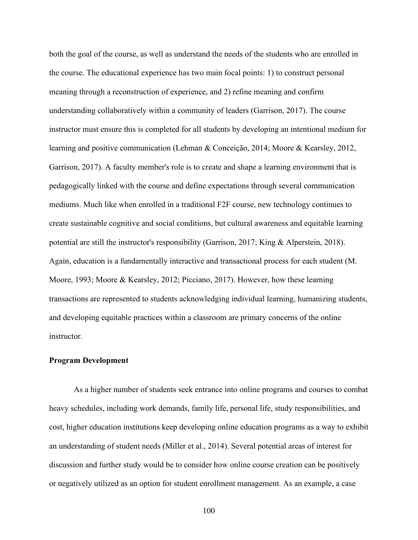both the goal of the course, as well as understand the needs of the students who are enrolled in the course. The educational experience has two main focal points: 1) to construct personal meaning through a reconstruction of experience, and 2) refine meaning and confirm understanding collaboratively within a community of leaders (Garrison, 2017). The course instructor must ensure this is completed for all students by developing an intentional medium for learning and positive communication (Lehman & Conceição, 2014; Moore & Kearsley, 2012, Garrison, 2017). A faculty member's role is to create and shape a learning environment that is pedagogically linked with the course and define expectations through several communication mediums. Much like when enrolled in a traditional F2F course, new technology continues to create sustainable cognitive and social conditions, but cultural awareness and equitable learning potential are still the instructor's responsibility (Garrison, 2017; King & Alperstein, 2018). Again, education is a fundamentally interactive and transactional process for each student (M. Moore, 1993; Moore & Kearsley, 2012; Picciano, 2017). However, how these learning transactions are represented to students acknowledging individual learning, humanizing students, and developing equitable practices within a classroom are primary concerns of the online instructor.

## **Program Development**

As a higher number of students seek entrance into online programs and courses to combat heavy schedules, including work demands, family life, personal life, study responsibilities, and cost, higher education institutions keep developing online education programs as a way to exhibit an understanding of student needs (Miller et al., 2014). Several potential areas of interest for discussion and further study would be to consider how online course creation can be positively or negatively utilized as an option for student enrollment management. As an example, a case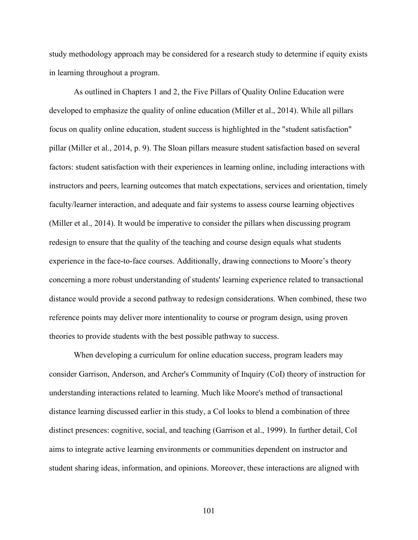study methodology approach may be considered for a research study to determine if equity exists in learning throughout a program.

As outlined in Chapters 1 and 2, the Five Pillars of Quality Online Education were developed to emphasize the quality of online education (Miller et al., 2014). While all pillars focus on quality online education, student success is highlighted in the "student satisfaction" pillar (Miller et al., 2014, p. 9). The Sloan pillars measure student satisfaction based on several factors: student satisfaction with their experiences in learning online, including interactions with instructors and peers, learning outcomes that match expectations, services and orientation, timely faculty/learner interaction, and adequate and fair systems to assess course learning objectives (Miller et al., 2014). It would be imperative to consider the pillars when discussing program redesign to ensure that the quality of the teaching and course design equals what students experience in the face-to-face courses. Additionally, drawing connections to Moore's theory concerning a more robust understanding of students' learning experience related to transactional distance would provide a second pathway to redesign considerations. When combined, these two reference points may deliver more intentionality to course or program design, using proven theories to provide students with the best possible pathway to success.

When developing a curriculum for online education success, program leaders may consider Garrison, Anderson, and Archer's Community of Inquiry (CoI) theory of instruction for understanding interactions related to learning. Much like Moore's method of transactional distance learning discussed earlier in this study, a CoI looks to blend a combination of three distinct presences: cognitive, social, and teaching (Garrison et al., 1999). In further detail, CoI aims to integrate active learning environments or communities dependent on instructor and student sharing ideas, information, and opinions. Moreover, these interactions are aligned with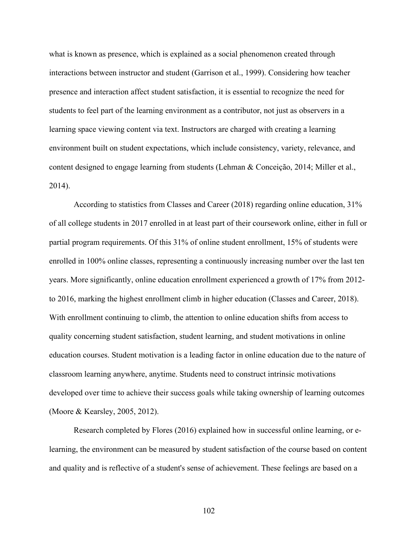what is known as presence, which is explained as a social phenomenon created through interactions between instructor and student (Garrison et al., 1999). Considering how teacher presence and interaction affect student satisfaction, it is essential to recognize the need for students to feel part of the learning environment as a contributor, not just as observers in a learning space viewing content via text. Instructors are charged with creating a learning environment built on student expectations, which include consistency, variety, relevance, and content designed to engage learning from students (Lehman & Conceição, 2014; Miller et al., 2014).

According to statistics from Classes and Career (2018) regarding online education, 31% of all college students in 2017 enrolled in at least part of their coursework online, either in full or partial program requirements. Of this 31% of online student enrollment, 15% of students were enrolled in 100% online classes, representing a continuously increasing number over the last ten years. More significantly, online education enrollment experienced a growth of 17% from 2012 to 2016, marking the highest enrollment climb in higher education (Classes and Career, 2018). With enrollment continuing to climb, the attention to online education shifts from access to quality concerning student satisfaction, student learning, and student motivations in online education courses. Student motivation is a leading factor in online education due to the nature of classroom learning anywhere, anytime. Students need to construct intrinsic motivations developed over time to achieve their success goals while taking ownership of learning outcomes (Moore & Kearsley, 2005, 2012).

Research completed by Flores (2016) explained how in successful online learning, or elearning, the environment can be measured by student satisfaction of the course based on content and quality and is reflective of a student's sense of achievement. These feelings are based on a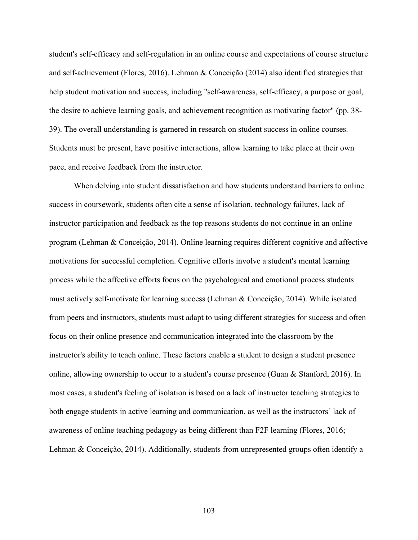student's self-efficacy and self-regulation in an online course and expectations of course structure and self-achievement (Flores, 2016). Lehman & Conceição (2014) also identified strategies that help student motivation and success, including "self-awareness, self-efficacy, a purpose or goal, the desire to achieve learning goals, and achievement recognition as motivating factor" (pp. 38- 39). The overall understanding is garnered in research on student success in online courses. Students must be present, have positive interactions, allow learning to take place at their own pace, and receive feedback from the instructor.

When delving into student dissatisfaction and how students understand barriers to online success in coursework, students often cite a sense of isolation, technology failures, lack of instructor participation and feedback as the top reasons students do not continue in an online program (Lehman & Conceição, 2014). Online learning requires different cognitive and affective motivations for successful completion. Cognitive efforts involve a student's mental learning process while the affective efforts focus on the psychological and emotional process students must actively self-motivate for learning success (Lehman & Conceição, 2014). While isolated from peers and instructors, students must adapt to using different strategies for success and often focus on their online presence and communication integrated into the classroom by the instructor's ability to teach online. These factors enable a student to design a student presence online, allowing ownership to occur to a student's course presence (Guan & Stanford, 2016). In most cases, a student's feeling of isolation is based on a lack of instructor teaching strategies to both engage students in active learning and communication, as well as the instructors' lack of awareness of online teaching pedagogy as being different than F2F learning (Flores, 2016; Lehman & Conceição, 2014). Additionally, students from unrepresented groups often identify a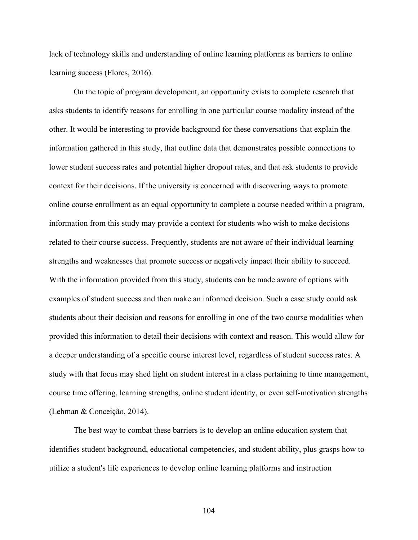lack of technology skills and understanding of online learning platforms as barriers to online learning success (Flores, 2016).

On the topic of program development, an opportunity exists to complete research that asks students to identify reasons for enrolling in one particular course modality instead of the other. It would be interesting to provide background for these conversations that explain the information gathered in this study, that outline data that demonstrates possible connections to lower student success rates and potential higher dropout rates, and that ask students to provide context for their decisions. If the university is concerned with discovering ways to promote online course enrollment as an equal opportunity to complete a course needed within a program, information from this study may provide a context for students who wish to make decisions related to their course success. Frequently, students are not aware of their individual learning strengths and weaknesses that promote success or negatively impact their ability to succeed. With the information provided from this study, students can be made aware of options with examples of student success and then make an informed decision. Such a case study could ask students about their decision and reasons for enrolling in one of the two course modalities when provided this information to detail their decisions with context and reason. This would allow for a deeper understanding of a specific course interest level, regardless of student success rates. A study with that focus may shed light on student interest in a class pertaining to time management, course time offering, learning strengths, online student identity, or even self-motivation strengths (Lehman & Conceição, 2014).

The best way to combat these barriers is to develop an online education system that identifies student background, educational competencies, and student ability, plus grasps how to utilize a student's life experiences to develop online learning platforms and instruction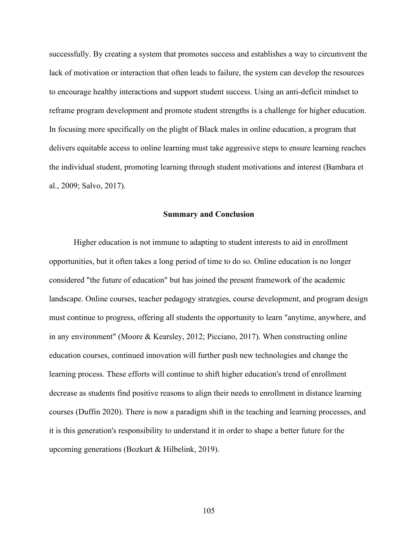successfully. By creating a system that promotes success and establishes a way to circumvent the lack of motivation or interaction that often leads to failure, the system can develop the resources to encourage healthy interactions and support student success. Using an anti-deficit mindset to reframe program development and promote student strengths is a challenge for higher education. In focusing more specifically on the plight of Black males in online education, a program that delivers equitable access to online learning must take aggressive steps to ensure learning reaches the individual student, promoting learning through student motivations and interest (Bambara et al., 2009; Salvo, 2017).

## **Summary and Conclusion**

Higher education is not immune to adapting to student interests to aid in enrollment opportunities, but it often takes a long period of time to do so. Online education is no longer considered "the future of education" but has joined the present framework of the academic landscape. Online courses, teacher pedagogy strategies, course development, and program design must continue to progress, offering all students the opportunity to learn "anytime, anywhere, and in any environment" (Moore & Kearsley, 2012; Picciano, 2017). When constructing online education courses, continued innovation will further push new technologies and change the learning process. These efforts will continue to shift higher education's trend of enrollment decrease as students find positive reasons to align their needs to enrollment in distance learning courses (Duffin 2020). There is now a paradigm shift in the teaching and learning processes, and it is this generation's responsibility to understand it in order to shape a better future for the upcoming generations (Bozkurt & Hilbelink, 2019).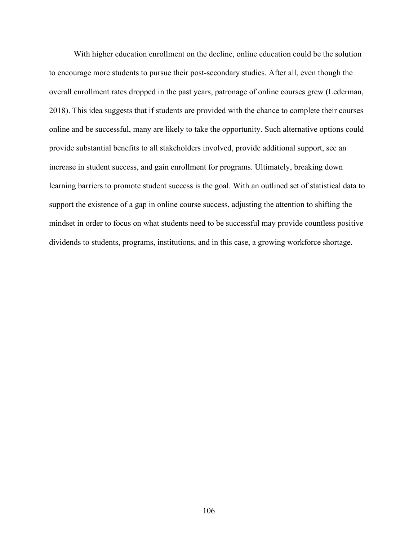With higher education enrollment on the decline, online education could be the solution to encourage more students to pursue their post-secondary studies. After all, even though the overall enrollment rates dropped in the past years, patronage of online courses grew (Lederman, 2018). This idea suggests that if students are provided with the chance to complete their courses online and be successful, many are likely to take the opportunity. Such alternative options could provide substantial benefits to all stakeholders involved, provide additional support, see an increase in student success, and gain enrollment for programs. Ultimately, breaking down learning barriers to promote student success is the goal. With an outlined set of statistical data to support the existence of a gap in online course success, adjusting the attention to shifting the mindset in order to focus on what students need to be successful may provide countless positive dividends to students, programs, institutions, and in this case, a growing workforce shortage.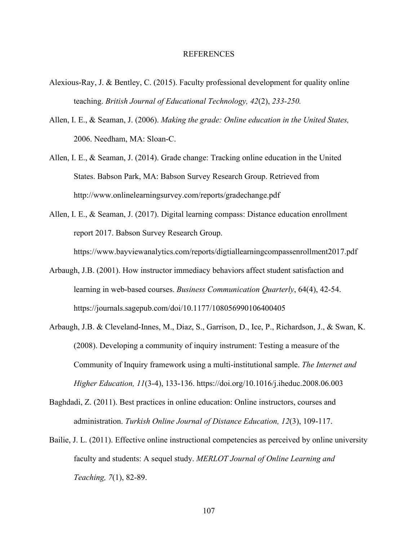## REFERENCES

- Alexious-Ray, J. & Bentley, C. (2015). Faculty professional development for quality online teaching. *British Journal of Educational Technology, 42*(2), *233-250.*
- Allen, I. E., & Seaman, J. (2006). *Making the grade: Online education in the United States,* 2006. Needham, MA: Sloan-C.
- Allen, I. E., & Seaman, J. (2014). Grade change: Tracking online education in the United States. Babson Park, MA: Babson Survey Research Group. Retrieved from http://www.onlinelearningsurvey.com/reports/gradechange.pdf
- Allen, I. E., & Seaman, J. (2017). Digital learning compass: Distance education enrollment report 2017. Babson Survey Research Group.

https://www.bayviewanalytics.com/reports/digtiallearningcompassenrollment2017.pdf

- Arbaugh, J.B. (2001). How instructor immediacy behaviors affect student satisfaction and learning in web-based courses. *Business Communication Quarterly*, 64(4), 42-54. https://journals.sagepub.com/doi/10.1177/108056990106400405
- Arbaugh, J.B. & Cleveland-Innes, M., Diaz, S., Garrison, D., Ice, P., Richardson, J., & Swan, K. (2008). Developing a community of inquiry instrument: Testing a measure of the Community of Inquiry framework using a multi-institutional sample. *The Internet and Higher Education, 11*(3-4), 133-136. https://doi.org/10.1016/j.iheduc.2008.06.003
- Baghdadi, Z. (2011). Best practices in online education: Online instructors, courses and administration. *Turkish Online Journal of Distance Education, 12*(3), 109-117.
- Bailie, J. L. (2011). Effective online instructional competencies as perceived by online university faculty and students: A sequel study. *MERLOT Journal of Online Learning and Teaching, 7*(1), 82-89.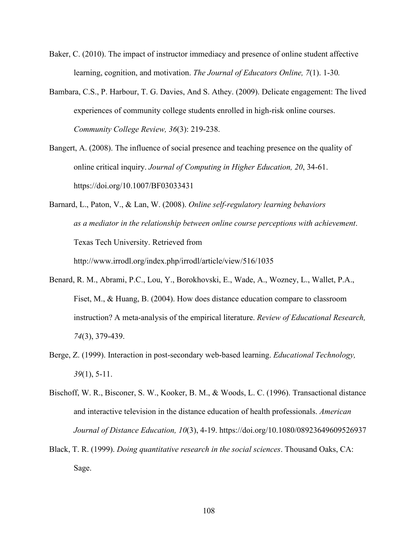- Baker, C. (2010). The impact of instructor immediacy and presence of online student affective learning, cognition, and motivation. *The Journal of Educators Online, 7*(1). 1-30*.*
- Bambara, C.S., P. Harbour, T. G. Davies, And S. Athey. (2009). Delicate engagement: The lived experiences of community college students enrolled in high-risk online courses. *Community College Review, 36*(3): 219-238.
- Bangert, A. (2008). The influence of social presence and teaching presence on the quality of online critical inquiry. *Journal of Computing in Higher Education, 20*, 34-61. https://doi.org/10.1007/BF03033431
- Barnard, L., Paton, V., & Lan, W. (2008). *Online self-regulatory learning behaviors as a mediator in the relationship between online course perceptions with achievement*. Texas Tech University. Retrieved from http://www.irrodl.org/index.php/irrodl/article/view/516/1035
- Benard, R. M., Abrami, P.C., Lou, Y., Borokhovski, E., Wade, A., Wozney, L., Wallet, P.A., Fiset, M., & Huang, B. (2004). How does distance education compare to classroom instruction? A meta-analysis of the empirical literature. *Review of Educational Research, 74*(3), 379-439.
- Berge, Z. (1999). Interaction in post-secondary web-based learning. *Educational Technology, 39*(1), 5-11.
- Bischoff, W. R., Bisconer, S. W., Kooker, B. M., & Woods, L. C. (1996). Transactional distance and interactive television in the distance education of health professionals. *American Journal of Distance Education, 10*(3), 4-19. https://doi.org/10.1080/08923649609526937
- Black, T. R. (1999). *Doing quantitative research in the social sciences*. Thousand Oaks, CA: Sage.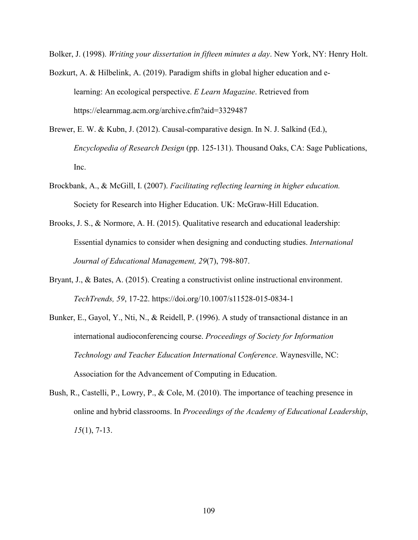Bolker, J. (1998). *Writing your dissertation in fifteen minutes a day*. New York, NY: Henry Holt.

- Bozkurt, A. & Hilbelink, A. (2019). Paradigm shifts in global higher education and elearning: An ecological perspective. *E Learn Magazine*. Retrieved from https://elearnmag.acm.org/archive.cfm?aid=3329487
- Brewer, E. W. & Kubn, J. (2012). Causal-comparative design. In N. J. Salkind (Ed.), *Encyclopedia of Research Design* (pp. 125-131). Thousand Oaks, CA: Sage Publications, Inc.
- Brockbank, A., & McGill, I. (2007). *Facilitating reflecting learning in higher education.*  Society for Research into Higher Education. UK: McGraw-Hill Education.
- Brooks, J. S., & Normore, A. H. (2015). Qualitative research and educational leadership: Essential dynamics to consider when designing and conducting studies. *International Journal of Educational Management, 29*(7), 798-807.
- Bryant, J., & Bates, A. (2015). Creating a constructivist online instructional environment. *TechTrends, 59*, 17-22. https://doi.org/10.1007/s11528-015-0834-1
- Bunker, E., Gayol, Y., Nti, N., & Reidell, P. (1996). A study of transactional distance in an international audioconferencing course. *Proceedings of Society for Information Technology and Teacher Education International Conference*. Waynesville, NC: Association for the Advancement of Computing in Education.
- Bush, R., Castelli, P., Lowry, P., & Cole, M. (2010). The importance of teaching presence in online and hybrid classrooms. In *Proceedings of the Academy of Educational Leadership*, *15*(1), 7-13.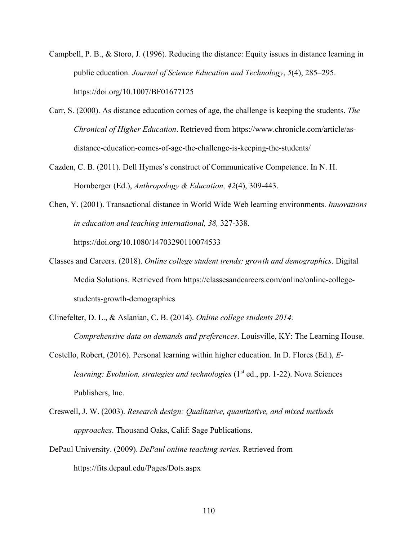- Campbell, P. B., & Storo, J. (1996). Reducing the distance: Equity issues in distance learning in public education. *Journal of Science Education and Technology*, *5*(4), 285–295. https://doi.org/10.1007/BF01677125
- Carr, S. (2000). As distance education comes of age, the challenge is keeping the students. *The Chronical of Higher Education*. Retrieved from https://www.chronicle.com/article/asdistance-education-comes-of-age-the-challenge-is-keeping-the-students/
- Cazden, C. B. (2011). Dell Hymes's construct of Communicative Competence. In N. H. Hornberger (Ed.), *Anthropology & Education, 42*(4), 309-443.
- Chen, Y. (2001). Transactional distance in World Wide Web learning environments. *Innovations in education and teaching international, 38,* 327-338. https://doi.org/10.1080/14703290110074533
- Classes and Careers. (2018). *Online college student trends: growth and demographics*. Digital Media Solutions. Retrieved from https://classesandcareers.com/online/online-collegestudents-growth-demographics
- Clinefelter, D. L., & Aslanian, C. B. (2014). *Online college students 2014: Comprehensive data on demands and preferences*. Louisville, KY: The Learning House.
- Costello, Robert, (2016). Personal learning within higher education. In D. Flores (Ed.), *Elearning: Evolution, strategies and technologies* (1<sup>st</sup> ed., pp. 1-22). Nova Sciences Publishers, Inc.
- Creswell, J. W. (2003). *Research design: Qualitative, quantitative, and mixed methods approaches*. Thousand Oaks, Calif: Sage Publications.
- DePaul University. (2009). *DePaul online teaching series.* Retrieved from https://fits.depaul.edu/Pages/Dots.aspx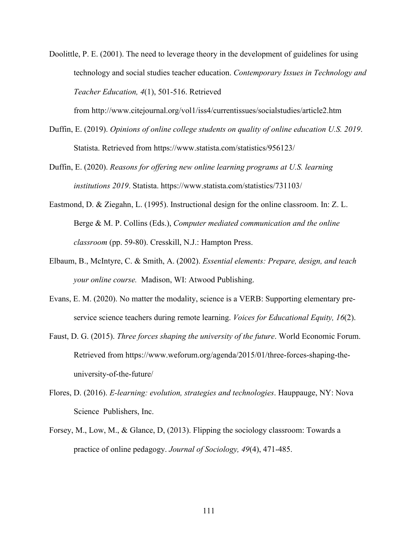Doolittle, P. E. (2001). The need to leverage theory in the development of guidelines for using technology and social studies teacher education. *Contemporary Issues in Technology and Teacher Education, 4*(1), 501-516. Retrieved

from http://www.citejournal.org/vol1/iss4/currentissues/socialstudies/article2.htm

- Duffin, E. (2019). *Opinions of online college students on quality of online education U.S. 2019*. Statista. Retrieved from https://www.statista.com/statistics/956123/
- Duffin, E. (2020). *Reasons for offering new online learning programs at U.S. learning institutions 2019*. Statista. https://www.statista.com/statistics/731103/
- Eastmond, D. & Ziegahn, L. (1995). Instructional design for the online classroom. In: Z. L. Berge & M. P. Collins (Eds.), *Computer mediated communication and the online classroom* (pp. 59-80). Cresskill, N.J.: Hampton Press.
- Elbaum, B., McIntyre, C. & Smith, A. (2002). *Essential elements: Prepare, design, and teach your online course.* Madison, WI: Atwood Publishing.
- Evans, E. M. (2020). No matter the modality, science is a VERB: Supporting elementary preservice science teachers during remote learning. *Voices for Educational Equity, 16*(2).
- Faust, D. G. (2015). *Three forces shaping the university of the future*. World Economic Forum. Retrieved from https://www.weforum.org/agenda/2015/01/three-forces-shaping-theuniversity-of-the-future/
- Flores, D. (2016). *E-learning: evolution, strategies and technologies*. Hauppauge, NY: Nova Science Publishers, Inc.
- Forsey, M., Low, M., & Glance, D, (2013). Flipping the sociology classroom: Towards a practice of online pedagogy. *Journal of Sociology, 49*(4), 471-485.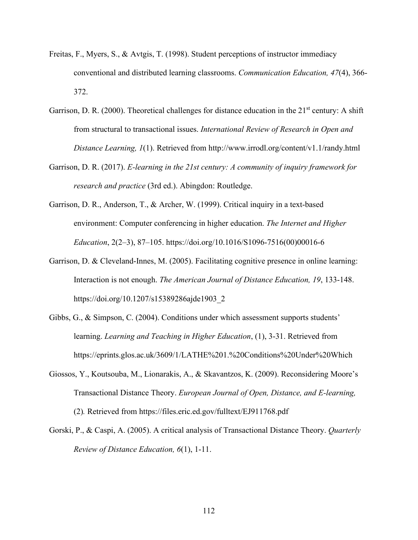- Freitas, F., Myers, S., & Avtgis, T. (1998). Student perceptions of instructor immediacy conventional and distributed learning classrooms. *Communication Education, 47*(4), 366- 372.
- Garrison, D. R. (2000). Theoretical challenges for distance education in the  $21<sup>st</sup>$  century: A shift from structural to transactional issues. *International Review of Research in Open and Distance Learning, 1*(1). Retrieved from http://www.irrodl.org/content/v1.1/randy.html
- Garrison, D. R. (2017). *E-learning in the 21st century: A community of inquiry framework for research and practice* (3rd ed.). Abingdon: Routledge.
- Garrison, D. R., Anderson, T., & Archer, W. (1999). Critical inquiry in a text-based environment: Computer conferencing in higher education. *The Internet and Higher Education*, 2(2–3), 87–105. https://doi.org/10.1016/S1096-7516(00)00016-6
- Garrison, D. & Cleveland-Innes, M. (2005). Facilitating cognitive presence in online learning: Interaction is not enough. *The American Journal of Distance Education, 19*, 133-148. https://doi.org/10.1207/s15389286ajde1903\_2
- Gibbs, G., & Simpson, C. (2004). Conditions under which assessment supports students' learning. *Learning and Teaching in Higher Education*, (1), 3-31. Retrieved from https://eprints.glos.ac.uk/3609/1/LATHE%201.%20Conditions%20Under%20Which
- Giossos, Y., Koutsouba, M., Lionarakis, A., & Skavantzos, K. (2009). Reconsidering Moore's Transactional Distance Theory. *European Journal of Open, Distance, and E-learning,*  (2)*.* Retrieved from https://files.eric.ed.gov/fulltext/EJ911768.pdf
- Gorski, P., & Caspi, A. (2005). A critical analysis of Transactional Distance Theory. *Quarterly Review of Distance Education, 6*(1), 1-11.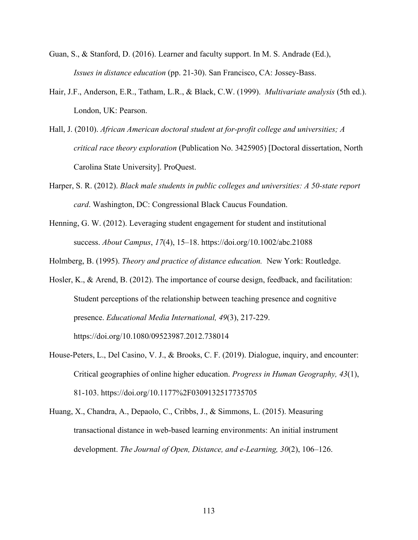- Guan, S., & Stanford, D. (2016). Learner and faculty support. In M. S. Andrade (Ed.), *Issues in distance education* (pp. 21-30). San Francisco, CA: Jossey-Bass.
- Hair, J.F., Anderson, E.R., Tatham, L.R., & Black, C.W. (1999). *Multivariate analysis* (5th ed.). London, UK: Pearson.
- Hall, J. (2010). *African American doctoral student at for-profit college and universities; A critical race theory exploration* (Publication No. 3425905) [Doctoral dissertation, North Carolina State University]. ProQuest.
- Harper, S. R. (2012). *Black male students in public colleges and universities: A 50-state report card*. Washington, DC: Congressional Black Caucus Foundation.
- Henning, G. W. (2012). Leveraging student engagement for student and institutional success. *About Campus*, *17*(4), 15–18. https://doi.org/10.1002/abc.21088
- Holmberg, B. (1995). *Theory and practice of distance education.* New York: Routledge.
- Hosler, K., & Arend, B. (2012). The importance of course design, feedback, and facilitation: Student perceptions of the relationship between teaching presence and cognitive presence. *Educational Media International, 49*(3), 217-229. https://doi.org/10.1080/09523987.2012.738014
- House-Peters, L., Del Casino, V. J., & Brooks, C. F. (2019). Dialogue, inquiry, and encounter: Critical geographies of online higher education. *Progress in Human Geography, 43*(1), 81-103. https://doi.org/10.1177%2F0309132517735705
- Huang, X., Chandra, A., Depaolo, C., Cribbs, J., & Simmons, L. (2015). Measuring transactional distance in web-based learning environments: An initial instrument development. *The Journal of Open, Distance, and e-Learning, 30*(2), 106–126.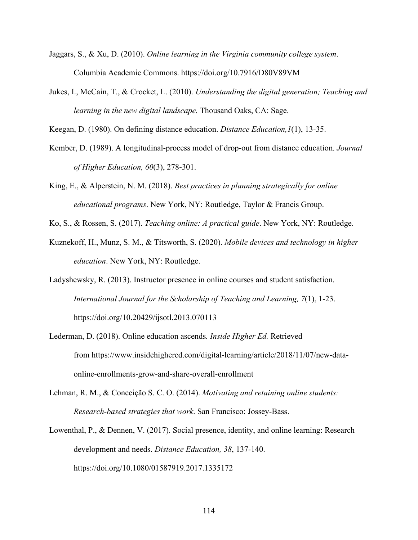- Jaggars, S., & Xu, D. (2010). *Online learning in the Virginia community college system*. Columbia Academic Commons. https://doi.org/10.7916/D80V89VM
- Jukes, I., McCain, T., & Crocket, L. (2010). *Understanding the digital generation; Teaching and learning in the new digital landscape.* Thousand Oaks, CA: Sage.

Keegan, D. (1980). On defining distance education. *Distance Education,1*(1), 13-35.

- Kember, D. (1989). A longitudinal-process model of drop-out from distance education. *Journal of Higher Education, 60*(3), 278-301.
- King, E., & Alperstein, N. M. (2018). *Best practices in planning strategically for online educational programs*. New York, NY: Routledge, Taylor & Francis Group.
- Ko, S., & Rossen, S. (2017). *Teaching online: A practical guide*. New York, NY: Routledge.
- Kuznekoff, H., Munz, S. M., & Titsworth, S. (2020). *Mobile devices and technology in higher education*. New York, NY: Routledge.
- Ladyshewsky, R. (2013). Instructor presence in online courses and student satisfaction. *International Journal for the Scholarship of Teaching and Learning, 7*(1), 1-23. https://doi.org/10.20429/ijsotl.2013.070113
- Lederman, D. (2018). Online education ascends*. Inside Higher Ed.* Retrieved from https://www.insidehighered.com/digital-learning/article/2018/11/07/new-dataonline-enrollments-grow-and-share-overall-enrollment
- Lehman, R. M., & Conceição S. C. O. (2014). *Motivating and retaining online students: Research-based strategies that work*. San Francisco: Jossey-Bass.
- Lowenthal, P., & Dennen, V. (2017). Social presence, identity, and online learning: Research development and needs. *Distance Education, 38*, 137-140. https://doi.org/10.1080/01587919.2017.1335172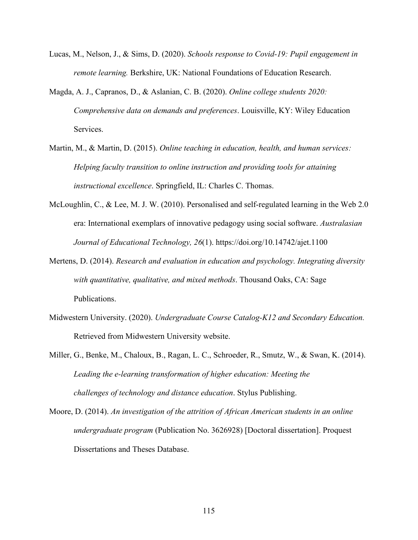- Lucas, M., Nelson, J., & Sims, D. (2020). *Schools response to Covid-19: Pupil engagement in remote learning.* Berkshire, UK: National Foundations of Education Research.
- Magda, A. J., Capranos, D., & Aslanian, C. B. (2020). *Online college students 2020: Comprehensive data on demands and preferences*. Louisville, KY: Wiley Education Services.
- Martin, M., & Martin, D. (2015). *Online teaching in education, health, and human services: Helping faculty transition to online instruction and providing tools for attaining instructional excellence*. Springfield, IL: Charles C. Thomas.
- McLoughlin, C., & Lee, M. J. W. (2010). Personalised and self-regulated learning in the Web 2.0 era: International exemplars of innovative pedagogy using social software. *Australasian Journal of Educational Technology, 26*(1). https://doi.org/10.14742/ajet.1100
- Mertens, D. (2014). *Research and evaluation in education and psychology. Integrating diversity with quantitative, qualitative, and mixed methods*. Thousand Oaks, CA: Sage Publications.
- Midwestern University. (2020). *Undergraduate Course Catalog-K12 and Secondary Education.* Retrieved from Midwestern University website.
- Miller, G., Benke, M., Chaloux, B., Ragan, L. C., Schroeder, R., Smutz, W., & Swan, K. (2014). *Leading the e-learning transformation of higher education: Meeting the challenges of technology and distance education*. Stylus Publishing.
- Moore, D. (2014). *An investigation of the attrition of African American students in an online undergraduate program* (Publication No. 3626928) [Doctoral dissertation]. Proquest Dissertations and Theses Database.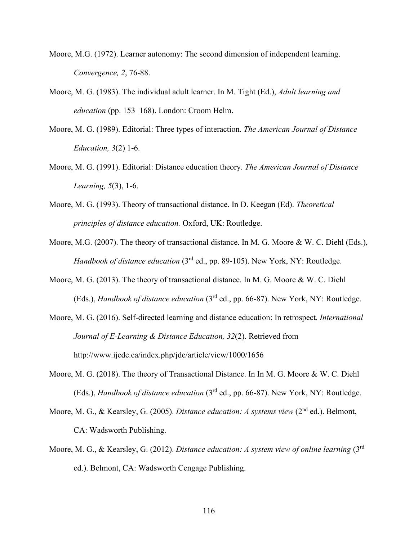- Moore, M.G. (1972). Learner autonomy: The second dimension of independent learning. *Convergence, 2*, 76-88.
- Moore, M. G. (1983). The individual adult learner. In M. Tight (Ed.), *Adult learning and education* (pp. 153–168). London: Croom Helm.
- Moore, M. G. (1989). Editorial: Three types of interaction. *The American Journal of Distance Education, 3*(2) 1-6.
- Moore, M. G. (1991). Editorial: Distance education theory. *The American Journal of Distance Learning, 5*(3), 1-6.
- Moore, M. G. (1993). Theory of transactional distance. In D. Keegan (Ed). *Theoretical principles of distance education.* Oxford, UK: Routledge.
- Moore, M.G. (2007). The theory of transactional distance. In M. G. Moore & W. C. Diehl (Eds.), *Handbook of distance education* (3<sup>rd</sup> ed., pp. 89-105). New York, NY: Routledge.
- Moore, M. G. (2013). The theory of transactional distance. In M. G. Moore & W. C. Diehl (Eds.), *Handbook of distance education* (3rd ed., pp. 66-87). New York, NY: Routledge.
- Moore, M. G. (2016). Self-directed learning and distance education: In retrospect. *International Journal of E-Learning & Distance Education, 32*(2). Retrieved from http://www.ijede.ca/index.php/jde/article/view/1000/1656
- Moore, M. G. (2018). The theory of Transactional Distance. In In M. G. Moore & W. C. Diehl (Eds.), *Handbook of distance education* (3rd ed., pp. 66-87). New York, NY: Routledge.
- Moore, M. G., & Kearsley, G. (2005). *Distance education: A systems view* (2nd ed.). Belmont, CA: Wadsworth Publishing.
- Moore, M. G., & Kearsley, G. (2012). *Distance education: A system view of online learning* (3rd ed.). Belmont, CA: Wadsworth Cengage Publishing.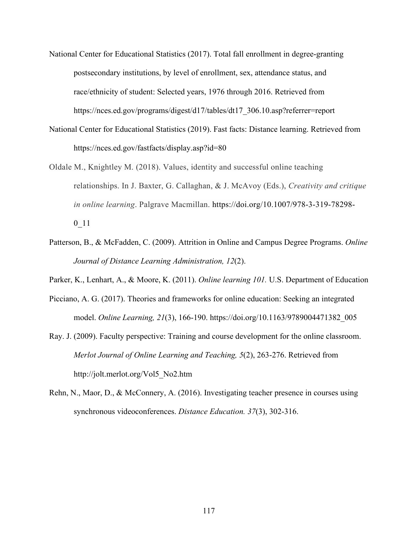- National Center for Educational Statistics (2017). Total fall enrollment in degree-granting postsecondary institutions, by level of enrollment, sex, attendance status, and race/ethnicity of student: Selected years, 1976 through 2016. Retrieved from https://nces.ed.gov/programs/digest/d17/tables/dt17\_306.10.asp?referrer=report
- National Center for Educational Statistics (2019). Fast facts: Distance learning. Retrieved from https://nces.ed.gov/fastfacts/display.asp?id=80
- Oldale M., Knightley M. (2018). Values, identity and successful online teaching relationships. In J. Baxter, G. Callaghan, & J. McAvoy (Eds.), *Creativity and critique in online learning*. Palgrave Macmillan. https://doi.org/10.1007/978-3-319-78298- 0\_11
- Patterson, B., & McFadden, C. (2009). Attrition in Online and Campus Degree Programs. *Online Journal of Distance Learning Administration, 12*(2).
- Parker, K., Lenhart, A., & Moore, K. (2011). *Online learning 101.* U.S. Department of Education
- Picciano, A. G. (2017). Theories and frameworks for online education: Seeking an integrated model. *Online Learning, 21*(3), 166-190. https://doi.org/10.1163/9789004471382\_005
- Ray. J. (2009). Faculty perspective: Training and course development for the online classroom. *Merlot Journal of Online Learning and Teaching, 5*(2), 263-276. Retrieved from http://jolt.merlot.org/Vol5\_No2.htm
- Rehn, N., Maor, D., & McConnery, A. (2016). Investigating teacher presence in courses using synchronous videoconferences. *Distance Education. 37*(3), 302-316.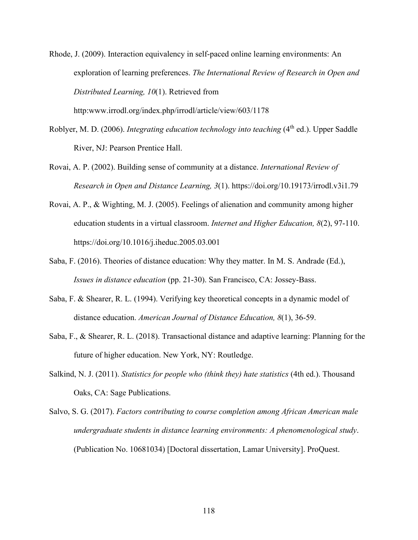Rhode, J. (2009). Interaction equivalency in self-paced online learning environments: An exploration of learning preferences. *The International Review of Research in Open and Distributed Learning, 10*(1). Retrieved from

http:www.irrodl.org/index.php/irrodl/article/view/603/1178

- Roblyer, M. D. (2006). *Integrating education technology into teaching* (4<sup>th</sup> ed.). Upper Saddle River, NJ: Pearson Prentice Hall.
- Rovai, A. P. (2002). Building sense of community at a distance. *International Review of Research in Open and Distance Learning, 3*(1). https://doi.org/10.19173/irrodl.v3i1.79
- Rovai, A. P., & Wighting, M. J. (2005). Feelings of alienation and community among higher education students in a virtual classroom. *Internet and Higher Education, 8*(2), 97-110. https://doi.org/10.1016/j.iheduc.2005.03.001
- Saba, F. (2016). Theories of distance education: Why they matter. In M. S. Andrade (Ed.), *Issues in distance education* (pp. 21-30). San Francisco, CA: Jossey-Bass.
- Saba, F. & Shearer, R. L. (1994). Verifying key theoretical concepts in a dynamic model of distance education. *American Journal of Distance Education, 8*(1), 36-59.
- Saba, F., & Shearer, R. L. (2018). Transactional distance and adaptive learning: Planning for the future of higher education. New York, NY: Routledge.
- Salkind, N. J. (2011). *Statistics for people who (think they) hate statistics* (4th ed.). Thousand Oaks, CA: Sage Publications.
- Salvo, S. G. (2017). *Factors contributing to course completion among African American male undergraduate students in distance learning environments: A phenomenological study*. (Publication No. 10681034) [Doctoral dissertation, Lamar University]. ProQuest.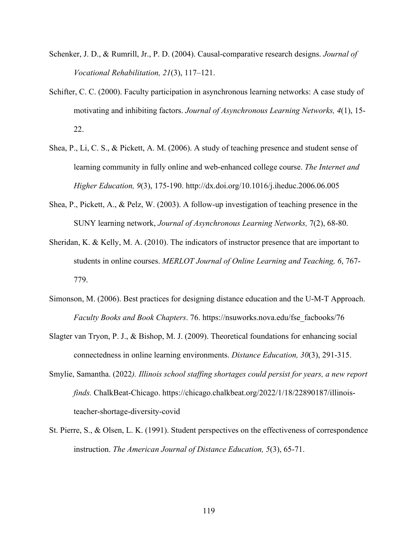- Schenker, J. D., & Rumrill, Jr., P. D. (2004). Causal-comparative research designs. *Journal of Vocational Rehabilitation, 21*(3), 117–121.
- Schifter, C. C. (2000). Faculty participation in asynchronous learning networks: A case study of motivating and inhibiting factors. *Journal of Asynchronous Learning Networks, 4*(1), 15- 22.
- Shea, P., Li, C. S., & Pickett, A. M. (2006). A study of teaching presence and student sense of learning community in fully online and web-enhanced college course. *The Internet and Higher Education, 9*(3), 175-190. http://dx.doi.org/10.1016/j.iheduc.2006.06.005
- Shea, P., Pickett, A., & Pelz, W. (2003). A follow-up investigation of teaching presence in the SUNY learning network, *Journal of Asynchronous Learning Networks,* 7(2), 68-80.
- Sheridan, K. & Kelly, M. A. (2010). The indicators of instructor presence that are important to students in online courses. *MERLOT Journal of Online Learning and Teaching, 6*, 767- 779.
- Simonson, M. (2006). Best practices for designing distance education and the U-M-T Approach. *Faculty Books and Book Chapters*. 76. https://nsuworks.nova.edu/fse\_facbooks/76
- Slagter van Tryon, P. J., & Bishop, M. J. (2009). Theoretical foundations for enhancing social connectedness in online learning environments. *Distance Education, 30*(3), 291-315.
- Smylie, Samantha. (2022*). Illinois school staffing shortages could persist for years, a new report finds.* ChalkBeat-Chicago. https://chicago.chalkbeat.org/2022/1/18/22890187/illinoisteacher-shortage-diversity-covid
- St. Pierre, S., & Olsen, L. K. (1991). Student perspectives on the effectiveness of correspondence instruction. *The American Journal of Distance Education, 5*(3), 65-71.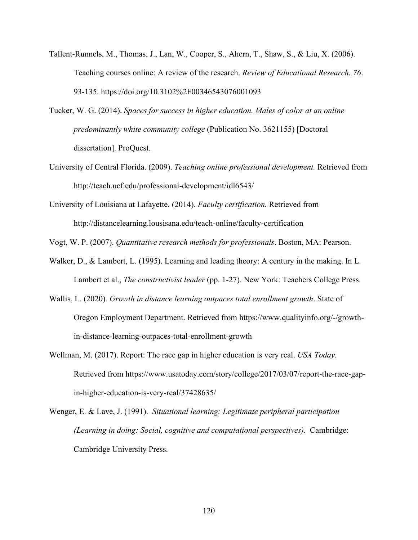- Tallent-Runnels, M., Thomas, J., Lan, W., Cooper, S., Ahern, T., Shaw, S., & Liu, X. (2006). Teaching courses online: A review of the research. *Review of Educational Research. 76*. 93-135. https://doi.org/10.3102%2F00346543076001093
- Tucker, W. G. (2014). *Spaces for success in higher education. Males of color at an online predominantly white community college* (Publication No. 3621155) [Doctoral dissertation]. ProQuest.
- University of Central Florida. (2009). *Teaching online professional development.* Retrieved from http://teach.ucf.edu/professional-development/idl6543/
- University of Louisiana at Lafayette. (2014). *Faculty certification.* Retrieved from http://distancelearning.lousisana.edu/teach-online/faculty-certification

Vogt, W. P. (2007). *Quantitative research methods for professionals*. Boston, MA: Pearson.

- Walker, D., & Lambert, L. (1995). Learning and leading theory: A century in the making. In L. Lambert et al., *The constructivist leader* (pp. 1-27). New York: Teachers College Press.
- Wallis, L. (2020). *Growth in distance learning outpaces total enrollment growth*. State of Oregon Employment Department. Retrieved from https://www.qualityinfo.org/-/growthin-distance-learning-outpaces-total-enrollment-growth
- Wellman, M. (2017). Report: The race gap in higher education is very real. *USA Today*. Retrieved from https://www.usatoday.com/story/college/2017/03/07/report-the-race-gapin-higher-education-is-very-real/37428635/
- Wenger, E. & Lave, J. (1991). *Situational learning: Legitimate peripheral participation (Learning in doing: Social, cognitive and computational perspectives).* Cambridge: Cambridge University Press.